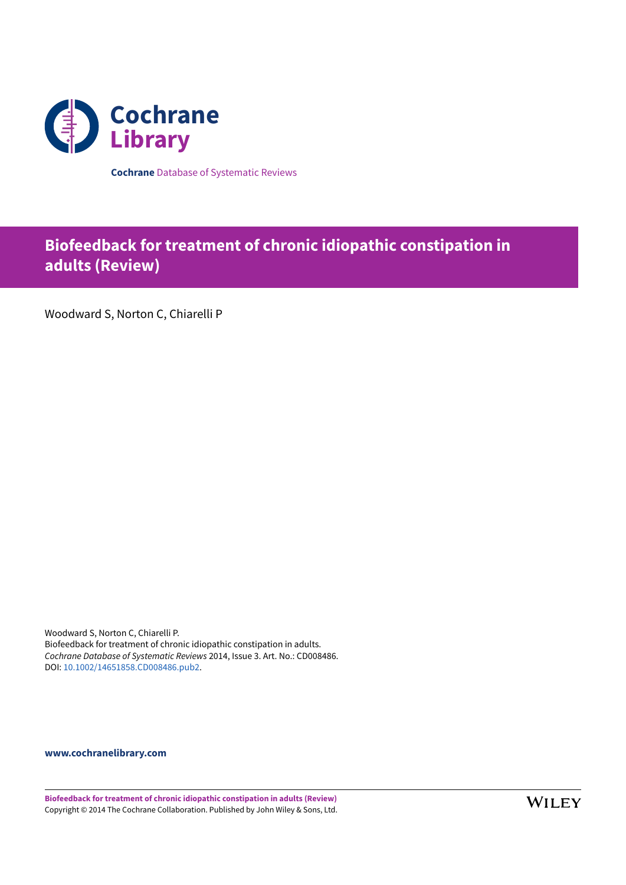

**Cochrane** Database of Systematic Reviews

# **Biofeedback for treatment of chronic idiopathic constipation in adults (Review)**

Woodward S, Norton C, Chiarelli P

Woodward S, Norton C, Chiarelli P. Biofeedback for treatment of chronic idiopathic constipation in adults. *Cochrane Database of Systematic Reviews* 2014, Issue 3. Art. No.: CD008486. DOI: [10.1002/14651858.CD008486.pub2.](https://doi.org/10.1002%2F14651858.CD008486.pub2)

**[www.cochranelibrary.com](https://www.cochranelibrary.com)**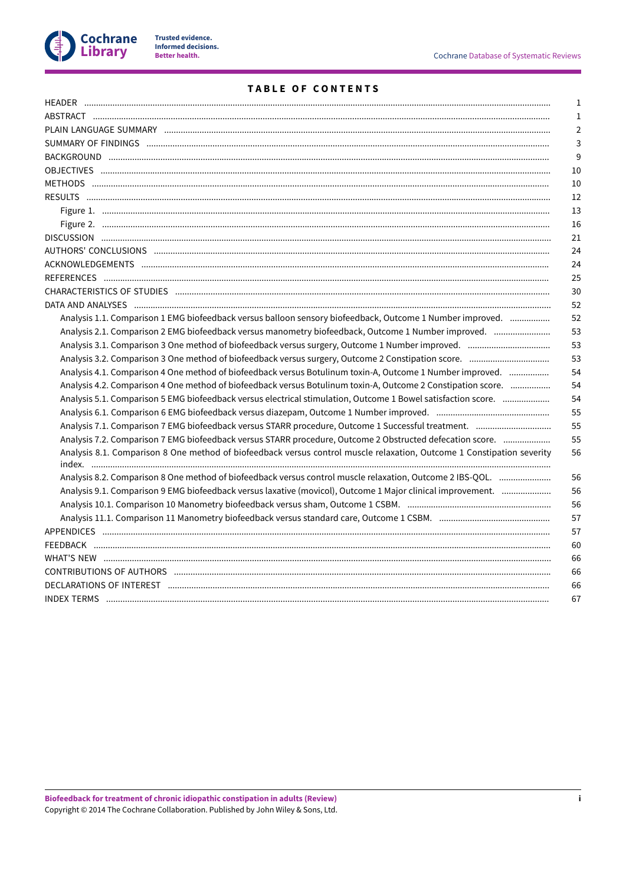

# **TABLE OF CONTENTS**

|                                                                                                                        | л.             |
|------------------------------------------------------------------------------------------------------------------------|----------------|
|                                                                                                                        | 1              |
|                                                                                                                        | $\overline{2}$ |
|                                                                                                                        | $\overline{3}$ |
|                                                                                                                        | 9              |
|                                                                                                                        | 10             |
|                                                                                                                        | 10             |
|                                                                                                                        | 12             |
|                                                                                                                        | 13             |
|                                                                                                                        | 16             |
|                                                                                                                        | 21             |
|                                                                                                                        | 24             |
|                                                                                                                        | 24             |
|                                                                                                                        | 25             |
|                                                                                                                        | 30             |
|                                                                                                                        | 52             |
| Analysis 1.1. Comparison 1 EMG biofeedback versus balloon sensory biofeedback, Outcome 1 Number improved.              | 52             |
| Analysis 2.1. Comparison 2 EMG biofeedback versus manometry biofeedback, Outcome 1 Number improved.                    | 53             |
|                                                                                                                        | 53             |
|                                                                                                                        | 53             |
| Analysis 4.1. Comparison 4 One method of biofeedback versus Botulinum toxin-A, Outcome 1 Number improved.              | 54             |
| Analysis 4.2. Comparison 4 One method of biofeedback versus Botulinum toxin-A, Outcome 2 Constipation score.           | 54             |
| Analysis 5.1. Comparison 5 EMG biofeedback versus electrical stimulation, Outcome 1 Bowel satisfaction score.          | 54             |
|                                                                                                                        | 55             |
|                                                                                                                        | 55             |
| Analysis 7.2. Comparison 7 EMG biofeedback versus STARR procedure, Outcome 2 Obstructed defecation score.              | 55             |
| Analysis 8.1. Comparison 8 One method of biofeedback versus control muscle relaxation, Outcome 1 Constipation severity | 56             |
| Analysis 8.2. Comparison 8 One method of biofeedback versus control muscle relaxation, Outcome 2 IBS-QOL.              | 56             |
| Analysis 9.1. Comparison 9 EMG biofeedback versus laxative (movicol), Outcome 1 Major clinical improvement.            | 56             |
|                                                                                                                        | 56             |
|                                                                                                                        | 57             |
|                                                                                                                        | 57             |
|                                                                                                                        | 60             |
|                                                                                                                        | 66             |
|                                                                                                                        | 66             |
|                                                                                                                        | 66             |
|                                                                                                                        | 67             |
|                                                                                                                        |                |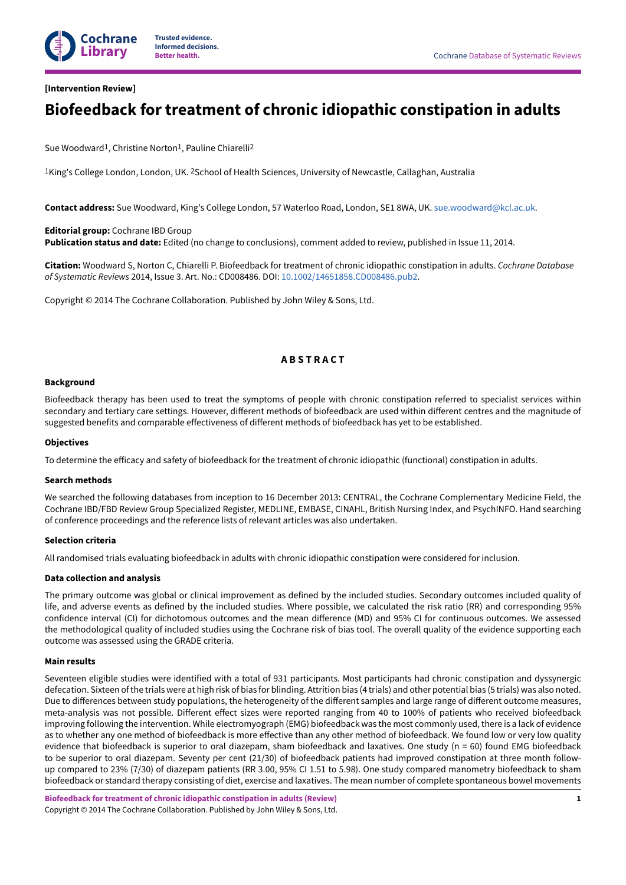

# <span id="page-2-0"></span>**[Intervention Review]**

# **Biofeedback for treatment of chronic idiopathic constipation in adults**

Sue Woodward<sup>1</sup>, Christine Norton<sup>1</sup>, Pauline Chiarelli<sup>2</sup>

<sup>1</sup>King's College London, London, UK. <sup>2</sup>School of Health Sciences, University of Newcastle, Callaghan, Australia

**Contact address:** Sue Woodward, King's College London, 57 Waterloo Road, London, SE1 8WA, UK. [sue.woodward@kcl.ac.uk](mailto:sue.woodward@kcl.ac.uk).

**Editorial group:** Cochrane IBD Group **Publication status and date:** Edited (no change to conclusions), comment added to review, published in Issue 11, 2014.

**Citation:** Woodward S, Norton C, Chiarelli P. Biofeedback for treatment of chronic idiopathic constipation in adults. *Cochrane Database of Systematic Reviews* 2014, Issue 3. Art. No.: CD008486. DOI: [10.1002/14651858.CD008486.pub2](https://doi.org/10.1002%2F14651858.CD008486.pub2).

Copyright © 2014 The Cochrane Collaboration. Published by John Wiley & Sons, Ltd.

# **A B S T R A C T**

#### <span id="page-2-1"></span>**Background**

Biofeedback therapy has been used to treat the symptoms of people with chronic constipation referred to specialist services within secondary and tertiary care settings. However, different methods of biofeedback are used within different centres and the magnitude of suggested benefits and comparable effectiveness of different methods of biofeedback has yet to be established.

#### **Objectives**

To determine the efficacy and safety of biofeedback for the treatment of chronic idiopathic (functional) constipation in adults.

#### **Search methods**

We searched the following databases from inception to 16 December 2013: CENTRAL, the Cochrane Complementary Medicine Field, the Cochrane IBD/FBD Review Group Specialized Register, MEDLINE, EMBASE, CINAHL, British Nursing Index, and PsychINFO. Hand searching of conference proceedings and the reference lists of relevant articles was also undertaken.

#### **Selection criteria**

All randomised trials evaluating biofeedback in adults with chronic idiopathic constipation were considered for inclusion.

#### **Data collection and analysis**

The primary outcome was global or clinical improvement as defined by the included studies. Secondary outcomes included quality of life, and adverse events as defined by the included studies. Where possible, we calculated the risk ratio (RR) and corresponding 95% confidence interval (CI) for dichotomous outcomes and the mean difference (MD) and 95% CI for continuous outcomes. We assessed the methodological quality of included studies using the Cochrane risk of bias tool. The overall quality of the evidence supporting each outcome was assessed using the GRADE criteria.

#### **Main results**

Seventeen eligible studies were identified with a total of 931 participants. Most participants had chronic constipation and dyssynergic defecation. Sixteen ofthe trials were at high risk of bias for blinding. Attrition bias (4 trials) and other potential bias (5 trials) was also noted. Due to differences between study populations, the heterogeneity of the different samples and large range of different outcome measures, meta-analysis was not possible. Different effect sizes were reported ranging from 40 to 100% of patients who received biofeedback improving following the intervention. While electromyograph (EMG) biofeedback was the most commonly used, there is a lack of evidence as to whether any one method of biofeedback is more effective than any other method of biofeedback. We found low or very low quality evidence that biofeedback is superior to oral diazepam, sham biofeedback and laxatives. One study (n = 60) found EMG biofeedback to be superior to oral diazepam. Seventy per cent (21/30) of biofeedback patients had improved constipation at three month followup compared to 23% (7/30) of diazepam patients (RR 3.00, 95% CI 1.51 to 5.98). One study compared manometry biofeedback to sham biofeedback or standard therapy consisting of diet, exercise and laxatives. The mean number of complete spontaneous bowel movements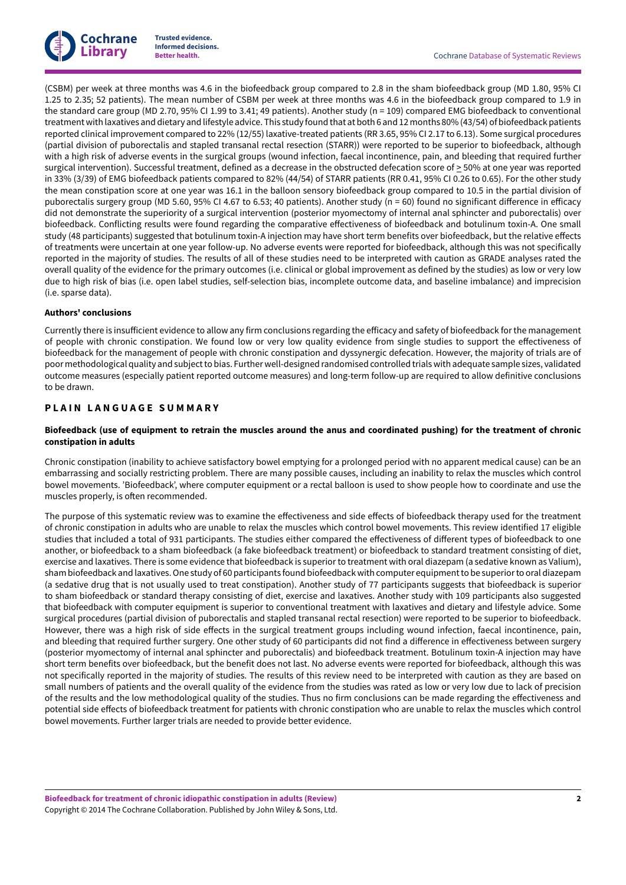

(CSBM) per week at three months was 4.6 in the biofeedback group compared to 2.8 in the sham biofeedback group (MD 1.80, 95% CI 1.25 to 2.35; 52 patients). The mean number of CSBM per week at three months was 4.6 in the biofeedback group compared to 1.9 in the standard care group (MD 2.70, 95% CI 1.99 to 3.41; 49 patients). Another study (n = 109) compared EMG biofeedback to conventional treatmentwith laxatives and dietary and lifestyle advice. This study found that at both 6 and 12 months 80% (43/54) of biofeedback patients reported clinical improvement compared to 22% (12/55) laxative-treated patients (RR 3.65, 95% CI 2.17 to 6.13). Some surgical procedures (partial division of puborectalis and stapled transanal rectal resection (STARR)) were reported to be superior to biofeedback, although with a high risk of adverse events in the surgical groups (wound infection, faecal incontinence, pain, and bleeding that required further surgical intervention). Successful treatment, defined as a decrease in the obstructed defecation score of > 50% at one year was reported in 33% (3/39) of EMG biofeedback patients compared to 82% (44/54) of STARR patients (RR 0.41, 95% CI 0.26 to 0.65). For the other study the mean constipation score at one year was 16.1 in the balloon sensory biofeedback group compared to 10.5 in the partial division of puborectalis surgery group (MD 5.60, 95% CI 4.67 to 6.53; 40 patients). Another study (n = 60) found no significant difference in efficacy did not demonstrate the superiority of a surgical intervention (posterior myomectomy of internal anal sphincter and puborectalis) over biofeedback. Conflicting results were found regarding the comparative effectiveness of biofeedback and botulinum toxin-A. One small study (48 participants) suggested that botulinum toxin-A injection may have short term benefits over biofeedback, but the relative effects of treatments were uncertain at one year follow-up. No adverse events were reported for biofeedback, although this was not specifically reported in the majority of studies. The results of all of these studies need to be interpreted with caution as GRADE analyses rated the overall quality of the evidence for the primary outcomes (i.e. clinical or global improvement as defined by the studies) as low or very low due to high risk of bias (i.e. open label studies, self-selection bias, incomplete outcome data, and baseline imbalance) and imprecision (i.e. sparse data).

#### **Authors' conclusions**

Currently there is insufficient evidence to allow any firm conclusions regarding the efficacy and safety of biofeedback for the management of people with chronic constipation. We found low or very low quality evidence from single studies to support the effectiveness of biofeedback for the management of people with chronic constipation and dyssynergic defecation. However, the majority of trials are of poor methodological quality and subjectto bias. Further well-designed randomised controlled trials with adequate sample sizes, validated outcome measures (especially patient reported outcome measures) and long-term follow-up are required to allow definitive conclusions to be drawn.

# <span id="page-3-0"></span>**P L A I N L A N G U A G E S U M M A R Y**

## Biofeedback (use of equipment to retrain the muscles around the anus and coordinated pushing) for the treatment of chronic **constipation in adults**

Chronic constipation (inability to achieve satisfactory bowel emptying for a prolonged period with no apparent medical cause) can be an embarrassing and socially restricting problem. There are many possible causes, including an inability to relax the muscles which control bowel movements. 'Biofeedback', where computer equipment or a rectal balloon is used to show people how to coordinate and use the muscles properly, is often recommended.

The purpose of this systematic review was to examine the effectiveness and side effects of biofeedback therapy used for the treatment of chronic constipation in adults who are unable to relax the muscles which control bowel movements. This review identified 17 eligible studies that included a total of 931 participants. The studies either compared the effectiveness of different types of biofeedback to one another, or biofeedback to a sham biofeedback (a fake biofeedback treatment) or biofeedback to standard treatment consisting of diet, exercise and laxatives. There is some evidence that biofeedback is superior to treatment with oral diazepam (a sedative known as Valium), sham biofeedback and laxatives.One study of 60 participants found biofeedbackwith computer equipmentto be superiorto oral diazepam (a sedative drug that is not usually used to treat constipation). Another study of 77 participants suggests that biofeedback is superior to sham biofeedback or standard therapy consisting of diet, exercise and laxatives. Another study with 109 participants also suggested that biofeedback with computer equipment is superior to conventional treatment with laxatives and dietary and lifestyle advice. Some surgical procedures (partial division of puborectalis and stapled transanal rectal resection) were reported to be superior to biofeedback. However, there was a high risk of side effects in the surgical treatment groups including wound infection, faecal incontinence, pain, and bleeding that required further surgery. One other study of 60 participants did not find a difference in effectiveness between surgery (posterior myomectomy of internal anal sphincter and puborectalis) and biofeedback treatment. Botulinum toxin-A injection may have short term benefits over biofeedback, but the benefit does not last. No adverse events were reported for biofeedback, although this was not specifically reported in the majority of studies. The results of this review need to be interpreted with caution as they are based on small numbers of patients and the overall quality of the evidence from the studies was rated as low or very low due to lack of precision of the results and the low methodological quality of the studies. Thus no firm conclusions can be made regarding the effectiveness and potential side effects of biofeedback treatment for patients with chronic constipation who are unable to relax the muscles which control bowel movements. Further larger trials are needed to provide better evidence.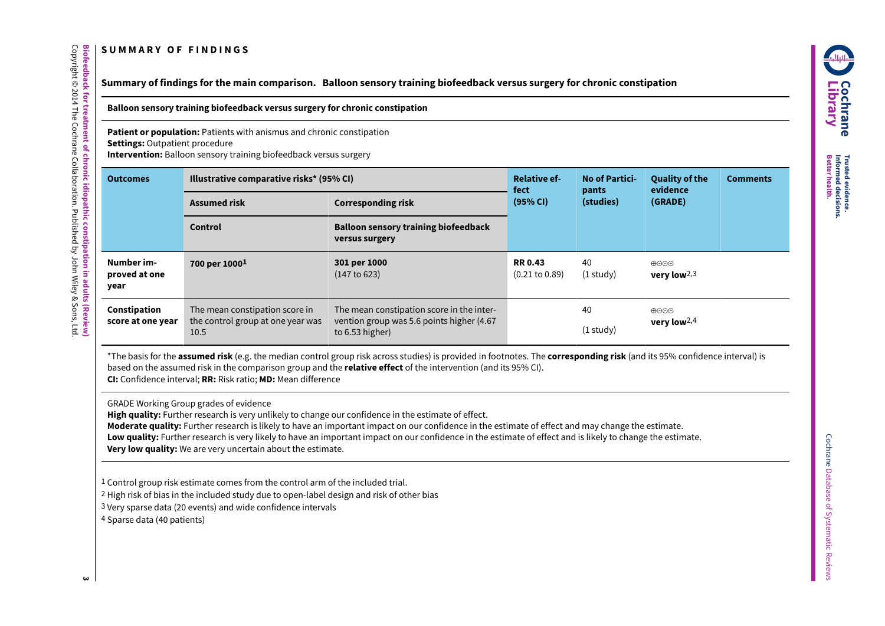# **S U M M A R Y O F F I N D I N G S**

# Summary of findings for the main comparison. Balloon sensory training biofeedback versus surgery for chronic constipation

**Balloon sensory training biofeedback versus surgery for chronic constipation**

**Patient or population:** Patients with anismus and chronic constipation **Settings:** Outpatient procedure **Intervention:** Balloon sensory training biofeedback versus surgery

| <b>Outcomes</b>                     | Illustrative comparative risks* (95% CI)                                    |                                                                                                           | <b>Relative ef-</b><br>fect                | <b>No of Partici-</b><br>pants | <b>Quality of the</b><br>evidence | <b>Comments</b> |
|-------------------------------------|-----------------------------------------------------------------------------|-----------------------------------------------------------------------------------------------------------|--------------------------------------------|--------------------------------|-----------------------------------|-----------------|
|                                     | <b>Assumed risk</b>                                                         | (95% CI)<br><b>Corresponding risk</b>                                                                     |                                            | (studies)                      | (GRADE)                           |                 |
|                                     | <b>Control</b>                                                              | <b>Balloon sensory training biofeedback</b><br>versus surgery                                             |                                            |                                |                                   |                 |
| Number im-<br>proved at one<br>year | 700 per 1000 <sup>1</sup>                                                   | 301 per 1000<br>(147 to 623)                                                                              | <b>RR0.43</b><br>$(0.21 \text{ to } 0.89)$ | 40<br>$(1$ study)              | ⊕⊝⊝⊝<br>very low $2,3$            |                 |
| Constipation<br>score at one year   | The mean constipation score in<br>the control group at one year was<br>10.5 | The mean constipation score in the inter-<br>vention group was 5.6 points higher (4.67<br>to 6.53 higher) |                                            | 40<br>$(1$ study $)$           | ⊕⊝⊝⊝<br>very low $2,4$            |                 |

<span id="page-4-1"></span><span id="page-4-0"></span>\*The basis for the **assumed risk** (e.g. the median control group risk across studies) is provided in footnotes. The **corresponding risk** (and its 95% confidence interval) is based on the assumed risk in the comparison group and the **relative effect** of the intervention (and its 95% CI). **CI:** Confidence interval; **RR:** Risk ratio; **MD:** Mean difference

GRADE Working Group grades of evidence

**High quality:** Further research is very unlikely to change our confidence in the estimate of effect.

**Moderate quality:** Further research is likely to have an important impact on our confidence in the estimate of effect and may change the estimate.

Low quality: Further research is very likely to have an important impact on our confidence in the estimate of effect and is likely to change the estimate. **Very low quality:** We are very uncertain about the estimate.

1 Control group risk estimate comes from the control arm of the included trial.

2 High risk of bias in the included study due to open-label design and risk of other bias

3 Very sparse data (20 events) and wide confidence intervals

4 Sparse data (40 patients)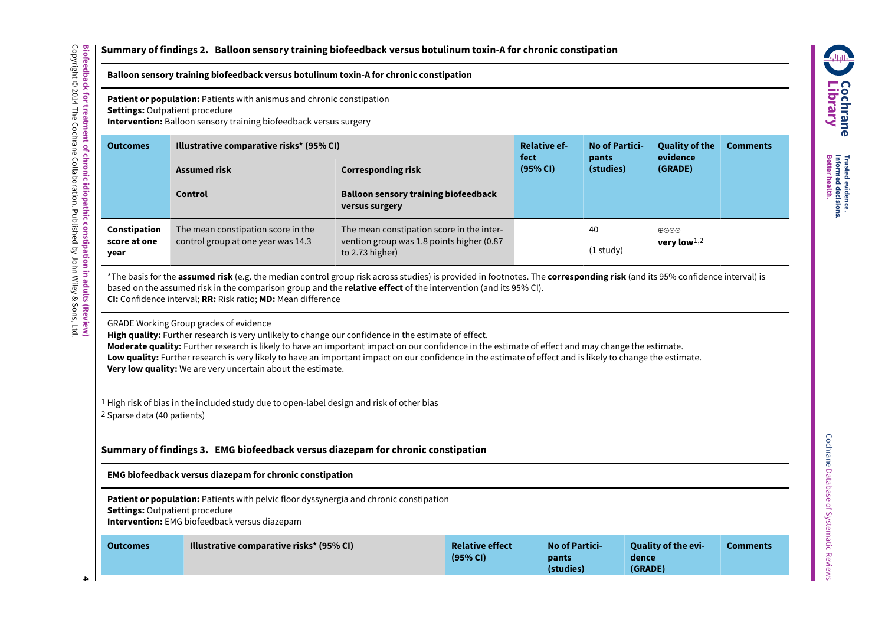# **Summary of findings 2. Balloon sensory training biofeedback versus botulinum toxin-A for chronic constipation**

# **Balloon sensory training biofeedback versus botulinum toxin-A for chronic constipation**

**Patient or population:** Patients with anismus and chronic constipation

**Settings:** Outpatient procedure

**Intervention:** Balloon sensory training biofeedback versus surgery

| <b>Outcomes</b>                      | Illustrative comparative risks* (95% CI)                                 | <b>Relative ef-</b><br>fect                                                                               | <b>No of Partici-</b><br>pants | <b>Quality of the</b><br>evidence | <b>Comments</b>                                 |  |
|--------------------------------------|--------------------------------------------------------------------------|-----------------------------------------------------------------------------------------------------------|--------------------------------|-----------------------------------|-------------------------------------------------|--|
|                                      | <b>Assumed risk</b>                                                      | <b>Corresponding risk</b>                                                                                 | (95% CI)                       | (studies)                         | (GRADE)                                         |  |
|                                      | <b>Control</b>                                                           | <b>Balloon sensory training biofeedback</b><br>versus surgery                                             |                                |                                   |                                                 |  |
| Constipation<br>score at one<br>year | The mean constipation score in the<br>control group at one year was 14.3 | The mean constipation score in the inter-<br>vention group was 1.8 points higher (0.87<br>to 2.73 higher) |                                | 40<br>$(1$ study)                 | $\bigoplus \bigodot \bigodot$<br>very low $1,2$ |  |

\*The basis for the **assumed risk** (e.g. the median control group risk across studies) is provided in footnotes. The **corresponding risk** (and its 95% confidence interval) is based on the assumed risk in the comparison group and the **relative effect** of the intervention (and its 95% CI). **CI:** Confidence interval; **RR:** Risk ratio; **MD:** Mean difference

<span id="page-5-0"></span>GRADE Working Group grades of evidence

**High quality:** Further research is very unlikely to change our confidence in the estimate of effect.

**Moderate quality:** Further research is likely to have an important impact on our confidence in the estimate of effect and may change the estimate.

**Low quality:** Further research is very likely to have an important impact on our confidence in the estimate of effect and is likely to change the estimate.

**Very low quality:** We are very uncertain about the estimate.

1 High risk of bias in the included study due to open-label design and risk of other bias 2 Sparse data (40 patients)

**Summary of findings 3. EMG biofeedback versus diazepam for chronic constipation**

**EMG biofeedback versus diazepam for chronic constipation**

**Patient or population:** Patients with pelvic floor dyssynergia and chronic constipation

**Settings:** Outpatient procedure

**Intervention:** EMG biofeedback versus diazepam

<span id="page-5-1"></span>

| <b>Illustrative comparative risks* (95% CI)</b><br><b>Outcomes</b> | <b>Relative effect</b><br>(95% CI) | <b>No of Partici-</b><br>pants<br>(studies) | Ouality of the evi-<br>dence<br>(GRADE) | Comments |
|--------------------------------------------------------------------|------------------------------------|---------------------------------------------|-----------------------------------------|----------|
|--------------------------------------------------------------------|------------------------------------|---------------------------------------------|-----------------------------------------|----------|



**Trusted Better**

**Informed**

**decisions. health.**

**evidence.**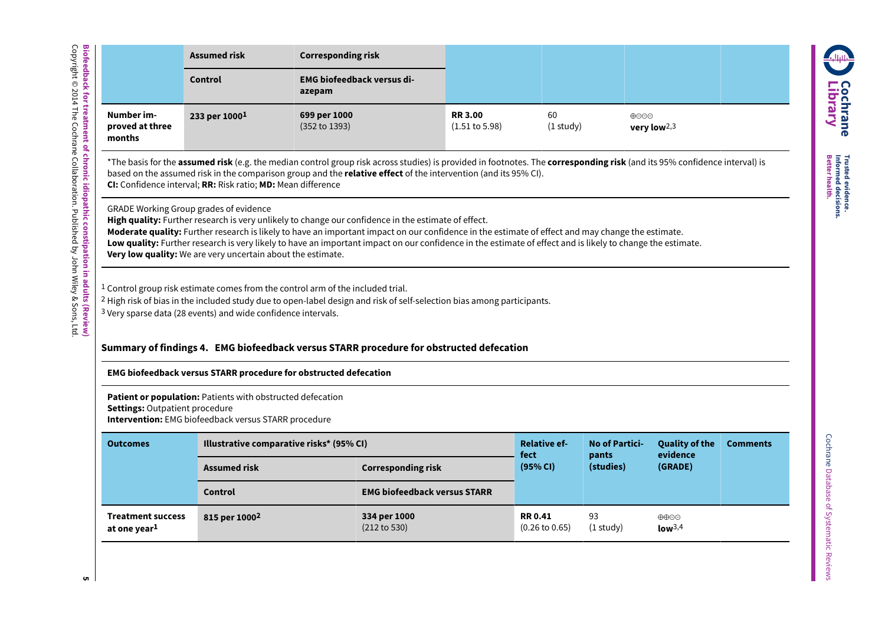|                                                                                                                                                                                                                                                                                                                                                                                                                                                                                                                                        | <b>Assumed risk</b>                                                      | <b>Corresponding risk</b>                                                                                                                                                                                                                                                                                         |                                             |                   |                                                              |
|----------------------------------------------------------------------------------------------------------------------------------------------------------------------------------------------------------------------------------------------------------------------------------------------------------------------------------------------------------------------------------------------------------------------------------------------------------------------------------------------------------------------------------------|--------------------------------------------------------------------------|-------------------------------------------------------------------------------------------------------------------------------------------------------------------------------------------------------------------------------------------------------------------------------------------------------------------|---------------------------------------------|-------------------|--------------------------------------------------------------|
|                                                                                                                                                                                                                                                                                                                                                                                                                                                                                                                                        | Control                                                                  | <b>EMG biofeedback versus di-</b><br>azepam                                                                                                                                                                                                                                                                       |                                             |                   |                                                              |
| Number im-<br>proved at three<br>months                                                                                                                                                                                                                                                                                                                                                                                                                                                                                                | 233 per 10001                                                            | 699 per 1000<br>(352 to 1393)                                                                                                                                                                                                                                                                                     | <b>RR 3.00</b><br>$(1.51 \text{ to } 5.98)$ | 60<br>$(1$ study) | $\bigoplus$ $\bigodot$ $\bigodot$<br>very low <sup>2,3</sup> |
|                                                                                                                                                                                                                                                                                                                                                                                                                                                                                                                                        | CI: Confidence interval; RR: Risk ratio; MD: Mean difference             | *The basis for the <b>assumed risk</b> (e.g. the median control group risk across studies) is provided in footnotes. The <b>corresponding risk</b> (and its 95% confidence interval) is<br>based on the assumed risk in the comparison group and the <b>relative effect</b> of the intervention (and its 95% CI). |                                             |                   |                                                              |
| <b>GRADE Working Group grades of evidence</b><br>High quality: Further research is very unlikely to change our confidence in the estimate of effect.<br>Moderate quality: Further research is likely to have an important impact on our confidence in the estimate of effect and may change the estimate.<br>Low quality: Further research is very likely to have an important impact on our confidence in the estimate of effect and is likely to change the estimate.<br>Very low quality: We are very uncertain about the estimate. |                                                                          |                                                                                                                                                                                                                                                                                                                   |                                             |                   |                                                              |
|                                                                                                                                                                                                                                                                                                                                                                                                                                                                                                                                        | <sup>3</sup> Very sparse data (28 events) and wide confidence intervals. | <sup>1</sup> Control group risk estimate comes from the control arm of the included trial.<br><sup>2</sup> High risk of bias in the included study due to open-label design and risk of self-selection bias among participants.                                                                                   |                                             |                   |                                                              |

# **Summary of findings 4. EMG biofeedback versusSTARR procedure for obstructed defecation**

# **EMG biofeedback versus STARR procedure for obstructed defecation**

**Patient or population:** Patients with obstructed defecation **Settings:** Outpatient procedure

**Intervention:** EMG biofeedback versus STARR procedure

| <b>Outcomes</b>                                      | Illustrative comparative risks* (95% CI) |                                     | <b>Relative ef-</b><br>fect                 | <b>No of Partici-</b><br>pants<br>(studies) | <b>Quality of the</b><br>evidence<br>(GRADE) | <b>Comments</b> |
|------------------------------------------------------|------------------------------------------|-------------------------------------|---------------------------------------------|---------------------------------------------|----------------------------------------------|-----------------|
|                                                      | <b>Assumed risk</b>                      | <b>Corresponding risk</b>           |                                             |                                             |                                              |                 |
|                                                      | <b>Control</b>                           | <b>EMG biofeedback versus STARR</b> |                                             |                                             |                                              |                 |
| <b>Treatment success</b><br>at one year <sup>1</sup> | 815 per 1000 <sup>2</sup>                | 334 per 1000<br>(212 to 530)        | <b>RR 0.41</b><br>$(0.26 \text{ to } 0.65)$ | 93<br>$(1$ study)                           | $\oplus \oplus \odot$<br>low <sup>3,4</sup>  |                 |

**C o c hra n e Lib r a r y**

**ALLINE** 

**Trusted Better**

**Informed**

**decisions. health.**

**evidence.**

<span id="page-6-0"></span>**5**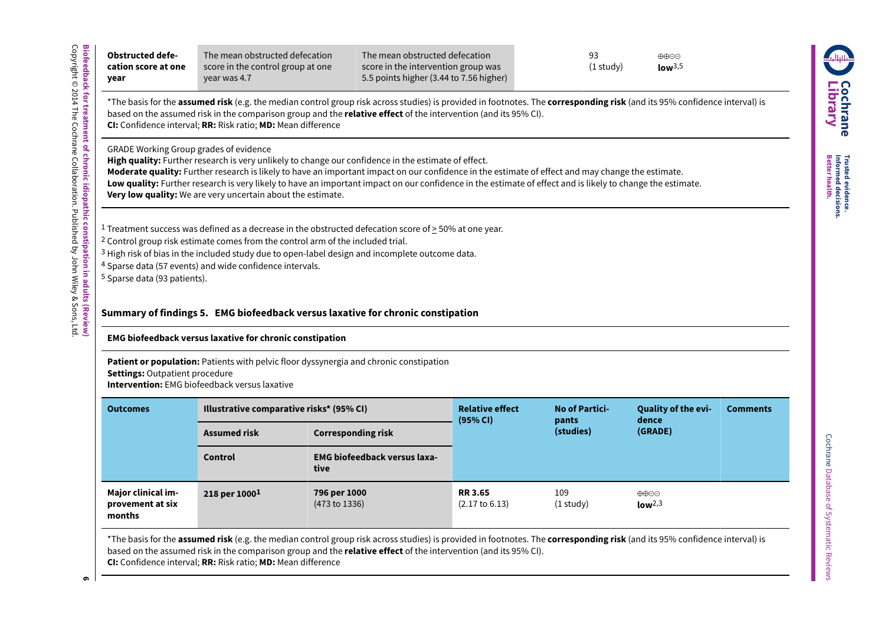| cation score at one<br>year                                                                                    | The mean obstructed defecation<br>score in the control group at one<br>year was 4.7        |                                                                                                                                                                                                                                                                                                                                                                                                                        | The mean obstructed defecation<br>score in the intervention group was<br>5.5 points higher (3.44 to 7.56 higher) | 93<br>$(1$ study $)$  | ⊕⊕⊝<br>low <sup>3,5</sup> |                 |
|----------------------------------------------------------------------------------------------------------------|--------------------------------------------------------------------------------------------|------------------------------------------------------------------------------------------------------------------------------------------------------------------------------------------------------------------------------------------------------------------------------------------------------------------------------------------------------------------------------------------------------------------------|------------------------------------------------------------------------------------------------------------------|-----------------------|---------------------------|-----------------|
|                                                                                                                | CI: Confidence interval; RR: Risk ratio; MD: Mean difference                               | *The basis for the assumed risk (e.g. the median control group risk across studies) is provided in footnotes. The corresponding risk (and its 95% confidence interval) is<br>based on the assumed risk in the comparison group and the relative effect of the intervention (and its 95% CI).                                                                                                                           |                                                                                                                  |                       |                           |                 |
| <b>GRADE Working Group grades of evidence</b>                                                                  | Very low quality: We are very uncertain about the estimate.                                | High quality: Further research is very unlikely to change our confidence in the estimate of effect.<br>Moderate quality: Further research is likely to have an important impact on our confidence in the estimate of effect and may change the estimate.<br>Low quality: Further research is very likely to have an important impact on our confidence in the estimate of effect and is likely to change the estimate. |                                                                                                                  |                       |                           |                 |
|                                                                                                                | <sup>2</sup> Control group risk estimate comes from the control arm of the included trial. | <sup>1</sup> Treatment success was defined as a decrease in the obstructed defecation score of $\geq$ 50% at one year.<br><sup>3</sup> High risk of bias in the included study due to open-label design and incomplete outcome data.                                                                                                                                                                                   |                                                                                                                  |                       |                           |                 |
|                                                                                                                |                                                                                            | Summary of findings 5. EMG biofeedback versus laxative for chronic constipation                                                                                                                                                                                                                                                                                                                                        |                                                                                                                  |                       |                           |                 |
|                                                                                                                | EMG biofeedback versus laxative for chronic constipation                                   |                                                                                                                                                                                                                                                                                                                                                                                                                        |                                                                                                                  |                       |                           |                 |
| <b>Settings: Outpatient procedure</b>                                                                          | <b>Intervention:</b> EMG biofeedback versus laxative                                       | Patient or population: Patients with pelvic floor dyssynergia and chronic constipation                                                                                                                                                                                                                                                                                                                                 |                                                                                                                  |                       |                           |                 |
| <b>Outcomes</b>                                                                                                | Illustrative comparative risks* (95% CI)                                                   |                                                                                                                                                                                                                                                                                                                                                                                                                        | <b>Relative effect</b>                                                                                           | <b>No of Partici-</b> | Quality of the evi-       | <b>Comments</b> |
| <sup>4</sup> Sparse data (57 events) and wide confidence intervals.<br><sup>5</sup> Sparse data (93 patients). | <b>Assumed risk</b>                                                                        | <b>Corresponding risk</b>                                                                                                                                                                                                                                                                                                                                                                                              | (95% CI)                                                                                                         | pants<br>(studies)    | dence<br>(GRADE)          |                 |
|                                                                                                                | Control                                                                                    | <b>EMG biofeedback versus laxa-</b><br>tive                                                                                                                                                                                                                                                                                                                                                                            |                                                                                                                  |                       |                           |                 |

\*The basis for the **assumed risk** (e.g. the median control group risk across studies) is provided in footnotes. The **corresponding risk** (and its 95% confidence interval) is based on the assumed risk in the comparison group and the **relative effect** of the intervention (and its 95% CI).

<span id="page-7-0"></span>**6**

**Trusted Better**

**Informed**

**decisions. health.**

**evidence.**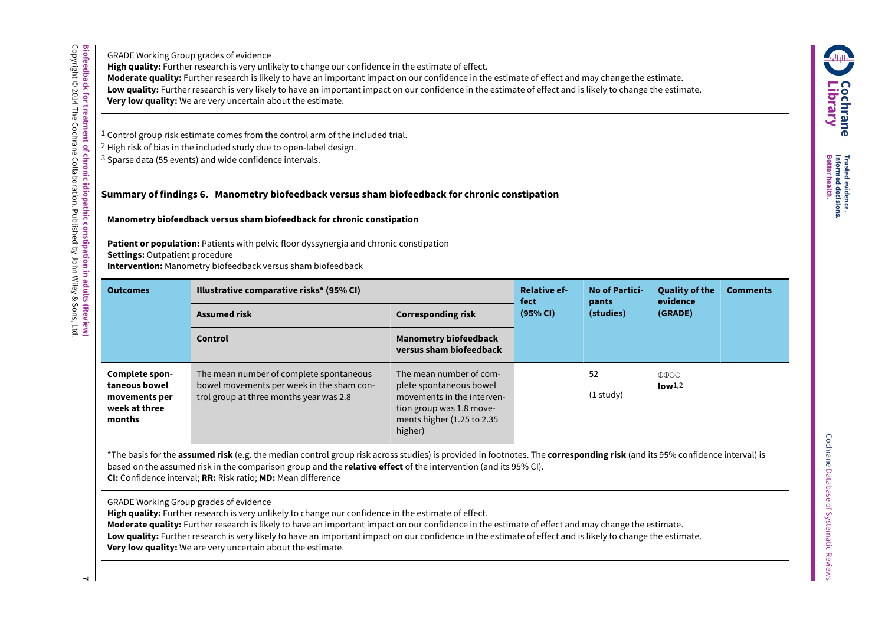**C o c hra n e Lib r a r y Trusted Better evidence. Informed health.**

**decisions.**

GRADE Working Group grades of evidence **High quality:** Further research is very unlikely to change our confidence in the estimate of effect.

**Biofeedback**

Copyright © 2014

The

Cochrane

Collaboration.

Published

হ John

Wiley & Sons,

ltd.<br>E

**for**

**treatment**

<u>ዒ</u> **chronic**

**idiopathic**

**constipation**

**in adults**

**(Review)**

**Moderate quality:** Further research is likely to have an important impact on our confidence in the estimate of effect and may change the estimate.

**Low quality:** Further research is very likely to have an important impact on our confidence in the estimate of effect and is likely to change the estimate.

**Very low quality:** We are very uncertain about the estimate.

1 Control group risk estimate comes from the control arm of the included trial.

2 High risk of bias in the included study due to open-label design.

3 Sparse data (55 events) and wide confidence intervals.

# **Summary of findings 6. Manometry biofeedback versus sham biofeedback for chronic constipation**

# **Manometry biofeedback versus sham biofeedback for chronic constipation**

**Patient or population:** Patients with pelvic floor dyssynergia and chronic constipation

**Settings:** Outpatient procedure

**Intervention:** Manometry biofeedback versus sham biofeedback

| <b>Outcomes</b>                                                             | Illustrative comparative risks* (95% CI)                                                                                        | <b>Relative ef-</b><br>fect                                                                                                                           | <b>No of Partici-</b><br>pants | <b>Quality of the</b><br>evidence | <b>Comments</b>                                   |  |
|-----------------------------------------------------------------------------|---------------------------------------------------------------------------------------------------------------------------------|-------------------------------------------------------------------------------------------------------------------------------------------------------|--------------------------------|-----------------------------------|---------------------------------------------------|--|
|                                                                             | <b>Assumed risk</b><br><b>Corresponding risk</b>                                                                                |                                                                                                                                                       | (95% CI)                       | (studies)                         | (GRADE)                                           |  |
|                                                                             | <b>Control</b>                                                                                                                  | <b>Manometry biofeedback</b><br>versus sham biofeedback                                                                                               |                                |                                   |                                                   |  |
| Complete spon-<br>taneous bowel<br>movements per<br>week at three<br>months | The mean number of complete spontaneous<br>bowel movements per week in the sham con-<br>trol group at three months year was 2.8 | The mean number of com-<br>plete spontaneous bowel<br>movements in the interven-<br>tion group was 1.8 move-<br>ments higher (1.25 to 2.35<br>higher) |                                | 52<br>$(1$ study $)$              | $\oplus \oplus \odot \odot$<br>low <sup>1,2</sup> |  |

<span id="page-8-0"></span>\*The basis for the **assumed risk** (e.g. the median control group risk across studies) is provided in footnotes. The **corresponding risk** (and its 95% confidence interval) is based on the assumed risk in the comparison group and the **relative effect** of the intervention (and its 95% CI). **CI:** Confidence interval; **RR:** Risk ratio; **MD:** Mean difference

GRADE Working Group grades of evidence

**High quality:** Further research is very unlikely to change our confidence in the estimate of effect.

**Moderate quality:** Further research is likely to have an important impact on our confidence in the estimate of effect and may change the estimate.

**Low quality:** Further research is very likely to have an important impact on our confidence in the estimate of effect and is likely to change the estimate.

**Very low quality:** We are very uncertain about the estimate.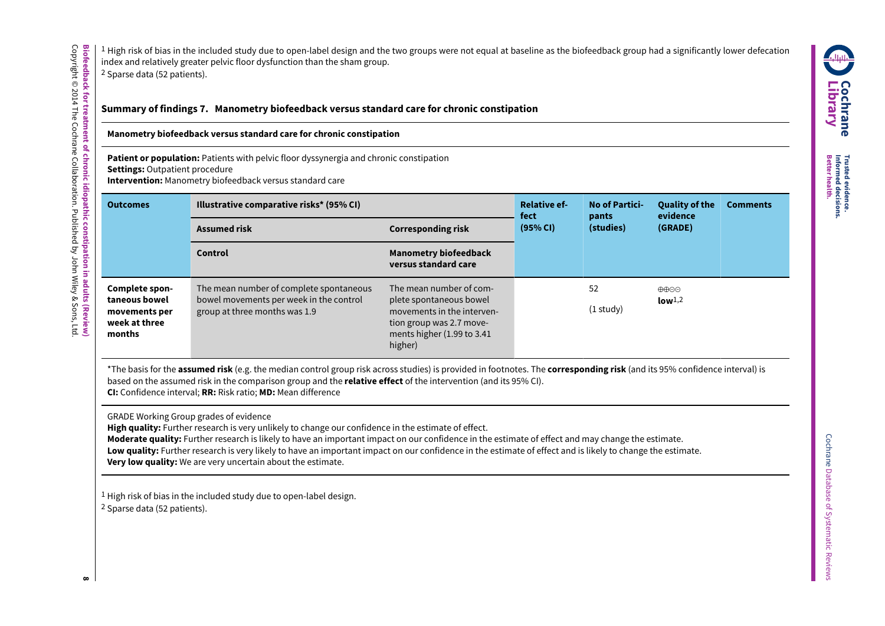<sup>1</sup> High risk of bias in the included study due to open-label design and the two groups were not equal at baseline as the biofeedback group had a significantly lower defecation index and relatively greater pelvic floor dysfunction than the sham group. 2 Sparse data (52 patients).

# **Summary of findings 7. Manometry biofeedback versus standard care for chronic constipation**

## **Manometry biofeedback versus standard care for chronic constipation**

**Patient or population:** Patients with pelvic floor dyssynergia and chronic constipation **Settings:** Outpatient procedure **Intervention:** Manometry biofeedback versus standard care

| <b>Outcomes</b>                                                             | Illustrative comparative risks* (95% CI)                                                                            | <b>Relative ef-</b><br>fect                                                                                                                           | <b>No of Partici-</b><br>pants | <b>Quality of the</b><br>evidence | <b>Comments</b>            |  |
|-----------------------------------------------------------------------------|---------------------------------------------------------------------------------------------------------------------|-------------------------------------------------------------------------------------------------------------------------------------------------------|--------------------------------|-----------------------------------|----------------------------|--|
|                                                                             | <b>Assumed risk</b>                                                                                                 | (95% CI)<br><b>Corresponding risk</b>                                                                                                                 |                                | (studies)                         | (GRADE)                    |  |
|                                                                             | <b>Control</b>                                                                                                      | <b>Manometry biofeedback</b><br>versus standard care                                                                                                  |                                |                                   |                            |  |
| Complete spon-<br>taneous bowel<br>movements per<br>week at three<br>months | The mean number of complete spontaneous<br>bowel movements per week in the control<br>group at three months was 1.9 | The mean number of com-<br>plete spontaneous bowel<br>movements in the interven-<br>tion group was 2.7 move-<br>ments higher (1.99 to 3.41<br>higher) |                                | 52<br>$(1$ study)                 | ⊕⊕⊝⊝<br>low <sup>1,2</sup> |  |

<span id="page-9-0"></span>\*The basis for the **assumed risk** (e.g. the median control group risk across studies) is provided in footnotes. The **corresponding risk** (and its 95% confidence interval) is based on the assumed risk in the comparison group and the **relative effect** of the intervention (and its 95% CI). **CI:** Confidence interval; **RR:** Risk ratio; **MD:** Mean difference

GRADE Working Group grades of evidence

**High quality:** Further research is very unlikely to change our confidence in the estimate of effect.

**Moderate quality:** Further research is likely to have an important impact on our confidence in the estimate of effect and may change the estimate.

**Low quality:** Further research is very likely to have an important impact on our confidence in the estimate of effect and is likely to change the estimate. **Very low quality:** We are very uncertain about the estimate.

1 High risk of bias in the included study due to open-label design. 2 Sparse data (52 patients).

**Trusted Better**

**Informed**

**health.**

**evidence.**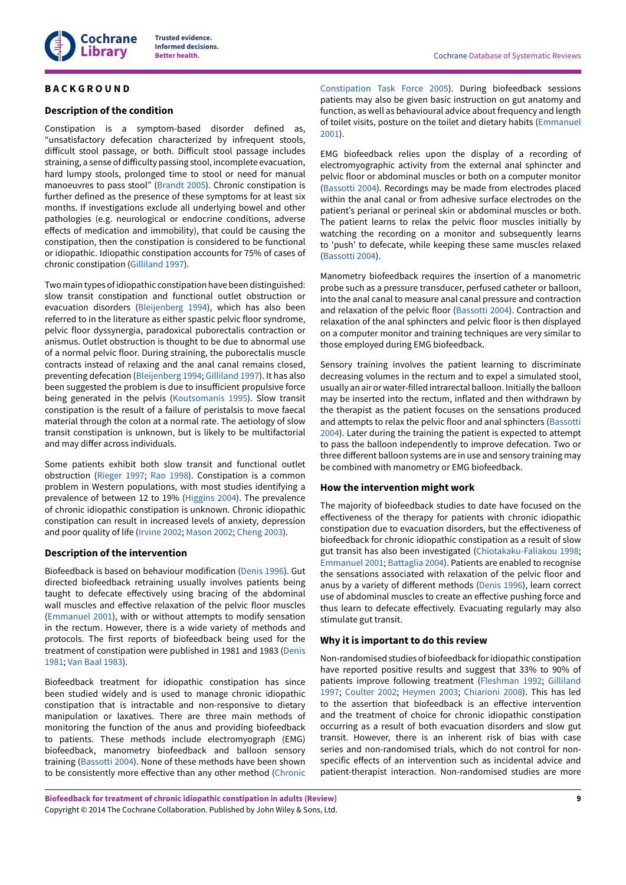

# <span id="page-10-0"></span>**B A C K G R O U N D**

#### **Description of the condition**

Constipation is a symptom-based disorder defined as, "unsatisfactory defecation characterized by infrequent stools, difficult stool passage, or both. Difficult stool passage includes straining, a sense of difficulty passing stool, incomplete evacuation, hard lumpy stools, prolonged time to stool or need for manual manoeuvres to pass stool" [\(Brandt](http://www.archie.cochrane.org/sections/documents/view?document=21014767099661774155090812193602%26format=REVMAN#REF-Brandt-2005) 2005). Chronic constipation is further defined as the presence of these symptoms for at least six months. If investigations exclude all underlying bowel and other pathologies (e.g. neurological or endocrine conditions, adverse effects of medication and immobility), that could be causing the constipation, then the constipation is considered to be functional or idiopathic. Idiopathic constipation accounts for 75% of cases of chronic constipation [\(Gilliland 1997](http://www.archie.cochrane.org/sections/documents/view?document=21014767099661774155090812193602%26format=REVMAN#REF-Gilliland-1997)).

Two main types ofidiopathic constipation have been distinguished: slow transit constipation and functional outlet obstruction or evacuation disorders [\(Bleijenberg](http://www.archie.cochrane.org/sections/documents/view?document=21014767099661774155090812193602%26format=REVMAN#REF-Bleijenberg-1994) 1994), which has also been referred to in the literature as either spastic pelvic floor syndrome, pelvic floor dyssynergia, paradoxical puborectalis contraction or anismus. Outlet obstruction is thought to be due to abnormal use of a normal pelvic floor. During straining, the puborectalis muscle contracts instead of relaxing and the anal canal remains closed, preventing defecation [\(Bleijenberg](http://www.archie.cochrane.org/sections/documents/view?document=21014767099661774155090812193602%26format=REVMAN#REF-Bleijenberg-1994) 1994; [Gilliland 1997\)](http://www.archie.cochrane.org/sections/documents/view?document=21014767099661774155090812193602%26format=REVMAN#REF-Gilliland-1997). It has also been suggested the problem is due to insufficient propulsive force being generated in the pelvis [\(Koutsomanis](http://www.archie.cochrane.org/sections/documents/view?document=21014767099661774155090812193602%26format=REVMAN#REF-Koutsomanis-1995) 1995). Slow transit constipation is the result of a failure of peristalsis to move faecal material through the colon at a normal rate. The aetiology of slow transit constipation is unknown, but is likely to be multifactorial and may differ across individuals.

Some patients exhibit both slow transit and functional outlet obstruction [\(Rieger](http://www.archie.cochrane.org/sections/documents/view?document=21014767099661774155090812193602%26format=REVMAN#REF-Rieger-1997) 1997; Rao [1998](http://www.archie.cochrane.org/sections/documents/view?document=21014767099661774155090812193602%26format=REVMAN#REF-Rao-1998)). Constipation is a common problem in Western populations, with most studies identifying a prevalence of between 12 to 19% [\(Higgins 2004\)](#page-29-0). The prevalence of chronic idiopathic constipation is unknown. Chronic idiopathic constipation can result in increased levels of anxiety, depression and poor quality of life ([Irvine](#page-29-1) 2002; [Mason 2002](#page-29-2); [Cheng 2003](#page-28-0)).

#### **Description of the intervention**

Biofeedback is based on behaviour modification [\(Denis 1996](http://www.archie.cochrane.org/sections/documents/view?document=21014767099661774155090812193602%26format=REVMAN#REF-Denis-1996)). Gut directed biofeedback retraining usually involves patients being taught to defecate effectively using bracing of the abdominal wall muscles and effective relaxation of the pelvic floor muscles [\(Emmanuel 2001\)](http://www.archie.cochrane.org/sections/documents/view?document=21014767099661774155090812193602%26format=REVMAN#REF-Emmanuel-2001), with or without attempts to modify sensation in the rectum. However, there is a wide variety of methods and protocols. The first reports of biofeedback being used for the treatment of constipation were published in 1981 and 1983 ([Denis](#page-28-1) [1981](#page-28-1); Van Baal [1983](#page-30-0)).

Biofeedback treatment for idiopathic constipation has since been studied widely and is used to manage chronic idiopathic constipation that is intractable and non-responsive to dietary manipulation or laxatives. There are three main methods of monitoring the function of the anus and providing biofeedback to patients. These methods include electromyograph (EMG) biofeedback, manometry biofeedback and balloon sensory training ([Bassotti](#page-28-2) 2004). None of these methods have been shown to be consistently more effective than any other method [\(Chronic](#page-28-3)

[Constipation](#page-28-3) Task Force 2005). During biofeedback sessions patients may also be given basic instruction on gut anatomy and function, as well as behavioural advice about frequency and length of toilet visits, posture on the toilet and dietary habits ([Emmanuel](#page-27-0) [2001\)](#page-27-0).

EMG biofeedback relies upon the display of a recording of electromyographic activity from the external anal sphincter and pelvic floor or abdominal muscles or both on a computer monitor [\(Bassotti](http://www.archie.cochrane.org/sections/documents/view?document=21014767099661774155090812193602%26format=REVMAN#REF-Bassotti-2004) 2004). Recordings may be made from electrodes placed within the anal canal or from adhesive surface electrodes on the patient's perianal or perineal skin or abdominal muscles or both. The patient learns to relax the pelvic floor muscles initially by watching the recording on a monitor and subsequently learns to 'push' to defecate, while keeping these same muscles relaxed [\(Bassotti](http://www.archie.cochrane.org/sections/documents/view?document=21014767099661774155090812193602%26format=REVMAN#REF-Bassotti-2004) 2004).

Manometry biofeedback requires the insertion of a manometric probe such as a pressure transducer, perfused catheter or balloon, into the anal canal to measure anal canal pressure and contraction and relaxation of the pelvic floor ([Bassotti](#page-28-2) 2004). Contraction and relaxation of the anal sphincters and pelvic floor is then displayed on a computer monitor and training techniques are very similar to those employed during EMG biofeedback.

Sensory training involves the patient learning to discriminate decreasing volumes in the rectum and to expel a simulated stool, usually an air or water-filled intrarectal balloon. Initially the balloon may be inserted into the rectum, inflated and then withdrawn by the therapist as the patient focuses on the sensations produced and attempts to relax the pelvic floor and anal sphincters ([Bassotti](http://www.archie.cochrane.org/sections/documents/view?document=21014767099661774155090812193602%26format=REVMAN#REF-Bassotti-2004) [2004\)](http://www.archie.cochrane.org/sections/documents/view?document=21014767099661774155090812193602%26format=REVMAN#REF-Bassotti-2004). Later during the training the patient is expected to attempt to pass the balloon independently to improve defecation. Two or three different balloon systems are in use and sensory training may be combined with manometry or EMG biofeedback.

### **How the intervention might work**

The majority of biofeedback studies to date have focused on the effectiveness of the therapy for patients with chronic idiopathic constipation due to evacuation disorders, but the effectiveness of biofeedback for chronic idiopathic constipation as a result of slow gut transit has also been investigated [\(Chiotakaku-Faliakou](#page-28-4) 1998; [Emmanuel 2001](#page-27-0); [Battaglia](#page-27-1) 2004). Patients are enabled to recognise the sensations associated with relaxation of the pelvic floor and anus by a variety of different methods ([Denis 1996](#page-29-3)), learn correct use of abdominal muscles to create an effective pushing force and thus learn to defecate effectively. Evacuating regularly may also stimulate gut transit.

### **Why it is important to do this review**

Non-randomised studies of biofeedback foridiopathic constipation have reported positive results and suggest that 33% to 90% of patients improve following treatment [\(Fleshman 1992](#page-29-4); [Gilliland](#page-29-5) [1997;](#page-29-5) [Coulter](#page-28-5) 2002; [Heymen](#page-29-6) 2003; [Chiarioni 2008\)](#page-28-6). This has led to the assertion that biofeedback is an effective intervention and the treatment of choice for chronic idiopathic constipation occurring as a result of both evacuation disorders and slow gut transit. However, there is an inherent risk of bias with case series and non-randomised trials, which do not control for nonspecific effects of an intervention such as incidental advice and patient-therapist interaction. Non-randomised studies are more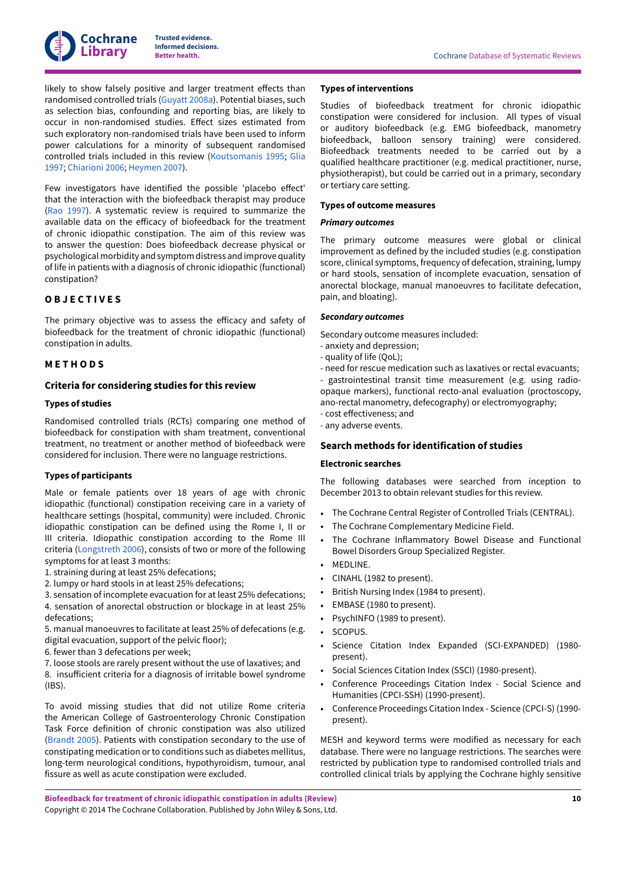

likely to show falsely positive and larger treatment effects than randomised controlled trials [\(Guyatt](#page-29-7) 2008a). Potential biases, such as selection bias, confounding and reporting bias, are likely to occur in non-randomised studies. Effect sizes estimated from such exploratory non-randomised trials have been used to inform power calculations for a minority of subsequent randomised controlled trials included in this review [\(Koutsomanis](#page-26-1) 1995; [Glia](#page-26-2) [1997](#page-26-2); [Chiarioni 2006](#page-26-3); [Heymen](#page-26-4) 2007).

Few investigators have identified the possible 'placebo effect' that the interaction with the biofeedback therapist may produce (Rao [1997\)](#page-30-1). A systematic review is required to summarize the available data on the efficacy of biofeedback for the treatment of chronic idiopathic constipation. The aim of this review was to answer the question: Does biofeedback decrease physical or psychological morbidity and symptom distress and improve quality of life in patients with a diagnosis of chronic idiopathic (functional) constipation?

### <span id="page-11-0"></span>**O B J E C T I V E S**

The primary objective was to assess the efficacy and safety of biofeedback for the treatment of chronic idiopathic (functional) constipation in adults.

### <span id="page-11-1"></span>**M E T H O D S**

# **Criteria for considering studies for this review**

#### **Types of studies**

Randomised controlled trials (RCTs) comparing one method of biofeedback for constipation with sham treatment, conventional treatment, no treatment or another method of biofeedback were considered for inclusion. There were no language restrictions.

### **Types of participants**

Male or female patients over 18 years of age with chronic idiopathic (functional) constipation receiving care in a variety of healthcare settings (hospital, community) were included. Chronic idiopathic constipation can be defined using the Rome I, II or III criteria. Idiopathic constipation according to the Rome III criteria ([Longstreth](#page-29-8) 2006), consists of two or more of the following symptoms for at least 3 months:

- 1. straining during at least 25% defecations;
- 2. lumpy or hard stools in at least 25% defecations;
- 3. sensation of incomplete evacuation for at least 25% defecations;
- 4. sensation of anorectal obstruction or blockage in at least 25% defecations;
- 5. manual manoeuvres to facilitate at least 25% of defecations (e.g. digital evacuation, support of the pelvic floor);
- 6. fewer than 3 defecations per week;
- 7. loose stools are rarely present without the use of laxatives; and 8. insufficient criteria for a diagnosis of irritable bowel syndrome (IBS).

To avoid missing studies that did not utilize Rome criteria the American College of Gastroenterology Chronic Constipation Task Force definition of chronic constipation was also utilized [\(Brandt](#page-28-7) 2005). Patients with constipation secondary to the use of constipating medication orto conditions such as diabetes mellitus, long-term neurological conditions, hypothyroidism, tumour, anal fissure as well as acute constipation were excluded.

#### **Types of interventions**

Studies of biofeedback treatment for chronic idiopathic constipation were considered for inclusion. All types of visual or auditory biofeedback (e.g. EMG biofeedback, manometry biofeedback, balloon sensory training) were considered. Biofeedback treatments needed to be carried out by a qualified healthcare practitioner (e.g. medical practitioner, nurse, physiotherapist), but could be carried out in a primary, secondary or tertiary care setting.

#### **Types of outcome measures**

#### *Primary outcomes*

The primary outcome measures were global or clinical improvement as defined by the included studies (e.g. constipation score, clinical symptoms, frequency of defecation, straining, lumpy or hard stools, sensation of incomplete evacuation, sensation of anorectal blockage, manual manoeuvres to facilitate defecation, pain, and bloating).

#### *Secondary outcomes*

Secondary outcome measures included:

- anxiety and depression;
- quality of life (QoL);
- need for rescue medication such as laxatives or rectal evacuants;

- gastrointestinal transit time measurement (e.g. using radioopaque markers), functional recto-anal evaluation (proctoscopy, ano-rectal manometry, defecography) or electromyography; - cost effectiveness; and

- any adverse events.

# **Search methods for identification of studies**

#### **Electronic searches**

The following databases were searched from inception to December 2013 to obtain relevant studies for this review.

- The Cochrane Central Register of Controlled Trials (CENTRAL).
- The Cochrane Complementary Medicine Field.
- The Cochrane Inflammatory Bowel Disease and Functional Bowel Disorders Group Specialized Register.
- MEDLINE.
- CINAHL (1982 to present).
- British Nursing Index (1984 to present).
- EMBASE (1980 to present).
- PsychINFO (1989 to present).
- SCOPUS.
- Science Citation Index Expanded (SCI-EXPANDED) (1980 present).
- Social Sciences Citation Index (SSCI) (1980-present).
- Conference Proceedings Citation Index Social Science and Humanities (CPCI-SSH) (1990-present).
- Conference Proceedings Citation Index Science (CPCI-S) (1990 present).

MESH and keyword terms were modified as necessary for each database. There were no language restrictions. The searches were restricted by publication type to randomised controlled trials and controlled clinical trials by applying the Cochrane highly sensitive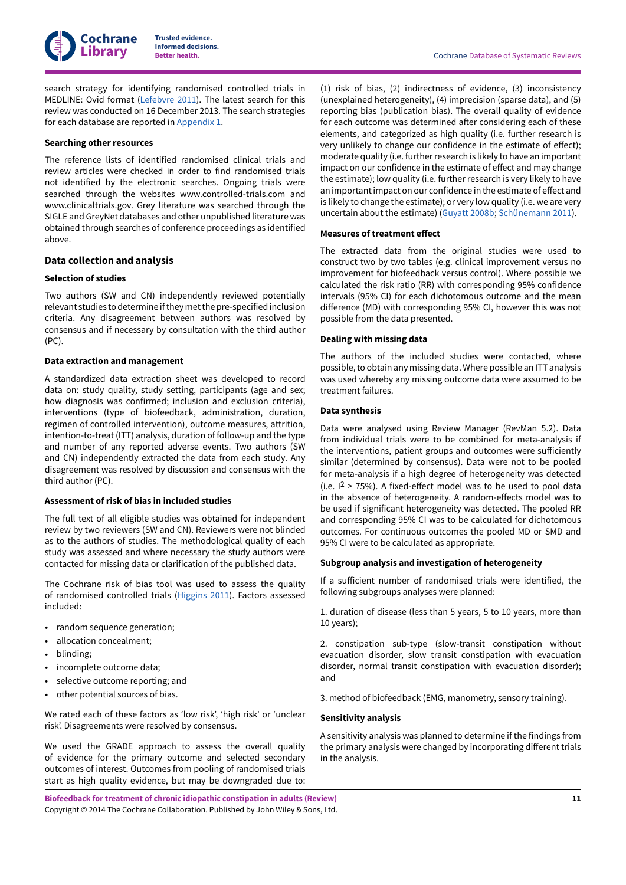

search strategy for identifying randomised controlled trials in MEDLINE: Ovid format [\(Lefebvre](#page-29-9) 2011). The latest search for this review was conducted on 16 December 2013. The search strategies for each database are reported in [Appendix 1](#page-58-2).

### **Searching other resources**

The reference lists of identified randomised clinical trials and review articles were checked in order to find randomised trials not identified by the electronic searches. Ongoing trials were searched through the websites www.controlled-trials.com and www.clinicaltrials.gov. Grey literature was searched through the SIGLE and GreyNet databases and other unpublished literature was obtained through searches of conference proceedings as identified above.

# **Data collection and analysis**

#### **Selection of studies**

Two authors (SW and CN) independently reviewed potentially relevant studies to determine ifthey metthe pre-specified inclusion criteria. Any disagreement between authors was resolved by consensus and if necessary by consultation with the third author (PC).

#### **Data extraction and management**

A standardized data extraction sheet was developed to record data on: study quality, study setting, participants (age and sex; how diagnosis was confirmed; inclusion and exclusion criteria), interventions (type of biofeedback, administration, duration, regimen of controlled intervention), outcome measures, attrition, intention-to-treat (ITT) analysis, duration of follow-up and the type and number of any reported adverse events. Two authors (SW and CN) independently extracted the data from each study. Any disagreement was resolved by discussion and consensus with the third author (PC).

# **Assessment of risk of bias in included studies**

The full text of all eligible studies was obtained for independent review by two reviewers (SW and CN). Reviewers were not blinded as to the authors of studies. The methodological quality of each study was assessed and where necessary the study authors were contacted for missing data or clarification of the published data.

The Cochrane risk of bias tool was used to assess the quality of randomised controlled trials ([Higgins 2011](#page-29-10)). Factors assessed included:

- random sequence generation;
- allocation concealment;
- blinding;
- incomplete outcome data;
- selective outcome reporting; and
- other potential sources of bias.

We rated each of these factors as 'low risk', 'high risk' or 'unclear risk'. Disagreements were resolved by consensus.

We used the GRADE approach to assess the overall quality of evidence for the primary outcome and selected secondary outcomes of interest. Outcomes from pooling of randomised trials start as high quality evidence, but may be downgraded due to:

**Biofeedback for treatment of chronic idiopathic constipation in adults (Review)** Copyright © 2014 The Cochrane Collaboration. Published by John Wiley & Sons, Ltd.

(1) risk of bias, (2) indirectness of evidence, (3) inconsistency (unexplained heterogeneity), (4) imprecision (sparse data), and (5) reporting bias (publication bias). The overall quality of evidence for each outcome was determined after considering each of these elements, and categorized as high quality (i.e. further research is very unlikely to change our confidence in the estimate of effect); moderate quality (i.e. further research is likely to have an important impact on our confidence in the estimate of effect and may change the estimate); low quality (i.e. further research is very likely to have an important impact on our confidence in the estimate of effect and is likely to change the estimate); or very low quality (i.e. we are very uncertain about the estimate) ([Guyatt](#page-29-11) 2008b; [Schünemann 2011\)](#page-30-2).

#### **Measures of treatment effect**

The extracted data from the original studies were used to construct two by two tables (e.g. clinical improvement versus no improvement for biofeedback versus control). Where possible we calculated the risk ratio (RR) with corresponding 95% confidence intervals (95% CI) for each dichotomous outcome and the mean difference (MD) with corresponding 95% CI, however this was not possible from the data presented.

# **Dealing with missing data**

The authors of the included studies were contacted, where possible, to obtain any missing data. Where possible an ITT analysis was used whereby any missing outcome data were assumed to be treatment failures.

# **Data synthesis**

Data were analysed using Review Manager (RevMan 5.2). Data from individual trials were to be combined for meta-analysis if the interventions, patient groups and outcomes were sufficiently similar (determined by consensus). Data were not to be pooled for meta-analysis if a high degree of heterogeneity was detected  $(i.e. 1<sup>2</sup> > 75%)$ . A fixed-effect model was to be used to pool data in the absence of heterogeneity. A random-effects model was to be used if significant heterogeneity was detected. The pooled RR and corresponding 95% CI was to be calculated for dichotomous outcomes. For continuous outcomes the pooled MD or SMD and 95% CI were to be calculated as appropriate.

#### **Subgroup analysis and investigation of heterogeneity**

If a sufficient number of randomised trials were identified, the following subgroups analyses were planned:

1. duration of disease (less than 5 years, 5 to 10 years, more than 10 years);

2. constipation sub-type (slow-transit constipation without evacuation disorder, slow transit constipation with evacuation disorder, normal transit constipation with evacuation disorder); and

3. method of biofeedback (EMG, manometry, sensory training).

# **Sensitivity analysis**

A sensitivity analysis was planned to determine if the findings from the primary analysis were changed by incorporating different trials in the analysis.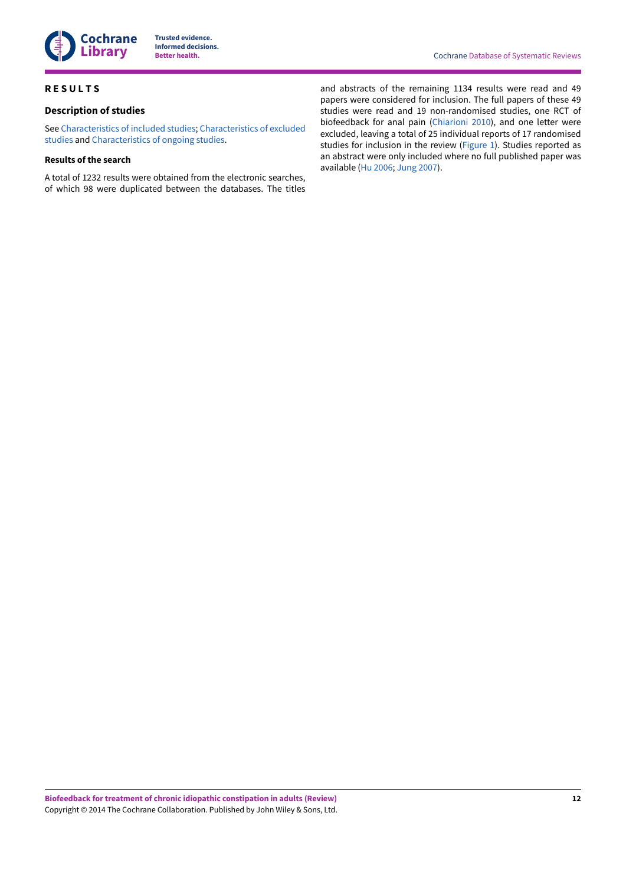

# <span id="page-13-0"></span>**R E S U L T S**

# **Description of studies**

See [Characteristics](#page-31-1) of included studies; [Characteristics](#page-50-0) of excluded [studies](#page-50-0) and [Characteristics](#page-52-0) of ongoing studies.

# **Results of the search**

A total of 1232 results were obtained from the electronic searches, of which 98 were duplicated between the databases. The titles and abstracts of the remaining 1134 results were read and 49 papers were considered for inclusion. The full papers of these 49 studies were read and 19 non-randomised studies, one RCT of biofeedback for anal pain [\(Chiarioni 2010\)](#page-27-2), and one letter were excluded, leaving a total of 25 individual reports of 17 randomised studies for inclusion in the review ([Figure](#page-14-0) 1). Studies reported as an abstract were only included where no full published paper was available [\(Hu 2006;](#page-26-5) [Jung 2007\)](#page-26-6).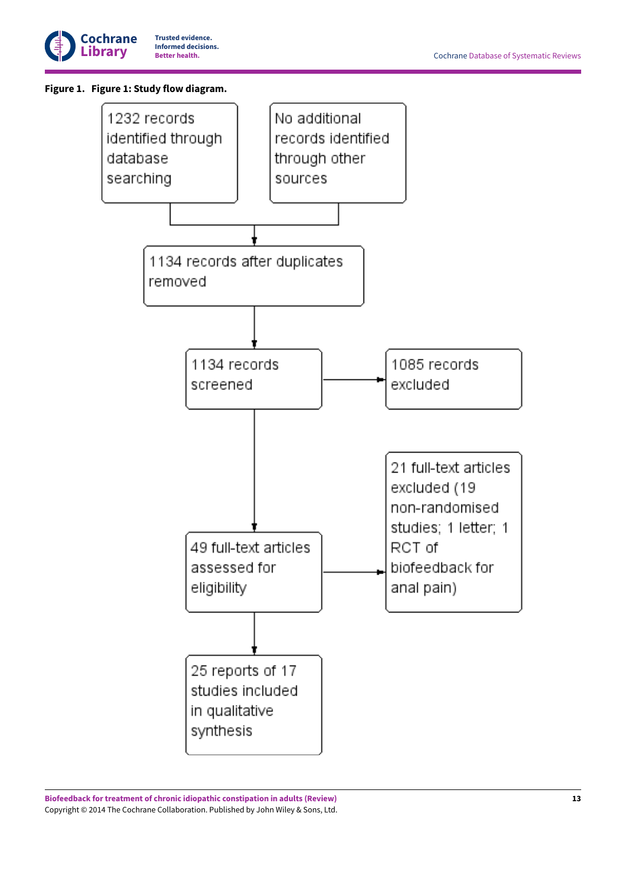

# <span id="page-14-0"></span>**Figure 1. Figure 1:Study flow diagram.**

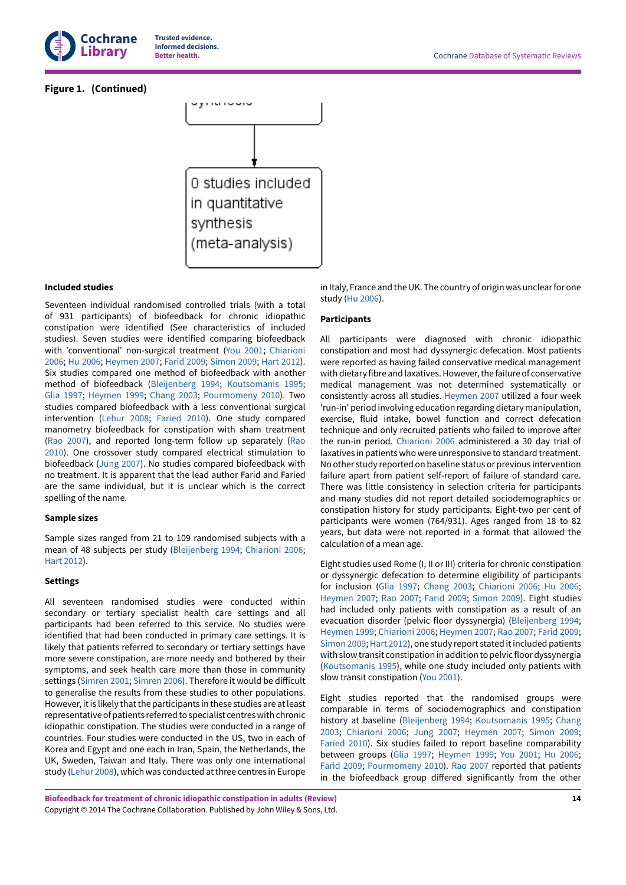

# **Figure 1. (Continued)**



#### **Included studies**

Seventeen individual randomised controlled trials (with a total of 931 participants) of biofeedback for chronic idiopathic constipation were identified (See characteristics of included studies). Seven studies were identified comparing biofeedback with 'conventional' non-surgical treatment (You [2001](#page-27-3); [Chiarioni](#page-26-3) [2006](#page-26-3); [Hu 2006;](#page-26-5) [Heymen](#page-26-4) 2007; [Farid](#page-26-7) 2009; [Simon 2009](#page-27-4); [Hart 2012\)](#page-26-8). Six studies compared one method of biofeedback with another method of biofeedback [\(Bleijenberg](#page-26-9) 1994; [Koutsomanis](#page-26-1) 1995; [Glia 1997](#page-26-2); [Heymen](#page-26-10) 1999; [Chang 2003](#page-26-11); [Pourmomeny](#page-26-12) 2010). Two studies compared biofeedback with a less conventional surgical intervention ([Lehur](#page-26-13) 2008; [Faried](#page-26-14) 2010). One study compared manometry biofeedback for constipation with sham treatment (Rao [2007\)](#page-27-5), and reported long-term follow up separately [\(Rao](#page-30-3) [2010](#page-30-3)). One crossover study compared electrical stimulation to biofeedback [\(Jung 2007\)](#page-26-6). No studies compared biofeedback with no treatment. It is apparent that the lead author Farid and Faried are the same individual, but it is unclear which is the correct spelling of the name.

#### **Sample sizes**

Sample sizes ranged from 21 to 109 randomised subjects with a mean of 48 subjects per study ([Bleijenberg](#page-26-9) 1994; [Chiarioni 2006](#page-26-3); [Hart 2012\)](#page-26-8).

# **Settings**

All seventeen randomised studies were conducted within secondary or tertiary specialist health care settings and all participants had been referred to this service. No studies were identified that had been conducted in primary care settings. It is likely that patients referred to secondary or tertiary settings have more severe constipation, are more needy and bothered by their symptoms, and seek health care more than those in community settings [\(Simren](#page-30-4) 2001; [Simren](#page-30-5) 2006). Therefore it would be difficult to generalise the results from these studies to other populations. However, it is likely that the participants in these studies are at least representative of patients referred to specialist centres with chronic idiopathic constipation. The studies were conducted in a range of countries. Four studies were conducted in the US, two in each of Korea and Egypt and one each in Iran, Spain, the Netherlands, the UK, Sweden, Taiwan and Italy. There was only one international study [\(Lehur](#page-26-13) 2008), which was conducted at three centres in Europe

in Italy, France and the UK. The country of origin was unclear for one study ([Hu 2006](#page-26-5)).

# **Participants**

All participants were diagnosed with chronic idiopathic constipation and most had dyssynergic defecation. Most patients were reported as having failed conservative medical management with dietary fibre and laxatives. However, the failure of conservative medical management was not determined systematically or consistently across all studies. [Heymen](#page-26-4) 2007 utilized a four week 'run-in' period involving education regarding dietary manipulation, exercise, fluid intake, bowel function and correct defecation technique and only recruited patients who failed to improve after the run-in period. [Chiarioni 2006](#page-26-3) administered a 30 day trial of laxatives in patients who were unresponsive to standard treatment. No other study reported on baseline status or previous intervention failure apart from patient self-report of failure of standard care. There was little consistency in selection criteria for participants and many studies did not report detailed sociodemographics or constipation history for study participants. Eight-two per cent of participants were women (764/931). Ages ranged from 18 to 82 years, but data were not reported in a format that allowed the calculation of a mean age.

Eight studies used Rome (I, II or III) criteria for chronic constipation or dyssynergic defecation to determine eligibility of participants for inclusion [\(Glia 1997;](#page-26-2) [Chang 2003](#page-26-11); [Chiarioni 2006;](#page-26-3) [Hu 2006;](#page-26-5) [Heymen](#page-26-4) 2007; Rao [2007](#page-27-5); [Farid](#page-26-7) 2009; [Simon 2009\)](#page-27-4). Eight studies had included only patients with constipation as a result of an evacuation disorder (pelvic floor dyssynergia) ([Bleijenberg](#page-26-9) 1994; [Heymen](#page-26-10) 1999; [Chiarioni 2006;](#page-26-3) [Heymen](#page-26-4) 2007; Rao [2007;](#page-27-5) [Farid](#page-26-7) 2009; [Simon 2009](#page-27-4); [Hart 2012\)](#page-26-8), one study report stated it included patients with slow transit constipation in addition to pelvic floor dyssynergia [\(Koutsomanis](#page-26-1) 1995), while one study included only patients with slow transit constipation (You [2001](#page-27-3)).

Eight studies reported that the randomised groups were comparable in terms of sociodemographics and constipation history at baseline ([Bleijenberg](#page-26-9) 1994; [Koutsomanis](#page-26-1) 1995; [Chang](#page-26-11) [2003;](#page-26-11) [Chiarioni 2006;](#page-26-3) [Jung 2007](#page-26-6); [Heymen](#page-26-4) 2007; [Simon 2009;](#page-27-4) [Faried](#page-26-14) 2010). Six studies failed to report baseline comparability between groups [\(Glia 1997;](#page-26-2) [Heymen](#page-26-10) 1999; You [2001;](#page-27-3) [Hu 2006;](#page-26-5) [Farid](#page-26-7) 2009; [Pourmomeny](#page-26-12) 2010). Rao [2007](#page-27-5) reported that patients in the biofeedback group differed significantly from the other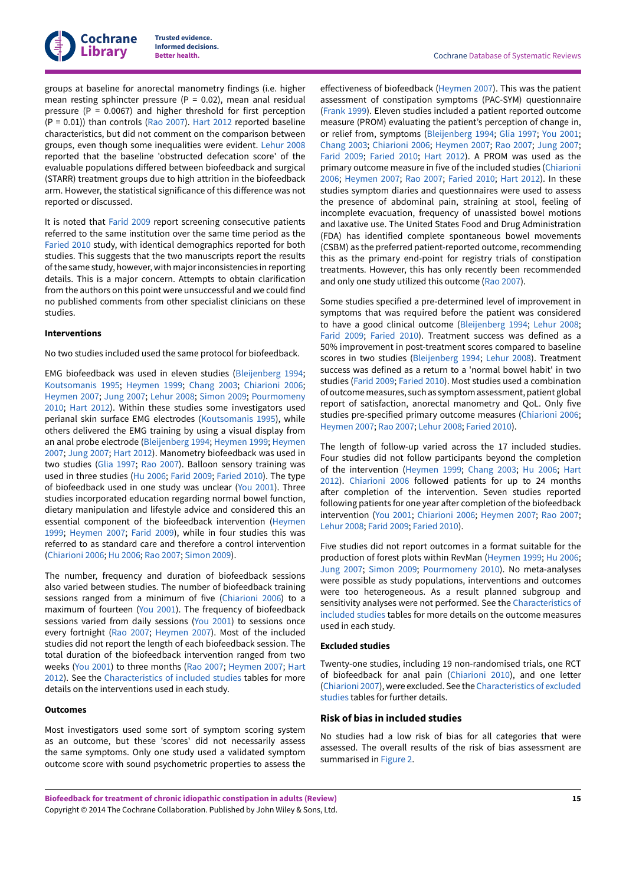groups at baseline for anorectal manometry findings (i.e. higher mean resting sphincter pressure ( $P = 0.02$ ), mean anal residual pressure ( $P = 0.0067$ ) and higher threshold for first perception (P = 0.01)) than controls (Rao [2007\)](#page-27-5). [Hart 2012](#page-26-8) reported baseline characteristics, but did not comment on the comparison between groups, even though some inequalities were evident. [Lehur](#page-26-13) 2008 reported that the baseline 'obstructed defecation score' of the evaluable populations differed between biofeedback and surgical (STARR) treatment groups due to high attrition in the biofeedback arm. However, the statistical significance of this difference was not reported or discussed.

It is noted that [Farid](#page-26-7) 2009 report screening consecutive patients referred to the same institution over the same time period as the [Faried](#page-26-14) 2010 study, with identical demographics reported for both studies. This suggests that the two manuscripts report the results of the same study, however, with major inconsistencies in reporting details. This is a major concern. Attempts to obtain clarification from the authors on this point were unsuccessful and we could find no published comments from other specialist clinicians on these studies.

#### **Interventions**

No two studies included used the same protocol for biofeedback.

EMG biofeedback was used in eleven studies [\(Bleijenberg](#page-26-9) 1994; [Koutsomanis](#page-26-1) 1995; [Heymen](#page-26-10) 1999; [Chang 2003;](#page-26-11) [Chiarioni 2006](#page-26-3); [Heymen](#page-26-4) 2007; [Jung 2007](#page-26-6); [Lehur](#page-26-13) 2008; [Simon 2009;](#page-27-4) [Pourmomeny](#page-26-12) [2010](#page-26-12); [Hart 2012\)](#page-26-8). Within these studies some investigators used perianal skin surface EMG electrodes [\(Koutsomanis](#page-26-1) 1995), while others delivered the EMG training by using a visual display from an anal probe electrode ([Bleijenberg](#page-26-9) 1994; [Heymen](#page-26-10) 1999; [Heymen](#page-26-4) [2007](#page-26-4); [Jung 2007;](#page-26-6) [Hart 2012\)](#page-26-8). Manometry biofeedback was used in two studies [\(Glia 1997;](#page-26-2) Rao [2007](#page-27-5)). Balloon sensory training was used in three studies ([Hu 2006;](#page-26-5) [Farid](#page-26-7) 2009; [Faried](#page-26-14) 2010). The type of biofeedback used in one study was unclear (You [2001\)](#page-27-3). Three studies incorporated education regarding normal bowel function, dietary manipulation and lifestyle advice and considered this an essential component of the biofeedback intervention [\(Heymen](#page-26-10) [1999](#page-26-10); [Heymen](#page-26-4) 2007; [Farid](#page-26-7) 2009), while in four studies this was referred to as standard care and therefore a control intervention [\(Chiarioni 2006](#page-26-3); [Hu 2006;](#page-26-5) Rao [2007;](#page-27-5) [Simon 2009\)](#page-27-4).

The number, frequency and duration of biofeedback sessions also varied between studies. The number of biofeedback training sessions ranged from a minimum of five [\(Chiarioni 2006](#page-26-3)) to a maximum of fourteen (You [2001](#page-27-3)). The frequency of biofeedback sessions varied from daily sessions (You [2001](#page-27-3)) to sessions once every fortnight (Rao [2007](#page-27-5); [Heymen](#page-26-4) 2007). Most of the included studies did not report the length of each biofeedback session. The total duration of the biofeedback intervention ranged from two weeks (You [2001](#page-27-3)) to three months (Rao [2007;](#page-27-5) [Heymen](#page-26-4) 2007; [Hart](#page-26-8) [2012](#page-26-8)). See the [Characteristics](#page-31-1) of included studies tables for more details on the interventions used in each study.

#### **Outcomes**

Most investigators used some sort of symptom scoring system as an outcome, but these 'scores' did not necessarily assess the same symptoms. Only one study used a validated symptom outcome score with sound psychometric properties to assess the

effectiveness of biofeedback [\(Heymen](#page-26-4) 2007). This was the patient assessment of constipation symptoms (PAC-SYM) questionnaire [\(Frank](#page-29-12) 1999). Eleven studies included a patient reported outcome measure (PROM) evaluating the patient's perception of change in, or relief from, symptoms [\(Bleijenberg](#page-26-9) 1994; [Glia 1997;](#page-26-2) You [2001;](#page-27-3) [Chang 2003](#page-26-11); [Chiarioni 2006](#page-26-3); [Heymen](#page-26-4) 2007; Rao [2007](#page-27-5); [Jung 2007;](#page-26-6) [Farid](#page-26-7) 2009; [Faried](#page-26-14) 2010; [Hart 2012](#page-26-8)). A PROM was used as the primary outcome measure in five of the included studies ([Chiarioni](#page-26-3) [2006;](#page-26-3) [Heymen](#page-26-4) 2007; Rao [2007](#page-27-5); [Faried](#page-26-14) 2010; [Hart 2012\)](#page-26-8). In these studies symptom diaries and questionnaires were used to assess the presence of abdominal pain, straining at stool, feeling of incomplete evacuation, frequency of unassisted bowel motions and laxative use. The United States Food and Drug Administration (FDA) has identified complete spontaneous bowel movements (CSBM) as the preferred patient-reported outcome, recommending this as the primary end-point for registry trials of constipation treatments. However, this has only recently been recommended and only one study utilized this outcome (Rao [2007](#page-27-5)).

Some studies specified a pre-determined level of improvement in symptoms that was required before the patient was considered to have a good clinical outcome ([Bleijenberg](#page-26-9) 1994; [Lehur](#page-26-13) 2008; [Farid](#page-26-7) 2009; [Faried](#page-26-14) 2010). Treatment success was defined as a 50% improvement in post-treatment scores compared to baseline scores in two studies ([Bleijenberg](#page-26-9) 1994; [Lehur](#page-26-13) 2008). Treatment success was defined as a return to a 'normal bowel habit' in two studies [\(Farid](#page-26-7) 2009; [Faried](#page-26-14) 2010). Most studies used a combination of outcome measures, such as symptom assessment, patient global report of satisfaction, anorectal manometry and QoL. Only five studies pre-specified primary outcome measures ([Chiarioni 2006;](#page-26-3) [Heymen](#page-26-4) 2007; Rao [2007](#page-27-5); [Lehur](#page-26-13) 2008; [Faried](#page-26-14) 2010).

The length of follow-up varied across the 17 included studies. Four studies did not follow participants beyond the completion of the intervention ([Heymen](#page-26-10) 1999; [Chang 2003](#page-26-11); [Hu 2006;](#page-26-5) [Hart](#page-26-8) [2012\)](#page-26-8). [Chiarioni 2006](#page-26-3) followed patients for up to 24 months after completion of the intervention. Seven studies reported following patients for one year after completion of the biofeedback intervention (You [2001;](#page-27-3) [Chiarioni 2006](#page-26-3); [Heymen](#page-26-4) 2007; Rao [2007;](#page-27-5) [Lehur](#page-26-13) 2008; [Farid](#page-26-7) 2009; [Faried](#page-26-14) 2010).

Five studies did not report outcomes in a format suitable for the production of forest plots within RevMan ([Heymen](#page-26-10) 1999; [Hu 2006;](#page-26-5) [Jung 2007;](#page-26-6) [Simon 2009;](#page-27-4) [Pourmomeny](#page-26-12) 2010). No meta-analyses were possible as study populations, interventions and outcomes were too heterogeneous. As a result planned subgroup and sensitivity analyses were not performed. See the [Characteristics](#page-31-1) of [included](#page-31-1) studies tables for more details on the outcome measures used in each study.

#### **Excluded studies**

Twenty-one studies, including 19 non-randomised trials, one RCT of biofeedback for anal pain [\(Chiarioni 2010\)](#page-27-2), and one letter [\(Chiarioni 2007\)](#page-27-6), were excluded. See the [Characteristics](#page-50-0) of excluded [studies](#page-50-0) tables for further details.

#### **Risk of bias in included studies**

No studies had a low risk of bias for all categories that were assessed. The overall results of the risk of bias assessment are summarised in [Figure](#page-17-0) 2.

**Biofeedback for treatment of chronic idiopathic constipation in adults (Review)** Copyright © 2014 The Cochrane Collaboration. Published by John Wiley & Sons, Ltd.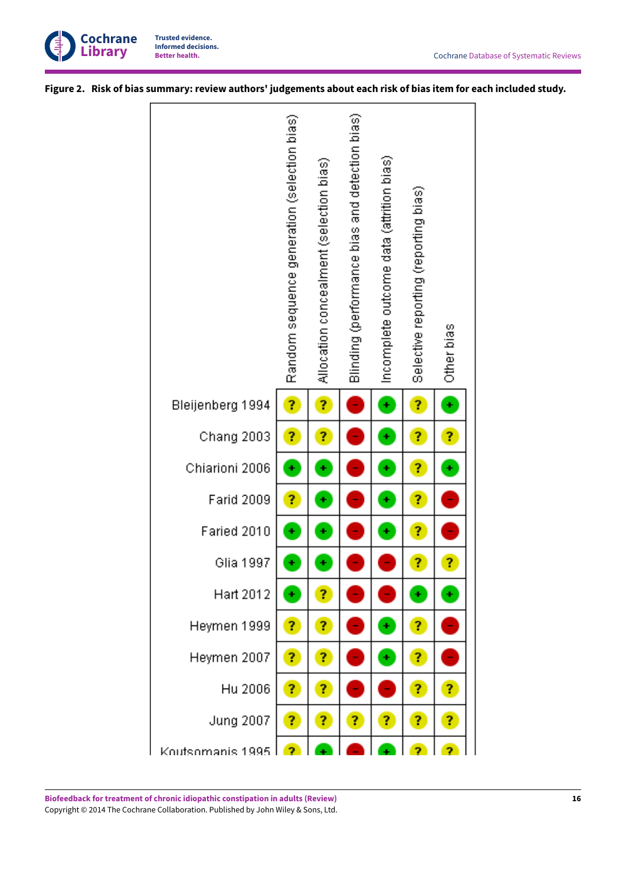

<span id="page-17-0"></span>Figure 2. Risk of bias summary: review authors' judgements about each risk of bias item for each included study.

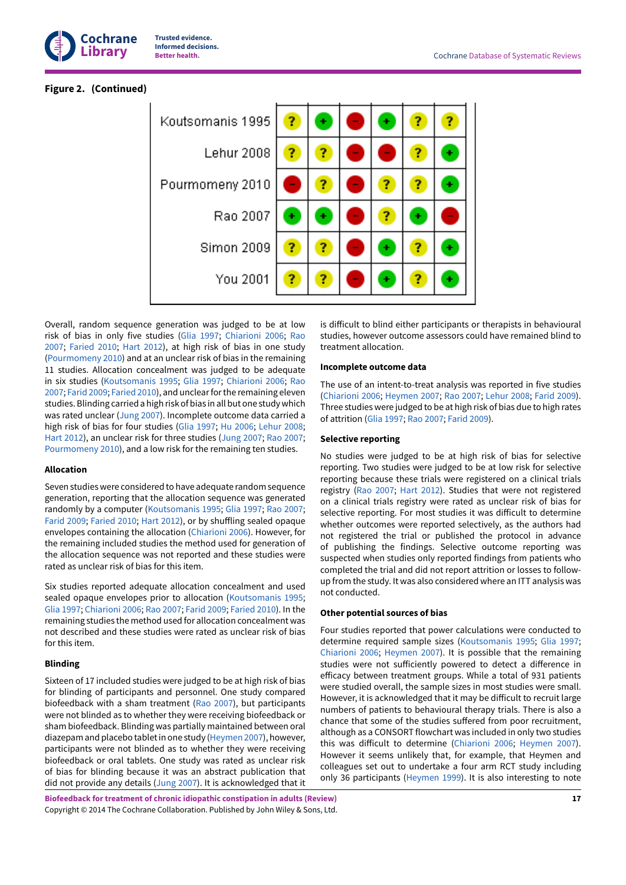

# **Figure 2. (Continued)**

| Koutsomanis 1995  | ? | ٠ |  | 7 |
|-------------------|---|---|--|---|
| Lehur 2008        |   | ? |  |   |
| Pourmomeny 2010   |   | ? |  |   |
| Rao 2007          |   | ٠ |  |   |
| <b>Simon 2009</b> |   | ? |  |   |
| You 2001          |   | ? |  |   |

Overall, random sequence generation was judged to be at low risk of bias in only five studies [\(Glia 1997](#page-26-2); [Chiarioni 2006](#page-26-3); [Rao](#page-27-5) [2007](#page-27-5); [Faried](#page-26-14) 2010; [Hart 2012\)](#page-26-8), at high risk of bias in one study [\(Pourmomeny](#page-26-12) 2010) and at an unclear risk of bias in the remaining 11 studies. Allocation concealment was judged to be adequate in six studies ([Koutsomanis](#page-26-1) 1995; [Glia 1997](#page-26-2); [Chiarioni 2006;](#page-26-3) [Rao](#page-27-5) [2007](#page-27-5); [Farid](#page-26-7) 2009; [Faried](#page-26-14) 2010), and unclearforthe remaining eleven studies.Blinding carried a high risk of bias in all but one studywhich was rated unclear ([Jung 2007](#page-26-6)). Incomplete outcome data carried a high risk of bias for four studies ([Glia 1997](#page-26-2); [Hu 2006](#page-26-5); [Lehur](#page-26-13) 2008; [Hart 2012](#page-26-8)), an unclear risk for three studies ([Jung 2007](#page-26-6); Rao [2007](#page-27-5); [Pourmomeny](#page-26-12) 2010), and a low risk for the remaining ten studies.

#### **Allocation**

Seven studies were considered to have adequate random sequence generation, reporting that the allocation sequence was generated randomly by a computer ([Koutsomanis](#page-26-1) 1995; [Glia 1997](#page-26-2); Rao [2007](#page-27-5); [Farid](#page-26-7) 2009; [Faried](#page-26-14) 2010; [Hart 2012](#page-26-8)), or by shuffling sealed opaque envelopes containing the allocation ([Chiarioni 2006\)](#page-26-3). However, for the remaining included studies the method used for generation of the allocation sequence was not reported and these studies were rated as unclear risk of bias for this item.

Six studies reported adequate allocation concealment and used sealed opaque envelopes prior to allocation [\(Koutsomanis](#page-26-1) 1995; [Glia 1997;](#page-26-2) [Chiarioni 2006;](#page-26-3) Rao [2007;](#page-27-5) [Farid](#page-26-7) 2009; [Faried](#page-26-14) 2010). In the remaining studies the method used for allocation concealment was not described and these studies were rated as unclear risk of bias for this item.

# **Blinding**

Sixteen of 17 included studies were judged to be at high risk of bias for blinding of participants and personnel. One study compared biofeedback with a sham treatment (Rao [2007\)](#page-27-5), but participants were not blinded as to whether they were receiving biofeedback or sham biofeedback. Blinding was partially maintained between oral diazepam and placebo tablet in one study ([Heymen](#page-26-4) 2007), however, participants were not blinded as to whether they were receiving biofeedback or oral tablets. One study was rated as unclear risk of bias for blinding because it was an abstract publication that did not provide any details ([Jung 2007](#page-26-6)). It is acknowledged that it is difficult to blind either participants or therapists in behavioural studies, however outcome assessors could have remained blind to treatment allocation.

### **Incomplete outcome data**

The use of an intent-to-treat analysis was reported in five studies [\(Chiarioni 2006;](#page-26-3) [Heymen](#page-26-4) 2007; Rao [2007](#page-27-5); [Lehur](#page-26-13) 2008; [Farid](#page-26-7) 2009). Three studies were judged to be at high risk of bias due to high rates of attrition [\(Glia 1997;](#page-26-2) Rao [2007;](#page-27-5) [Farid](#page-26-7) 2009).

### **Selective reporting**

No studies were judged to be at high risk of bias for selective reporting. Two studies were judged to be at low risk for selective reporting because these trials were registered on a clinical trials registry (Rao [2007](#page-27-5); [Hart 2012\)](#page-26-8). Studies that were not registered on a clinical trials registry were rated as unclear risk of bias for selective reporting. For most studies it was difficult to determine whether outcomes were reported selectively, as the authors had not registered the trial or published the protocol in advance of publishing the findings. Selective outcome reporting was suspected when studies only reported findings from patients who completed the trial and did not report attrition or losses to followup from the study. It was also considered where an ITT analysis was not conducted.

### **Other potential sources of bias**

Four studies reported that power calculations were conducted to determine required sample sizes ([Koutsomanis](#page-26-1) 1995; [Glia 1997;](#page-26-2) [Chiarioni 2006](#page-26-3); [Heymen](#page-26-4) 2007). It is possible that the remaining studies were not sufficiently powered to detect a difference in efficacy between treatment groups. While a total of 931 patients were studied overall, the sample sizes in most studies were small. However, it is acknowledged that it may be difficult to recruit large numbers of patients to behavioural therapy trials. There is also a chance that some of the studies suffered from poor recruitment, although as a CONSORT flowchart was included in only two studies this was difficult to determine [\(Chiarioni 2006](#page-26-3); [Heymen](#page-26-4) 2007). However it seems unlikely that, for example, that Heymen and colleagues set out to undertake a four arm RCT study including only 36 participants [\(Heymen](#page-26-10) 1999). It is also interesting to note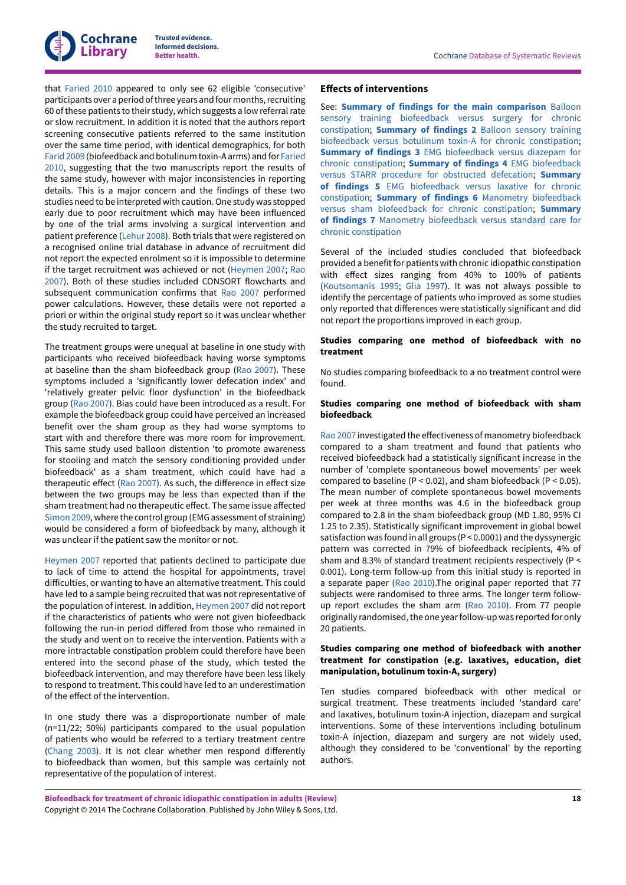

that [Faried](#page-26-14) 2010 appeared to only see 62 eligible 'consecutive' participants over a period of three years and four months, recruiting 60 of these patients to their study, which suggests a low referral rate or slow recruitment. In addition it is noted that the authors report screening consecutive patients referred to the same institution over the same time period, with identical demographics, for both [Farid](#page-26-7) 2009 (biofeedback and botulinum toxin-A arms) and for [Faried](#page-26-14) [2010](#page-26-14), suggesting that the two manuscripts report the results of the same study, however with major inconsistencies in reporting details. This is a major concern and the findings of these two studies need to be interpreted with caution.One study was stopped early due to poor recruitment which may have been influenced by one of the trial arms involving a surgical intervention and patient preference ([Lehur](#page-26-13) 2008). Both trials that were registered on a recognised online trial database in advance of recruitment did not report the expected enrolment so it is impossible to determine if the target recruitment was achieved or not [\(Heymen](#page-26-4) 2007; [Rao](#page-27-5) [2007](#page-27-5)). Both of these studies included CONSORT flowcharts and subsequent communication confirms that Rao [2007](#page-27-5) performed power calculations. However, these details were not reported a priori or within the original study report so it was unclear whether the study recruited to target.

The treatment groups were unequal at baseline in one study with participants who received biofeedback having worse symptoms at baseline than the sham biofeedback group (Rao [2007](#page-27-5)). These symptoms included a 'significantly lower defecation index' and 'relatively greater pelvic floor dysfunction' in the biofeedback group (Rao [2007\)](#page-27-5). Bias could have been introduced as a result. For example the biofeedback group could have perceived an increased benefit over the sham group as they had worse symptoms to start with and therefore there was more room for improvement. This same study used balloon distention 'to promote awareness for stooling and match the sensory conditioning provided under biofeedback' as a sham treatment, which could have had a therapeutic effect (Rao [2007\)](#page-27-5). As such, the difference in effect size between the two groups may be less than expected than if the sham treatment had no therapeutic effect. The same issue affected [Simon 2009](#page-27-4), where the control group (EMG assessment of straining) would be considered a form of biofeedback by many, although it was unclear if the patient saw the monitor or not.

[Heymen](#page-26-4) 2007 reported that patients declined to participate due to lack of time to attend the hospital for appointments, travel difficulties, or wanting to have an alternative treatment. This could have led to a sample being recruited that was not representative of the population of interest. In addition, [Heymen](#page-26-4) 2007 did not report if the characteristics of patients who were not given biofeedback following the run-in period differed from those who remained in the study and went on to receive the intervention. Patients with a more intractable constipation problem could therefore have been entered into the second phase of the study, which tested the biofeedback intervention, and may therefore have been less likely to respond to treatment. This could have led to an underestimation of the effect of the intervention.

In one study there was a disproportionate number of male (n=11/22; 50%) participants compared to the usual population of patients who would be referred to a tertiary treatment centre [\(Chang 2003](#page-26-11)). It is not clear whether men respond differently to biofeedback than women, but this sample was certainly not representative of the population of interest.

#### **Effects of interventions**

See: **Summary of findings for the main [comparison](#page-4-1)** Balloon sensory training [biofeedback](#page-4-1) versus surgery for chronic [constipation;](#page-4-1) **[Summary](#page-5-0) of findings 2** Balloon sensory training biofeedback versus botulinum toxin-A for chronic [constipation;](#page-5-0) **Summary of findings 3** EMG [biofeedback](#page-5-1) versus diazepam for chronic [constipation](#page-5-1); **Summary of findings 4** EMG [biofeedback](#page-6-0) versus STARR procedure for [obstructed](#page-6-0) defecation; **[Summary](#page-7-0) of findings 5** EMG [biofeedback](#page-7-0) versus laxative for chronic [constipation;](#page-7-0) **Summary of findings 6** Manometry [biofeedback](#page-8-0) versus sham biofeedback for chronic [constipation;](#page-8-0) **[Summary](#page-9-0) of findings 7** Manometry [biofeedback](#page-9-0) versus standard care for chronic [constipation](#page-9-0)

Several of the included studies concluded that biofeedback provided a benefit for patients with chronic idiopathic constipation with effect sizes ranging from 40% to 100% of patients [\(Koutsomanis](#page-26-1) 1995; [Glia 1997](#page-26-2)). It was not always possible to identify the percentage of patients who improved as some studies only reported that differences were statistically significant and did not report the proportions improved in each group.

### **Studies comparing one method of biofeedback with no treatment**

No studies comparing biofeedback to a no treatment control were found.

#### **Studies comparing one method of biofeedback with sham biofeedback**

Rao [2007](#page-27-5) investigated the effectiveness of manometry biofeedback compared to a sham treatment and found that patients who received biofeedback had a statistically significant increase in the number of 'complete spontaneous bowel movements' per week compared to baseline ( $P < 0.02$ ), and sham biofeedback ( $P < 0.05$ ). The mean number of complete spontaneous bowel movements per week at three months was 4.6 in the biofeedback group compared to 2.8 in the sham biofeedback group (MD 1.80, 95% CI 1.25 to 2.35). Statistically significant improvement in global bowel satisfaction was found in all groups (P < 0.0001) and the dyssynergic pattern was corrected in 79% of biofeedback recipients, 4% of sham and 8.3% of standard treatment recipients respectively (P < 0.001). Long-term follow-up from this initial study is reported in a separate paper (Rao [2010](#page-30-3)).The original paper reported that 77 subjects were randomised to three arms. The longer term followup report excludes the sham arm (Rao [2010](#page-30-3)). From 77 people originally randomised, the one year follow-up was reported for only 20 patients.

# **Studies comparing one method of biofeedback with another treatment for constipation (e.g. laxatives, education, diet manipulation, botulinum toxin-A, surgery)**

Ten studies compared biofeedback with other medical or surgical treatment. These treatments included 'standard care' and laxatives, botulinum toxin-A injection, diazepam and surgical interventions. Some of these interventions including botulinum toxin-A injection, diazepam and surgery are not widely used, although they considered to be 'conventional' by the reporting authors.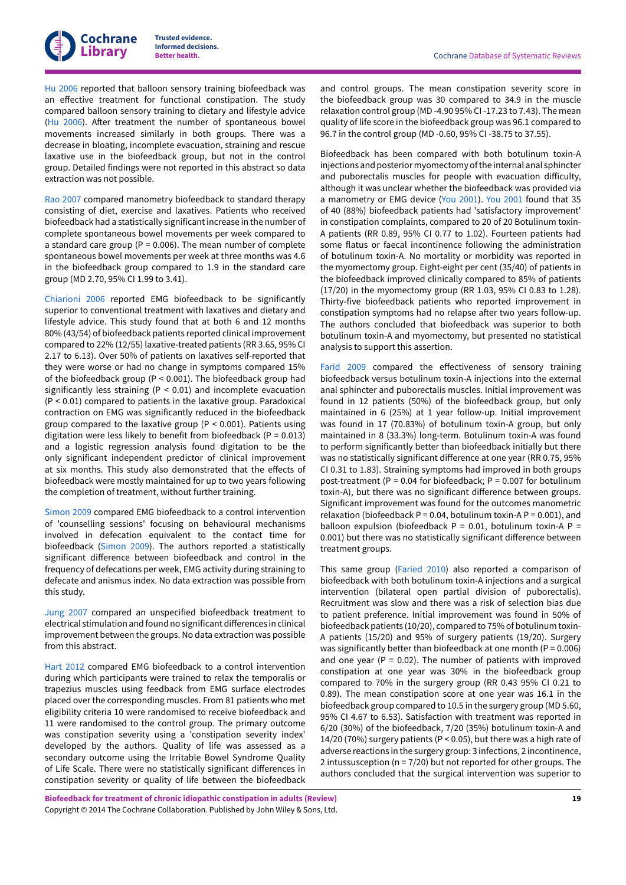

[Hu 2006](#page-26-5) reported that balloon sensory training biofeedback was an effective treatment for functional constipation. The study compared balloon sensory training to dietary and lifestyle advice [\(Hu 2006](#page-26-5)). After treatment the number of spontaneous bowel movements increased similarly in both groups. There was a decrease in bloating, incomplete evacuation, straining and rescue laxative use in the biofeedback group, but not in the control group. Detailed findings were not reported in this abstract so data extraction was not possible.

Rao [2007](#page-27-5) compared manometry biofeedback to standard therapy consisting of diet, exercise and laxatives. Patients who received biofeedback had a statistically significantincrease in the number of complete spontaneous bowel movements per week compared to a standard care group ( $P = 0.006$ ). The mean number of complete spontaneous bowel movements per week at three months was 4.6 in the biofeedback group compared to 1.9 in the standard care group (MD 2.70, 95% CI 1.99 to 3.41).

[Chiarioni 2006](#page-26-3) reported EMG biofeedback to be significantly superior to conventional treatment with laxatives and dietary and lifestyle advice. This study found that at both 6 and 12 months 80% (43/54) of biofeedback patients reported clinical improvement compared to 22% (12/55) laxative-treated patients (RR 3.65, 95% CI 2.17 to 6.13). Over 50% of patients on laxatives self-reported that they were worse or had no change in symptoms compared 15% of the biofeedback group (P < 0.001). The biofeedback group had significantly less straining (P < 0.01) and incomplete evacuation (P < 0.01) compared to patients in the laxative group. Paradoxical contraction on EMG was significantly reduced in the biofeedback group compared to the laxative group (P < 0.001). Patients using digitation were less likely to benefit from biofeedback ( $P = 0.013$ ) and a logistic regression analysis found digitation to be the only significant independent predictor of clinical improvement at six months. This study also demonstrated that the effects of biofeedback were mostly maintained for up to two years following the completion of treatment, without further training.

[Simon 2009](#page-27-4) compared EMG biofeedback to a control intervention of 'counselling sessions' focusing on behavioural mechanisms involved in defecation equivalent to the contact time for biofeedback ([Simon 2009](#page-27-4)). The authors reported a statistically significant difference between biofeedback and control in the frequency of defecations per week, EMG activity during straining to defecate and anismus index. No data extraction was possible from this study.

[Jung 2007](#page-26-6) compared an unspecified biofeedback treatment to electrical stimulation and found no significant differences in clinical improvement between the groups. No data extraction was possible from this abstract.

[Hart 2012](#page-26-8) compared EMG biofeedback to a control intervention during which participants were trained to relax the temporalis or trapezius muscles using feedback from EMG surface electrodes placed over the corresponding muscles. From 81 patients who met eligibility criteria 10 were randomised to receive biofeedback and 11 were randomised to the control group. The primary outcome was constipation severity using a 'constipation severity index' developed by the authors. Quality of life was assessed as a secondary outcome using the Irritable Bowel Syndrome Quality of Life Scale. There were no statistically significant differences in constipation severity or quality of life between the biofeedback

and control groups. The mean constipation severity score in the biofeedback group was 30 compared to 34.9 in the muscle relaxation control group (MD -4.90 95% CI -17.23 to 7.43). The mean quality of life score in the biofeedback group was 96.1 compared to 96.7 in the control group (MD -0.60, 95% CI -38.75 to 37.55).

Biofeedback has been compared with both botulinum toxin-A injections and posterior myomectomy of the internal anal sphincter and puborectalis muscles for people with evacuation difficulty, although it was unclear whether the biofeedback was provided via a manometry or EMG device (You [2001\)](#page-27-3). You [2001](#page-27-3) found that 35 of 40 (88%) biofeedback patients had 'satisfactory improvement' in constipation complaints, compared to 20 of 20 Botulinum toxin-A patients (RR 0.89, 95% CI 0.77 to 1.02). Fourteen patients had some flatus or faecal incontinence following the administration of botulinum toxin-A. No mortality or morbidity was reported in the myomectomy group. Eight-eight per cent (35/40) of patients in the biofeedback improved clinically compared to 85% of patients (17/20) in the myomectomy group (RR 1.03, 95% CI 0.83 to 1.28). Thirty-five biofeedback patients who reported improvement in constipation symptoms had no relapse after two years follow-up. The authors concluded that biofeedback was superior to both botulinum toxin-A and myomectomy, but presented no statistical analysis to support this assertion.

[Farid](#page-26-7) 2009 compared the effectiveness of sensory training biofeedback versus botulinum toxin-A injections into the external anal sphincter and puborectalis muscles. Initial improvement was found in 12 patients (50%) of the biofeedback group, but only maintained in 6 (25%) at 1 year follow-up. Initial improvement was found in 17 (70.83%) of botulinum toxin-A group, but only maintained in 8 (33.3%) long-term. Botulinum toxin-A was found to perform significantly better than biofeedback initially but there was no statistically significant difference at one year (RR 0.75, 95% CI 0.31 to 1.83). Straining symptoms had improved in both groups post-treatment ( $P = 0.04$  for biofeedback;  $P = 0.007$  for botulinum toxin-A), but there was no significant difference between groups. Significant improvement was found for the outcomes manometric relaxation (biofeedback  $P = 0.04$ , botulinum toxin-A  $P = 0.001$ ), and balloon expulsion (biofeedback  $P = 0.01$ , botulinum toxin-A  $P =$ 0.001) but there was no statistically significant difference between treatment groups.

This same group [\(Faried](#page-26-14) 2010) also reported a comparison of biofeedback with both botulinum toxin-A injections and a surgical intervention (bilateral open partial division of puborectalis). Recruitment was slow and there was a risk of selection bias due to patient preference. Initial improvement was found in 50% of biofeedback patients (10/20), compared to 75% of botulinum toxin-A patients (15/20) and 95% of surgery patients (19/20). Surgery was significantly better than biofeedback at one month ( $P = 0.006$ ) and one year ( $P = 0.02$ ). The number of patients with improved constipation at one year was 30% in the biofeedback group compared to 70% in the surgery group (RR 0.43 95% CI 0.21 to 0.89). The mean constipation score at one year was 16.1 in the biofeedback group compared to 10.5 in the surgery group (MD 5.60, 95% CI 4.67 to 6.53). Satisfaction with treatment was reported in 6/20 (30%) of the biofeedback, 7/20 (35%) botulinum toxin-A and 14/20 (70%) surgery patients (P < 0.05), but there was a high rate of adverse reactions in the surgery group: 3 infections, 2 incontinence, 2 intussusception (n = 7/20) but not reported for other groups. The authors concluded that the surgical intervention was superior to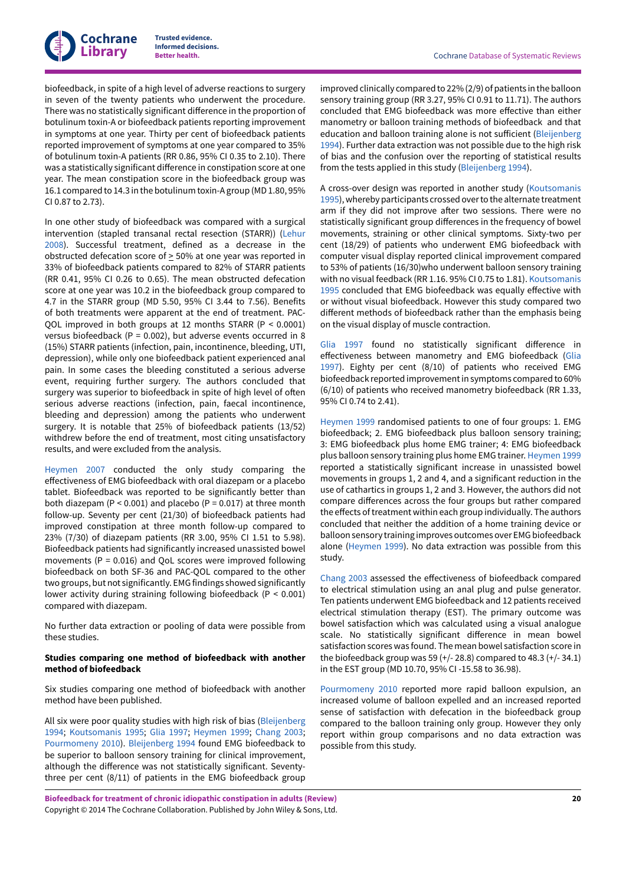biofeedback, in spite of a high level of adverse reactions to surgery in seven of the twenty patients who underwent the procedure. There was no statistically significant difference in the proportion of botulinum toxin-A or biofeedback patients reporting improvement in symptoms at one year. Thirty per cent of biofeedback patients reported improvement of symptoms at one year compared to 35% of botulinum toxin-A patients (RR 0.86, 95% CI 0.35 to 2.10). There was a statistically significant difference in constipation score at one year. The mean constipation score in the biofeedback group was 16.1 compared to 14.3 in the botulinum toxin-A group (MD 1.80, 95% CI 0.87 to 2.73).

In one other study of biofeedback was compared with a surgical intervention (stapled transanal rectal resection (STARR)) ([Lehur](#page-26-13) [2008](#page-26-13)). Successful treatment, defined as a decrease in the obstructed defecation score of > 50% at one year was reported in 33% of biofeedback patients compared to 82% of STARR patients (RR 0.41, 95% CI 0.26 to 0.65). The mean obstructed defecation score at one year was 10.2 in the biofeedback group compared to 4.7 in the STARR group (MD 5.50, 95% CI 3.44 to 7.56). Benefits of both treatments were apparent at the end of treatment. PAC-QOL improved in both groups at 12 months STARR (P < 0.0001) versus biofeedback (P = 0.002), but adverse events occurred in 8 (15%) STARR patients (infection, pain, incontinence, bleeding, UTI, depression), while only one biofeedback patient experienced anal pain. In some cases the bleeding constituted a serious adverse event, requiring further surgery. The authors concluded that surgery was superior to biofeedback in spite of high level of often serious adverse reactions (infection, pain, faecal incontinence, bleeding and depression) among the patients who underwent surgery. It is notable that 25% of biofeedback patients (13/52) withdrew before the end of treatment, most citing unsatisfactory results, and were excluded from the analysis.

[Heymen](#page-26-4) 2007 conducted the only study comparing the effectiveness of EMG biofeedback with oral diazepam or a placebo tablet. Biofeedback was reported to be significantly better than both diazepam ( $P < 0.001$ ) and placebo ( $P = 0.017$ ) at three month follow-up. Seventy per cent (21/30) of biofeedback patients had improved constipation at three month follow-up compared to 23% (7/30) of diazepam patients (RR 3.00, 95% CI 1.51 to 5.98). Biofeedback patients had significantly increased unassisted bowel movements (P = 0.016) and QoL scores were improved following biofeedback on both SF-36 and PAC-QOL compared to the other two groups, but not significantly. EMG findings showed significantly lower activity during straining following biofeedback (P < 0.001) compared with diazepam.

No further data extraction or pooling of data were possible from these studies.

# **Studies comparing one method of biofeedback with another method of biofeedback**

Six studies comparing one method of biofeedback with another method have been published.

All six were poor quality studies with high risk of bias ([Bleijenberg](#page-26-9) [1994](#page-26-9); [Koutsomanis](#page-26-1) 1995; [Glia 1997;](#page-26-2) [Heymen](#page-26-10) 1999; [Chang 2003](#page-26-11); [Pourmomeny](#page-26-12) 2010). [Bleijenberg](#page-26-9) 1994 found EMG biofeedback to be superior to balloon sensory training for clinical improvement, although the difference was not statistically significant. Seventythree per cent (8/11) of patients in the EMG biofeedback group

improved clinically compared to 22% (2/9) of patients in the balloon sensory training group (RR 3.27, 95% CI 0.91 to 11.71). The authors concluded that EMG biofeedback was more effective than either manometry or balloon training methods of biofeedback and that education and balloon training alone is not sufficient ([Bleijenberg](#page-26-9) [1994\)](#page-26-9). Further data extraction was not possible due to the high risk of bias and the confusion over the reporting of statistical results from the tests applied in this study [\(Bleijenberg](#page-26-9) 1994).

A cross-over design was reported in another study [\(Koutsomanis](#page-26-1) [1995\)](#page-26-1), whereby participants crossed over to the alternate treatment arm if they did not improve after two sessions. There were no statistically significant group differences in the frequency of bowel movements, straining or other clinical symptoms. Sixty-two per cent (18/29) of patients who underwent EMG biofeedback with computer visual display reported clinical improvement compared to 53% of patients (16/30)who underwent balloon sensory training with no visual feedback (RR 1.16. 95% CI 0.75 to 1.81). [Koutsomanis](#page-26-1) [1995](#page-26-1) concluded that EMG biofeedback was equally effective with or without visual biofeedback. However this study compared two different methods of biofeedback rather than the emphasis being on the visual display of muscle contraction.

[Glia 1997](#page-26-2) found no statistically significant difference in effectiveness between manometry and EMG biofeedback [\(Glia](#page-26-2) [1997\)](#page-26-2). Eighty per cent (8/10) of patients who received EMG biofeedback reported improvementin symptoms compared to 60% (6/10) of patients who received manometry biofeedback (RR 1.33, 95% CI 0.74 to 2.41).

[Heymen](#page-26-10) 1999 randomised patients to one of four groups: 1. EMG biofeedback; 2. EMG biofeedback plus balloon sensory training; 3: EMG biofeedback plus home EMG trainer; 4: EMG biofeedback plus balloon sensory training plus home EMG trainer. [Heymen](#page-26-10) 1999 reported a statistically significant increase in unassisted bowel movements in groups 1, 2 and 4, and a significant reduction in the use of cathartics in groups 1, 2 and 3. However, the authors did not compare differences across the four groups but rather compared the effects of treatment within each group individually. The authors concluded that neither the addition of a home training device or balloon sensory training improves outcomes over EMG biofeedback alone ([Heymen](#page-26-10) 1999). No data extraction was possible from this study.

[Chang 2003](#page-26-11) assessed the effectiveness of biofeedback compared to electrical stimulation using an anal plug and pulse generator. Ten patients underwent EMG biofeedback and 12 patients received electrical stimulation therapy (EST). The primary outcome was bowel satisfaction which was calculated using a visual analogue scale. No statistically significant difference in mean bowel satisfaction scores was found. The mean bowel satisfaction score in the biofeedback group was 59  $(+/- 28.8)$  compared to 48.3  $(+/- 34.1)$ in the EST group (MD 10.70, 95% CI -15.58 to 36.98).

[Pourmomeny](#page-26-12) 2010 reported more rapid balloon expulsion, an increased volume of balloon expelled and an increased reported sense of satisfaction with defecation in the biofeedback group compared to the balloon training only group. However they only report within group comparisons and no data extraction was possible from this study.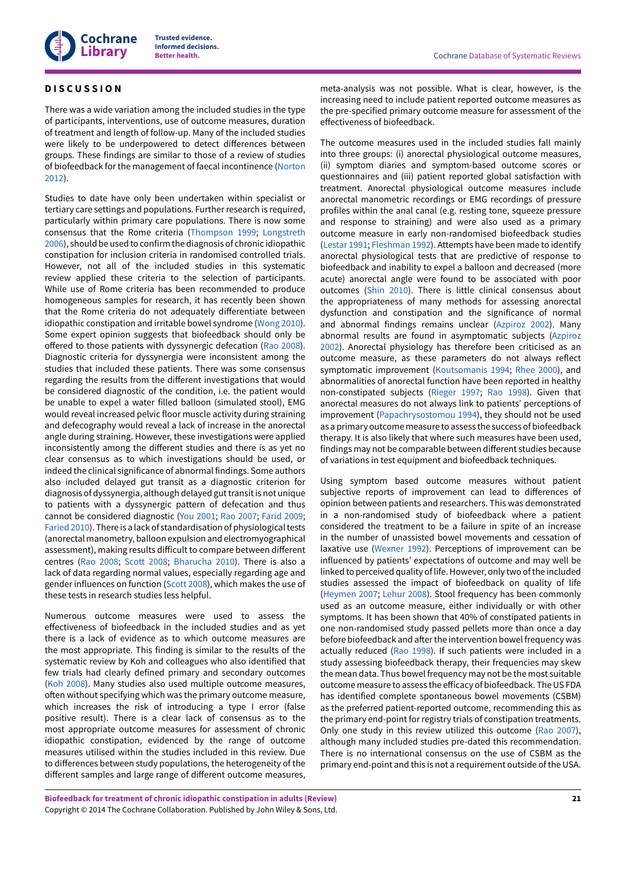# <span id="page-22-0"></span>**D I S C U S S I O N**

There was a wide variation among the included studies in the type of participants, interventions, use of outcome measures, duration of treatment and length of follow-up. Many of the included studies were likely to be underpowered to detect differences between groups. These findings are similar to those of a review of studies of biofeedback for the management of faecal incontinence [\(Norton](#page-29-13) [2012](#page-29-13)).

Studies to date have only been undertaken within specialist or tertiary care settings and populations. Further research is required, particularly within primary care populations. There is now some consensus that the Rome criteria [\(Thompson 1999;](#page-30-6) [Longstreth](#page-29-8) [2006](#page-29-8)), should be used to confirm the diagnosis of chronic idiopathic constipation for inclusion criteria in randomised controlled trials. However, not all of the included studies in this systematic review applied these criteria to the selection of participants. While use of Rome criteria has been recommended to produce homogeneous samples for research, it has recently been shown that the Rome criteria do not adequately differentiate between idiopathic constipation and irritable bowel syndrome ([Wong 2010\)](#page-30-7). Some expert opinion suggests that biofeedback should only be offered to those patients with dyssynergic defecation (Rao [2008\)](#page-30-8). Diagnostic criteria for dyssynergia were inconsistent among the studies that included these patients. There was some consensus regarding the results from the different investigations that would be considered diagnostic of the condition, i.e. the patient would be unable to expel a water filled balloon (simulated stool), EMG would reveal increased pelvic floor muscle activity during straining and defecography would reveal a lack of increase in the anorectal angle during straining. However, these investigations were applied inconsistently among the different studies and there is as yet no clear consensus as to which investigations should be used, or indeed the clinical significance of abnormal findings. Some authors also included delayed gut transit as a diagnostic criterion for diagnosis of dyssynergia, although delayed guttransitis not unique to patients with a dyssynergic pattern of defecation and thus cannot be considered diagnostic (You [2001](#page-27-3); Rao [2007](#page-27-5); [Farid](#page-26-7) 2009; [Faried](#page-26-14) 2010). There is a lack of standardisation of physiological tests (anorectal manometry, balloon expulsion and electromyographical assessment), making results difficult to compare between different centres (Rao [2008;](#page-30-8) [Scott](#page-30-9) 2008; [Bharucha 2010](#page-28-8)). There is also a lack of data regarding normal values, especially regarding age and gender influences on function [\(Scott](#page-30-9) 2008), which makes the use of these tests in research studies less helpful.

Numerous outcome measures were used to assess the effectiveness of biofeedback in the included studies and as yet there is a lack of evidence as to which outcome measures are the most appropriate. This finding is similar to the results of the systematic review by Koh and colleagues who also identified that few trials had clearly defined primary and secondary outcomes (Koh [2008\)](#page-29-14). Many studies also used multiple outcome measures, often without specifying which was the primary outcome measure, which increases the risk of introducing a type I error (false positive result). There is a clear lack of consensus as to the most appropriate outcome measures for assessment of chronic idiopathic constipation, evidenced by the range of outcome measures utilised within the studies included in this review. Due to differences between study populations, the heterogeneity of the different samples and large range of different outcome measures,

meta-analysis was not possible. What is clear, however, is the increasing need to include patient reported outcome measures as the pre-specified primary outcome measure for assessment of the effectiveness of biofeedback.

The outcome measures used in the included studies fall mainly into three groups: (i) anorectal physiological outcome measures, (ii) symptom diaries and symptom-based outcome scores or questionnaires and (iii) patient reported global satisfaction with treatment. Anorectal physiological outcome measures include anorectal manometric recordings or EMG recordings of pressure profiles within the anal canal (e.g. resting tone, squeeze pressure and response to straining) and were also used as a primary outcome measure in early non-randomised biofeedback studies [\(Lestar](#page-29-15) 1991; [Fleshman 1992\)](#page-29-4). Attempts have been made to identify anorectal physiological tests that are predictive of response to biofeedback and inability to expel a balloon and decreased (more acute) anorectal angle were found to be associated with poor outcomes [\(Shin 2010](#page-30-10)). There is little clinical consensus about the appropriateness of many methods for assessing anorectal dysfunction and constipation and the significance of normal and abnormal findings remains unclear [\(Azpiroz](#page-28-9) 2002). Many abnormal results are found in asymptomatic subjects [\(Azpiroz](#page-28-9) [2002\)](#page-28-9). Anorectal physiology has therefore been criticised as an outcome measure, as these parameters do not always reflect symptomatic improvement [\(Koutsomanis](#page-29-16) 1994; [Rhee 2000](#page-30-11)), and abnormalities of anorectal function have been reported in healthy non-constipated subjects [\(Rieger](#page-30-12) 1997; Rao [1998](#page-30-13)). Given that anorectal measures do not always link to patients' perceptions of improvement ([Papachrysostomou](#page-30-14) 1994), they should not be used as a primary outcome measure to assess the success of biofeedback therapy. It is also likely that where such measures have been used, findings may not be comparable between different studies because of variations in test equipment and biofeedback techniques.

Using symptom based outcome measures without patient subjective reports of improvement can lead to differences of opinion between patients and researchers. This was demonstrated in a non-randomised study of biofeedback where a patient considered the treatment to be a failure in spite of an increase in the number of unassisted bowel movements and cessation of laxative use [\(Wexner](#page-30-15) 1992). Perceptions of improvement can be influenced by patients' expectations of outcome and may well be linked to perceived quality of life. However, only two of the included studies assessed the impact of biofeedback on quality of life [\(Heymen](#page-26-4) 2007; [Lehur](#page-26-13) 2008). Stool frequency has been commonly used as an outcome measure, either individually or with other symptoms. It has been shown that 40% of constipated patients in one non-randomised study passed pellets more than once a day before biofeedback and after the intervention bowel frequency was actually reduced (Rao [1998\)](#page-30-13). If such patients were included in a study assessing biofeedback therapy, their frequencies may skew the mean data. Thus bowel frequency may not be the most suitable outcome measure to assess the efficacy of biofeedback. The US FDA has identified complete spontaneous bowel movements (CSBM) as the preferred patient-reported outcome, recommending this as the primary end-point for registry trials of constipation treatments. Only one study in this review utilized this outcome (Rao [2007\)](#page-27-5), although many included studies pre-dated this recommendation. There is no international consensus on the use of CSBM as the primary end-point and this is not a requirement outside of the USA.

**Biofeedback for treatment of chronic idiopathic constipation in adults (Review)** Copyright © 2014 The Cochrane Collaboration. Published by John Wiley & Sons, Ltd.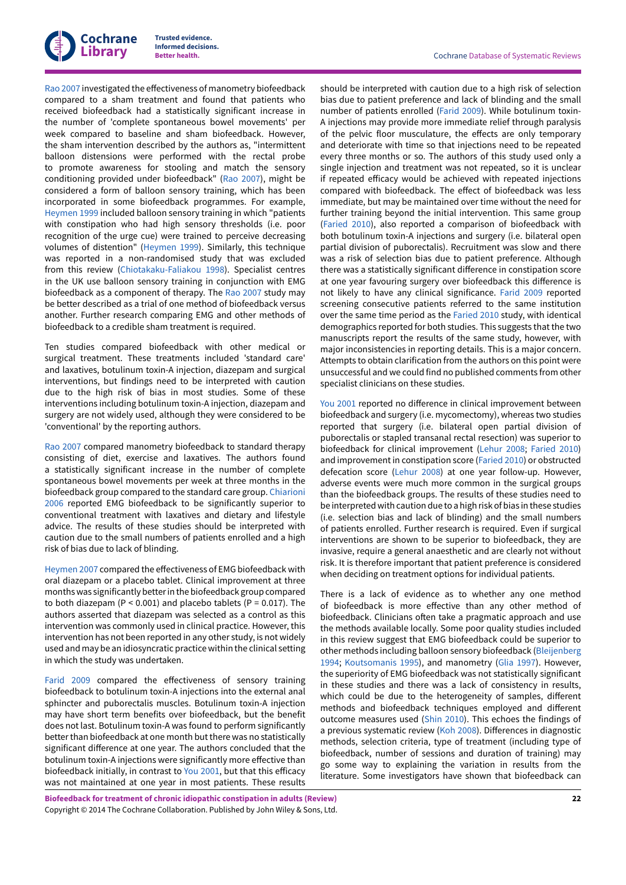

Rao [2007](#page-27-5) investigated the effectiveness of manometry biofeedback compared to a sham treatment and found that patients who received biofeedback had a statistically significant increase in the number of 'complete spontaneous bowel movements' per week compared to baseline and sham biofeedback. However, the sham intervention described by the authors as, "intermittent balloon distensions were performed with the rectal probe to promote awareness for stooling and match the sensory conditioning provided under biofeedback" (Rao [2007\)](#page-27-5), might be considered a form of balloon sensory training, which has been incorporated in some biofeedback programmes. For example, [Heymen](#page-26-10) 1999 included balloon sensory training in which "patients with constipation who had high sensory thresholds (i.e. poor recognition of the urge cue) were trained to perceive decreasing volumes of distention" [\(Heymen](#page-26-10) 1999). Similarly, this technique was reported in a non-randomised study that was excluded from this review [\(Chiotakaku-Faliakou](#page-28-4) 1998). Specialist centres in the UK use balloon sensory training in conjunction with EMG biofeedback as a component of therapy. The Rao [2007](#page-27-5) study may be better described as a trial of one method of biofeedback versus another. Further research comparing EMG and other methods of biofeedback to a credible sham treatment is required.

Ten studies compared biofeedback with other medical or surgical treatment. These treatments included 'standard care' and laxatives, botulinum toxin-A injection, diazepam and surgical interventions, but findings need to be interpreted with caution due to the high risk of bias in most studies. Some of these interventions including botulinum toxin-A injection, diazepam and surgery are not widely used, although they were considered to be 'conventional' by the reporting authors.

Rao [2007](#page-27-5) compared manometry biofeedback to standard therapy consisting of diet, exercise and laxatives. The authors found a statistically significant increase in the number of complete spontaneous bowel movements per week at three months in the biofeedback group compared to the standard care group. [Chiarioni](#page-26-3) [2006](#page-26-3) reported EMG biofeedback to be significantly superior to conventional treatment with laxatives and dietary and lifestyle advice. The results of these studies should be interpreted with caution due to the small numbers of patients enrolled and a high risk of bias due to lack of blinding.

[Heymen](#page-26-4) 2007 compared the effectiveness of EMG biofeedback with oral diazepam or a placebo tablet. Clinical improvement at three months was significantly better in the biofeedback group compared to both diazepam (P < 0.001) and placebo tablets (P = 0.017). The authors asserted that diazepam was selected as a control as this intervention was commonly used in clinical practice. However, this intervention has not been reported in any other study, is not widely used and may be an idiosyncratic practice within the clinical setting in which the study was undertaken.

[Farid](#page-26-7) 2009 compared the effectiveness of sensory training biofeedback to botulinum toxin-A injections into the external anal sphincter and puborectalis muscles. Botulinum toxin-A injection may have short term benefits over biofeedback, but the benefit does not last. Botulinum toxin-A was found to perform significantly better than biofeedback at one month but there was no statistically significant difference at one year. The authors concluded that the botulinum toxin-A injections were significantly more effective than biofeedback initially, in contrast to You [2001,](#page-27-3) but that this efficacy was not maintained at one year in most patients. These results

should be interpreted with caution due to a high risk of selection bias due to patient preference and lack of blinding and the small number of patients enrolled ([Farid](#page-26-7) 2009). While botulinum toxin-A injections may provide more immediate relief through paralysis of the pelvic floor musculature, the effects are only temporary and deteriorate with time so that injections need to be repeated every three months or so. The authors of this study used only a single injection and treatment was not repeated, so it is unclear if repeated efficacy would be achieved with repeated injections compared with biofeedback. The effect of biofeedback was less immediate, but may be maintained over time without the need for further training beyond the initial intervention. This same group [\(Faried](#page-26-14) 2010), also reported a comparison of biofeedback with both botulinum toxin-A injections and surgery (i.e. bilateral open partial division of puborectalis). Recruitment was slow and there was a risk of selection bias due to patient preference. Although there was a statistically significant difference in constipation score at one year favouring surgery over biofeedback this difference is not likely to have any clinical significance. [Farid](#page-26-7) 2009 reported screening consecutive patients referred to the same institution over the same time period as the [Faried](#page-26-14) 2010 study, with identical demographics reported for both studies. This suggests that the two manuscripts report the results of the same study, however, with major inconsistencies in reporting details. This is a major concern. Attempts to obtain clarification from the authors on this point were unsuccessful and we could find no published comments from other specialist clinicians on these studies.

You [2001](#page-27-3) reported no difference in clinical improvement between biofeedback and surgery (i.e. mycomectomy), whereas two studies reported that surgery (i.e. bilateral open partial division of puborectalis or stapled transanal rectal resection) was superior to biofeedback for clinical improvement [\(Lehur](#page-26-13) 2008; [Faried](#page-26-14) 2010) and improvement in constipation score [\(Faried](#page-26-14) 2010) or obstructed defecation score [\(Lehur](#page-26-13) 2008) at one year follow-up. However, adverse events were much more common in the surgical groups than the biofeedback groups. The results of these studies need to be interpreted with caution due to a high risk of bias in these studies (i.e. selection bias and lack of blinding) and the small numbers of patients enrolled. Further research is required. Even if surgical interventions are shown to be superior to biofeedback, they are invasive, require a general anaesthetic and are clearly not without risk. It is therefore important that patient preference is considered when deciding on treatment options for individual patients.

There is a lack of evidence as to whether any one method of biofeedback is more effective than any other method of biofeedback. Clinicians often take a pragmatic approach and use the methods available locally. Some poor quality studies included in this review suggest that EMG biofeedback could be superior to other methods including balloon sensory biofeedback ([Bleijenberg](#page-26-9) [1994;](#page-26-9) [Koutsomanis](#page-26-1) 1995), and manometry ([Glia 1997\)](#page-26-2). However, the superiority of EMG biofeedback was not statistically significant in these studies and there was a lack of consistency in results, which could be due to the heterogeneity of samples, different methods and biofeedback techniques employed and different outcome measures used ([Shin 2010](#page-30-10)). This echoes the findings of a previous systematic review (Koh [2008](#page-29-14)). Differences in diagnostic methods, selection criteria, type of treatment (including type of biofeedback, number of sessions and duration of training) may go some way to explaining the variation in results from the literature. Some investigators have shown that biofeedback can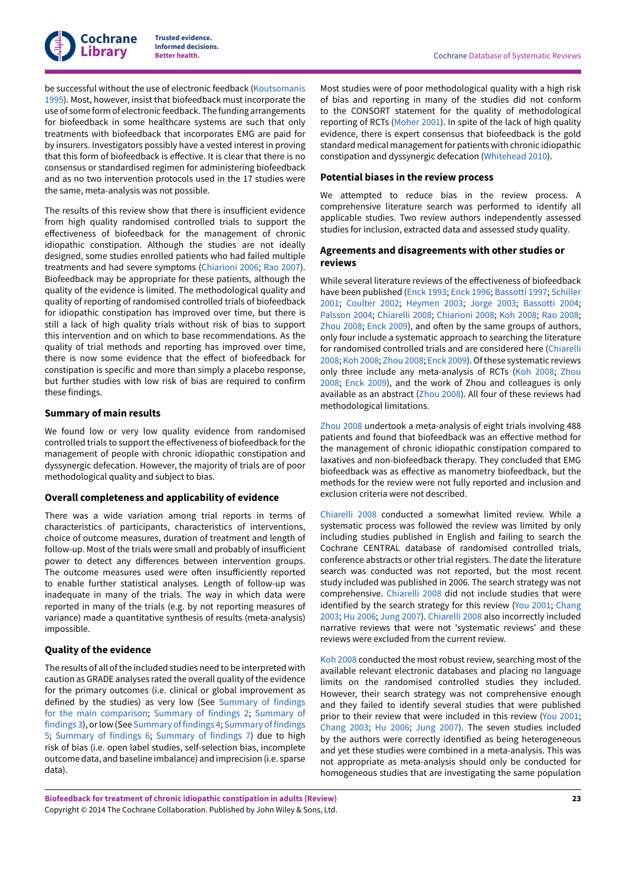

be successful without the use of electronic feedback [\(Koutsomanis](#page-26-1) [1995](#page-26-1)). Most, however, insist that biofeedback must incorporate the use of some form of electronic feedback. The funding arrangements for biofeedback in some healthcare systems are such that only treatments with biofeedback that incorporates EMG are paid for by insurers. Investigators possibly have a vested interest in proving that this form of biofeedback is effective. It is clear that there is no consensus or standardised regimen for administering biofeedback and as no two intervention protocols used in the 17 studies were the same, meta-analysis was not possible.

The results of this review show that there is insufficient evidence from high quality randomised controlled trials to support the effectiveness of biofeedback for the management of chronic idiopathic constipation. Although the studies are not ideally designed, some studies enrolled patients who had failed multiple treatments and had severe symptoms ([Chiarioni 2006](#page-26-3); Rao [2007\)](#page-27-5). Biofeedback may be appropriate for these patients, although the quality of the evidence is limited. The methodological quality and quality of reporting of randomised controlled trials of biofeedback for idiopathic constipation has improved over time, but there is still a lack of high quality trials without risk of bias to support this intervention and on which to base recommendations. As the quality of trial methods and reporting has improved over time, there is now some evidence that the effect of biofeedback for constipation is specific and more than simply a placebo response, but further studies with low risk of bias are required to confirm these findings.

### **Summary of main results**

We found low or very low quality evidence from randomised controlled trials to support the effectiveness of biofeedback for the management of people with chronic idiopathic constipation and dyssynergic defecation. However, the majority of trials are of poor methodological quality and subject to bias.

#### **Overall completeness and applicability of evidence**

There was a wide variation among trial reports in terms of characteristics of participants, characteristics of interventions, choice of outcome measures, duration of treatment and length of follow-up. Most of the trials were small and probably of insufficient power to detect any differences between intervention groups. The outcome measures used were often insufficiently reported to enable further statistical analyses. Length of follow-up was inadequate in many of the trials. The way in which data were reported in many of the trials (e.g. by not reporting measures of variance) made a quantitative synthesis of results (meta-analysis) impossible.

# **Quality of the evidence**

The results of all ofthe included studies need to be interpreted with caution as GRADE analyses rated the overall quality of the evidence for the primary outcomes (i.e. clinical or global improvement as defined by the studies) as very low (See [Summary](#page-4-1) of findings for the main [comparison](#page-4-1); [Summary](#page-5-0) of findings 2; [Summary](#page-5-1) of [findings 3\)](#page-5-1), orlow (See [Summary](#page-6-0) of findings 4; [Summary](#page-7-0) of findings [5;](#page-7-0) [Summary](#page-8-0) of findings 6; [Summary](#page-9-0) of findings 7) due to high risk of bias (i.e. open label studies, self-selection bias, incomplete outcome data, and baseline imbalance) and imprecision (i.e. sparse data).

Most studies were of poor methodological quality with a high risk of bias and reporting in many of the studies did not conform to the CONSORT statement for the quality of methodological reporting of RCTs ([Moher 2001\)](#page-29-17). In spite of the lack of high quality evidence, there is expert consensus that biofeedback is the gold standard medical management for patients with chronic idiopathic constipation and dyssynergic defecation [\(Whitehead](#page-30-16) 2010).

### **Potential biases in the review process**

We attempted to reduce bias in the review process. A comprehensive literature search was performed to identify all applicable studies. Two review authors independently assessed studies for inclusion, extracted data and assessed study quality.

### **Agreements and disagreements with other studies or reviews**

While several literature reviews of the effectiveness of biofeedback have been published [\(Enck 1993;](#page-29-18) [Enck 1996;](#page-29-19) [Bassotti](#page-28-10) 1997; [Schiller](#page-30-17) [2001;](#page-30-17) [Coulter](#page-28-5) 2002; [Heymen](#page-29-6) 2003; [Jorge](#page-29-20) 2003; [Bassotti](#page-28-2) 2004; [Palsson](#page-29-21) 2004; [Chiarelli](#page-28-11) 2008; [Chiarioni 2008](#page-28-6); Koh [2008;](#page-29-14) Rao [2008;](#page-30-8) [Zhou 2008;](#page-30-18) [Enck 2009\)](#page-27-7), and often by the same groups of authors, only four include a systematic approach to searching the literature for randomised controlled trials and are considered here ([Chiarelli](#page-28-11) [2008;](#page-28-11) Koh [2008](#page-29-14); [Zhou 2008;](#page-30-18) [Enck 2009](#page-27-7)). Of these systematic reviews only three include any meta-analysis of RCTs (Koh [2008](#page-29-14); [Zhou](#page-30-18) [2008;](#page-30-18) [Enck 2009\)](#page-27-7), and the work of Zhou and colleagues is only available as an abstract ([Zhou 2008](#page-30-18)). All four of these reviews had methodological limitations.

[Zhou 2008](#page-30-18) undertook a meta-analysis of eight trials involving 488 patients and found that biofeedback was an effective method for the management of chronic idiopathic constipation compared to laxatives and non-biofeedback therapy. They concluded that EMG biofeedback was as effective as manometry biofeedback, but the methods for the review were not fully reported and inclusion and exclusion criteria were not described.

[Chiarelli](#page-28-11) 2008 conducted a somewhat limited review. While a systematic process was followed the review was limited by only including studies published in English and failing to search the Cochrane CENTRAL database of randomised controlled trials, conference abstracts or other trial registers. The date the literature search was conducted was not reported, but the most recent study included was published in 2006. The search strategy was not comprehensive. [Chiarelli](#page-28-11) 2008 did not include studies that were identified by the search strategy for this review (You [2001;](#page-27-3) [Chang](#page-26-11) [2003;](#page-26-11) [Hu 2006;](#page-26-5) [Jung 2007](#page-26-6)). [Chiarelli](#page-28-11) 2008 also incorrectly included narrative reviews that were not 'systematic reviews' and these reviews were excluded from the current review.

Koh [2008](#page-29-14) conducted the most robust review, searching most of the available relevant electronic databases and placing no language limits on the randomised controlled studies they included. However, their search strategy was not comprehensive enough and they failed to identify several studies that were published prior to their review that were included in this review (You [2001;](#page-27-3) [Chang 2003;](#page-26-11) [Hu 2006](#page-26-5); [Jung 2007](#page-26-6)). The seven studies included by the authors were correctly identified as being heterogeneous and yet these studies were combined in a meta-analysis. This was not appropriate as meta-analysis should only be conducted for homogeneous studies that are investigating the same population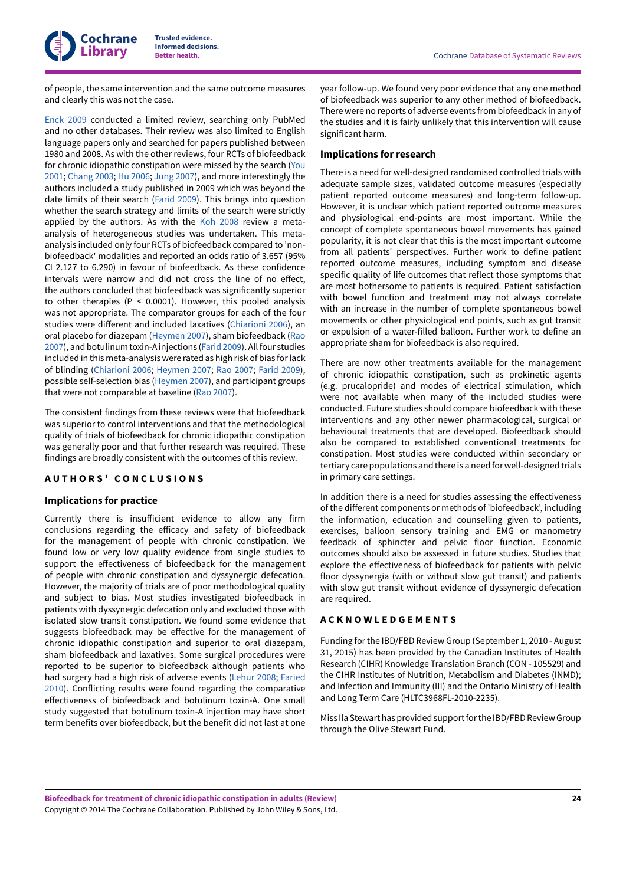

of people, the same intervention and the same outcome measures and clearly this was not the case.

[Enck 2009](#page-27-7) conducted a limited review, searching only PubMed and no other databases. Their review was also limited to English language papers only and searched for papers published between 1980 and 2008. As with the other reviews, four RCTs of biofeedback for chronic idiopathic constipation were missed by the search ([You](#page-27-3) [2001](#page-27-3); [Chang 2003](#page-26-11); [Hu 2006;](#page-26-5) [Jung 2007\)](#page-26-6), and more interestingly the authors included a study published in 2009 which was beyond the date limits of their search [\(Farid](#page-26-7) 2009). This brings into question whether the search strategy and limits of the search were strictly applied by the authors. As with the Koh [2008](#page-29-14) review a metaanalysis of heterogeneous studies was undertaken. This metaanalysis included only four RCTs of biofeedback compared to 'nonbiofeedback' modalities and reported an odds ratio of 3.657 (95% CI 2.127 to 6.290) in favour of biofeedback. As these confidence intervals were narrow and did not cross the line of no effect, the authors concluded that biofeedback was significantly superior to other therapies (P < 0.0001). However, this pooled analysis was not appropriate. The comparator groups for each of the four studies were different and included laxatives ([Chiarioni 2006\)](#page-26-3), an oral placebo for diazepam ([Heymen](#page-26-4) 2007), sham biofeedback [\(Rao](#page-27-5) [2007](#page-27-5)), and botulinum toxin-A injections ([Farid](#page-26-7) 2009). All four studies included in this meta-analysis were rated as high risk of bias forlack of blinding [\(Chiarioni 2006;](#page-26-3) [Heymen](#page-26-4) 2007; Rao [2007](#page-27-5); [Farid](#page-26-7) 2009), possible self-selection bias [\(Heymen](#page-26-4) 2007), and participant groups that were not comparable at baseline (Rao [2007\)](#page-27-5).

The consistent findings from these reviews were that biofeedback was superior to control interventions and that the methodological quality of trials of biofeedback for chronic idiopathic constipation was generally poor and that further research was required. These findings are broadly consistent with the outcomes of this review.

# <span id="page-25-0"></span>**A U T H O R S ' C O N C L U S I O N S**

# **Implications for practice**

Currently there is insufficient evidence to allow any firm conclusions regarding the efficacy and safety of biofeedback for the management of people with chronic constipation. We found low or very low quality evidence from single studies to support the effectiveness of biofeedback for the management of people with chronic constipation and dyssynergic defecation. However, the majority of trials are of poor methodological quality and subject to bias. Most studies investigated biofeedback in patients with dyssynergic defecation only and excluded those with isolated slow transit constipation. We found some evidence that suggests biofeedback may be effective for the management of chronic idiopathic constipation and superior to oral diazepam, sham biofeedback and laxatives. Some surgical procedures were reported to be superior to biofeedback although patients who had surgery had a high risk of adverse events [\(Lehur](#page-26-13) 2008; [Faried](#page-26-14) [2010](#page-26-14)). Conflicting results were found regarding the comparative effectiveness of biofeedback and botulinum toxin-A. One small study suggested that botulinum toxin-A injection may have short term benefits over biofeedback, but the benefit did not last at one

year follow-up. We found very poor evidence that any one method of biofeedback was superior to any other method of biofeedback. There were no reports of adverse events from biofeedback in any of the studies and it is fairly unlikely that this intervention will cause significant harm.

### **Implications for research**

There is a need for well-designed randomised controlled trials with adequate sample sizes, validated outcome measures (especially patient reported outcome measures) and long-term follow-up. However, it is unclear which patient reported outcome measures and physiological end-points are most important. While the concept of complete spontaneous bowel movements has gained popularity, it is not clear that this is the most important outcome from all patients' perspectives. Further work to define patient reported outcome measures, including symptom and disease specific quality of life outcomes that reflect those symptoms that are most bothersome to patients is required. Patient satisfaction with bowel function and treatment may not always correlate with an increase in the number of complete spontaneous bowel movements or other physiological end points, such as gut transit or expulsion of a water-filled balloon. Further work to define an appropriate sham for biofeedback is also required.

There are now other treatments available for the management of chronic idiopathic constipation, such as prokinetic agents (e.g. prucalopride) and modes of electrical stimulation, which were not available when many of the included studies were conducted. Future studies should compare biofeedback with these interventions and any other newer pharmacological, surgical or behavioural treatments that are developed. Biofeedback should also be compared to established conventional treatments for constipation. Most studies were conducted within secondary or tertiary care populations and there is a need forwell-designed trials in primary care settings.

In addition there is a need for studies assessing the effectiveness of the different components or methods of 'biofeedback', including the information, education and counselling given to patients, exercises, balloon sensory training and EMG or manometry feedback of sphincter and pelvic floor function. Economic outcomes should also be assessed in future studies. Studies that explore the effectiveness of biofeedback for patients with pelvic floor dyssynergia (with or without slow gut transit) and patients with slow gut transit without evidence of dyssynergic defecation are required.

# <span id="page-25-1"></span>**A C K N O W L E D G E M E N T S**

Funding forthe IBD/FBD Review Group (September 1, 2010 - August 31, 2015) has been provided by the Canadian Institutes of Health Research (CIHR) Knowledge Translation Branch (CON - 105529) and the CIHR Institutes of Nutrition, Metabolism and Diabetes (INMD); and Infection and Immunity (III) and the Ontario Ministry of Health and Long Term Care (HLTC3968FL-2010-2235).

Miss Ila Stewart has provided support for the IBD/FBD Review Group through the Olive Stewart Fund.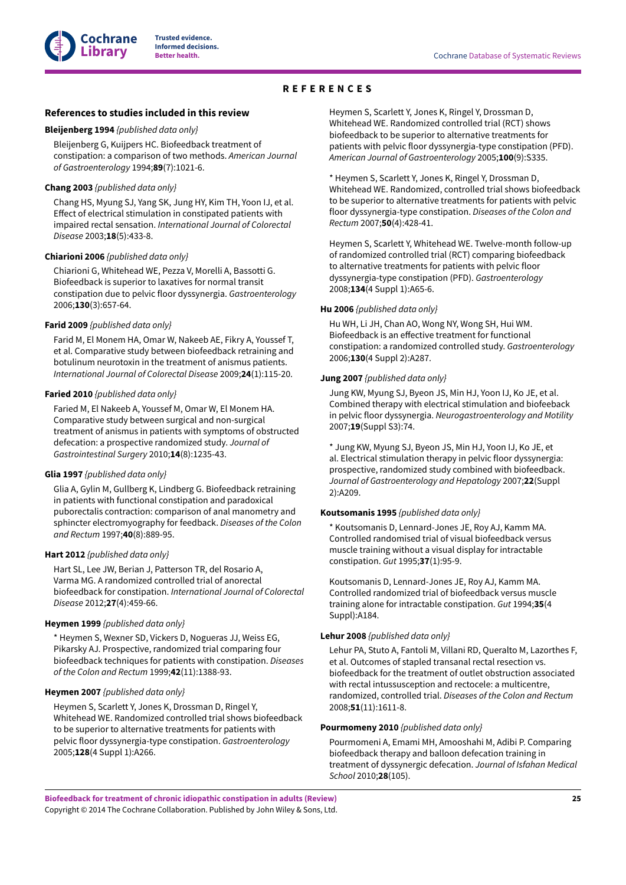# **REFERENCES**

#### <span id="page-26-0"></span>**References to studies included in this review**

#### <span id="page-26-9"></span>**Bleijenberg 1994** *{published data only}*

Bleijenberg G, Kuijpers HC. Biofeedback treatment of constipation: a comparison of two methods. *American Journal of Gastroenterology* 1994;**89**(7):1021-6.

#### <span id="page-26-11"></span>**Chang 2003** *{published data only}*

Chang HS, Myung SJ, Yang SK, Jung HY, Kim TH, Yoon IJ, et al. Effect of electrical stimulation in constipated patients with impaired rectal sensation. *International Journal of Colorectal Disease* 2003;**18**(5):433-8.

#### <span id="page-26-3"></span>**Chiarioni 2006** *{published data only}*

Chiarioni G, Whitehead WE, Pezza V, Morelli A, Bassotti G. Biofeedback is superior to laxatives for normal transit constipation due to pelvic floor dyssynergia. *Gastroenterology* 2006;**130**(3):657-64.

#### <span id="page-26-7"></span>**Farid 2009** *{published data only}*

Farid M, El Monem HA, Omar W, Nakeeb AE, Fikry A, Youssef T, et al. Comparative study between biofeedback retraining and botulinum neurotoxin in the treatment of anismus patients. *International Journal of Colorectal Disease* 2009;**24**(1):115-20.

#### <span id="page-26-14"></span>**Faried 2010** *{published data only}*

Faried M, El Nakeeb A, Youssef M, Omar W, El Monem HA. Comparative study between surgical and non-surgical treatment of anismus in patients with symptoms of obstructed defecation: a prospective randomized study. *Journal of Gastrointestinal Surgery* 2010;**14**(8):1235-43.

#### <span id="page-26-2"></span>**Glia 1997** *{published data only}*

Glia A, Gylin M, Gullberg K, Lindberg G. Biofeedback retraining in patients with functional constipation and paradoxical puborectalis contraction: comparison of anal manometry and sphincter electromyography for feedback. *Diseases of the Colon and Rectum* 1997;**40**(8):889-95.

#### <span id="page-26-8"></span>**Hart 2012** *{published data only}*

Hart SL, Lee JW, Berian J, Patterson TR, del Rosario A, Varma MG. A randomized controlled trial of anorectal biofeedback for constipation. *International Journal of Colorectal Disease* 2012;**27**(4):459-66.

#### <span id="page-26-10"></span>**Heymen 1999** *{published data only}*

\* Heymen S, Wexner SD, Vickers D, Nogueras JJ, Weiss EG, Pikarsky AJ. Prospective, randomized trial comparing four biofeedback techniques for patients with constipation. *Diseases of the Colon and Rectum* 1999;**42**(11):1388-93.

### <span id="page-26-4"></span>**Heymen 2007** *{published data only}*

Heymen S, Scarlett Y, Jones K, Drossman D, Ringel Y, Whitehead WE. Randomized controlled trial shows biofeedback to be superior to alternative treatments for patients with pelvic floor dyssynergia-type constipation. *Gastroenterology* 2005;**128**(4 Suppl 1):A266.

Heymen S, Scarlett Y, Jones K, Ringel Y, Drossman D, Whitehead WE. Randomized controlled trial (RCT) shows biofeedback to be superior to alternative treatments for patients with pelvic floor dyssynergia-type constipation (PFD). *American Journal of Gastroenterology* 2005;**100**(9):S335.

\* Heymen S, Scarlett Y, Jones K, Ringel Y, Drossman D, Whitehead WE. Randomized, controlled trial shows biofeedback to be superior to alternative treatments for patients with pelvic floor dyssynergia-type constipation. *Diseases of the Colon and Rectum* 2007;**50**(4):428-41.

Heymen S, Scarlett Y, Whitehead WE. Twelve-month follow-up of randomized controlled trial (RCT) comparing biofeedback to alternative treatments for patients with pelvic floor dyssynergia-type constipation (PFD). *Gastroenterology* 2008;**134**(4 Suppl 1):A65-6.

#### <span id="page-26-5"></span>**Hu 2006** *{published data only}*

Hu WH, Li JH, Chan AO, Wong NY, Wong SH, Hui WM. Biofeedback is an effective treatment for functional constipation: a randomized controlled study. *Gastroenterology* 2006;**130**(4 Suppl 2):A287.

#### <span id="page-26-6"></span>**Jung 2007** *{published data only}*

Jung KW, Myung SJ, Byeon JS, Min HJ, Yoon IJ, Ko JE, et al. Combined therapy with electrical stimulation and biofeeback in pelvic floor dyssynergia. *Neurogastroenterology and Motility* 2007;**19**(Suppl S3):74.

\* Jung KW, Myung SJ, Byeon JS, Min HJ, Yoon IJ, Ko JE, et al. Electrical stimulation therapy in pelvic floor dyssynergia: prospective, randomized study combined with biofeedback. *Journal of Gastroenterology and Hepatology* 2007;**22**(Suppl 2):A209.

## <span id="page-26-1"></span>**Koutsomanis 1995** *{published data only}*

\* Koutsomanis D, Lennard-Jones JE, Roy AJ, Kamm MA. Controlled randomised trial of visual biofeedback versus muscle training without a visual display for intractable constipation. *Gut* 1995;**37**(1):95-9.

Koutsomanis D, Lennard-Jones JE, Roy AJ, Kamm MA. Controlled randomized trial of biofeedback versus muscle training alone for intractable constipation. *Gut* 1994;**35**(4 Suppl):A184.

#### <span id="page-26-13"></span>**Lehur 2008** *{published data only}*

Lehur PA, Stuto A, Fantoli M, Villani RD, Queralto M, Lazorthes F, et al. Outcomes of stapled transanal rectal resection vs. biofeedback for the treatment of outlet obstruction associated with rectal intussusception and rectocele: a multicentre, randomized, controlled trial. *Diseases of the Colon and Rectum* 2008;**51**(11):1611-8.

#### <span id="page-26-12"></span>**Pourmomeny 2010** *{published data only}*

Pourmomeni A, Emami MH, Amooshahi M, Adibi P. Comparing biofeedback therapy and balloon defecation training in treatment of dyssynergic defecation. *Journal of Isfahan Medical School* 2010;**28**(105).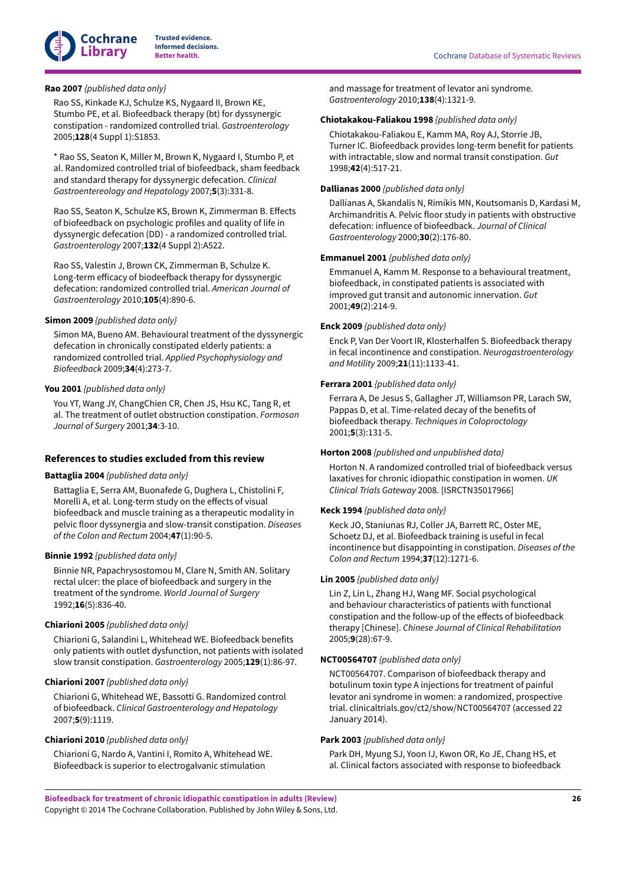

# <span id="page-27-5"></span>**Rao 2007** *{published data only}*

Rao SS, Kinkade KJ, Schulze KS, Nygaard II, Brown KE, Stumbo PE, et al. Biofeedback therapy (bt) for dyssynergic constipation - randomized controlled trial. *Gastroenterology* 2005;**128**(4 Suppl 1):S1853.

\* Rao SS, Seaton K, Miller M, Brown K, Nygaard I, Stumbo P, et al. Randomized controlled trial of biofeedback, sham feedback and standard therapy for dyssynergic defecation. *Clinical Gastroentereology and Hepatology* 2007;**5**(3):331-8.

Rao SS, Seaton K, Schulze KS, Brown K, Zimmerman B. Effects of biofeedback on psychologic profiles and quality of life in dyssynergic defecation (DD) - a randomized controlled trial. *Gastroenterology* 2007;**132**(4 Suppl 2):A522.

Rao SS, Valestin J, Brown CK, Zimmerman B, Schulze K. Long-term efficacy of biodeefback therapy for dyssynergic defecation: randomized controlled trial. *American Journal of Gastroenterology* 2010;**105**(4):890-6.

#### <span id="page-27-4"></span>**Simon 2009** *{published data only}*

Simon MA, Bueno AM. Behavioural treatment of the dyssynergic defecation in chronically constipated elderly patients: a randomized controlled trial. *Applied Psychophysiology and Biofeedback* 2009;**34**(4):273-7.

### <span id="page-27-3"></span>**You 2001** *{published data only}*

You YT, Wang JY, ChangChien CR, Chen JS, Hsu KC, Tang R, et al. The treatment of outlet obstruction constipation. *Formosan Journal of Surgery* 2001;**34**:3-10.

### **References to studies excluded from this review**

# <span id="page-27-1"></span>**Battaglia 2004** *{published data only}*

Battaglia E, Serra AM, Buonafede G, Dughera L, Chistolini F, Morelli A, et al. Long-term study on the effects of visual biofeedback and muscle training as a therapeutic modality in pelvic floor dyssynergia and slow-transit constipation. *Diseases of the Colon and Rectum* 2004;**47**(1):90-5.

#### <span id="page-27-8"></span>**Binnie 1992** *{published data only}*

Binnie NR, Papachrysostomou M, Clare N, Smith AN. Solitary rectal ulcer: the place of biofeedback and surgery in the treatment of the syndrome. *World Journal of Surgery* 1992;**16**(5):836-40.

# <span id="page-27-9"></span>**Chiarioni 2005** *{published data only}*

Chiarioni G, Salandini L, Whitehead WE. Biofeedback benefits only patients with outlet dysfunction, not patients with isolated slow transit constipation. *Gastroenterology* 2005;**129**(1):86-97.

#### <span id="page-27-6"></span>**Chiarioni 2007** *{published data only}*

Chiarioni G, Whitehead WE, Bassotti G. Randomized control of biofeedback. *Clinical Gastroenterology and Hepatology* 2007;**5**(9):1119.

### <span id="page-27-2"></span>**Chiarioni 2010** *{published data only}*

Chiarioni G, Nardo A, Vantini I, Romito A, Whitehead WE. Biofeedback is superior to electrogalvanic stimulation

and massage for treatment of levator ani syndrome. *Gastroenterology* 2010;**138**(4):1321-9.

### <span id="page-27-10"></span>**Chiotakakou-Faliakou 1998** *{published data only}*

Chiotakakou-Faliakou E, Kamm MA, Roy AJ, Storrie JB, Turner IC. Biofeedback provides long-term benefit for patients with intractable, slow and normal transit constipation. *Gut* 1998;**42**(4):517-21.

# <span id="page-27-11"></span>**Dallianas 2000** *{published data only}*

Dallianas A, Skandalis N, Rimikis MN, Koutsomanis D, Kardasi M, Archimandritis A. Pelvic floor study in patients with obstructive defecation: influence of biofeedback. *Journal of Clinical Gastroenterology* 2000;**30**(2):176-80.

## <span id="page-27-0"></span>**Emmanuel 2001** *{published data only}*

Emmanuel A, Kamm M. Response to a behavioural treatment, biofeedback, in constipated patients is associated with improved gut transit and autonomic innervation. *Gut* 2001;**49**(2):214-9.

#### <span id="page-27-7"></span>**Enck 2009** *{published data only}*

Enck P, Van Der Voort IR, Klosterhalfen S. Biofeedback therapy in fecal incontinence and constipation. *Neurogastroenterology and Motility* 2009;**21**(11):1133-41.

### <span id="page-27-12"></span>**Ferrara 2001** *{published data only}*

Ferrara A, De Jesus S, Gallagher JT, Williamson PR, Larach SW, Pappas D, et al. Time-related decay of the benefits of biofeedback therapy. *Techniques in Coloproctology* 2001;**5**(3):131-5.

#### <span id="page-27-13"></span>**Horton 2008** *{published and unpublished data}*

Horton N. A randomized controlled trial of biofeedback versus laxatives for chronic idiopathic constipation in women. *UK Clinical Trials Gateway* 2008. [ISRCTN35017966]

# <span id="page-27-14"></span>**Keck 1994** *{published data only}*

Keck JO, Staniunas RJ, Coller JA, Barrett RC, Oster ME, Schoetz DJ, et al. Biofeedback training is useful in fecal incontinence but disappointing in constipation. *Diseases of the Colon and Rectum* 1994;**37**(12):1271-6.

#### <span id="page-27-15"></span>**Lin 2005** *{published data only}*

Lin Z, Lin L, Zhang HJ, Wang MF. Social psychological and behaviour characteristics of patients with functional constipation and the follow-up of the effects of biofeedback therapy [Chinese]. *Chinese Journal of Clinical Rehabilitation* 2005;**9**(28):67-9.

#### <span id="page-27-16"></span>**NCT00564707** *{published data only}*

NCT00564707. Comparison of biofeedback therapy and botulinum toxin type A injections for treatment of painful levator ani syndrome in women: a randomized, prospective trial. clinicaltrials.gov/ct2/show/NCT00564707 (accessed 22 January 2014).

#### <span id="page-27-17"></span>**Park 2003** *{published data only}*

Park DH, Myung SJ, Yoon IJ, Kwon OR, Ko JE, Chang HS, et al. Clinical factors associated with response to biofeedback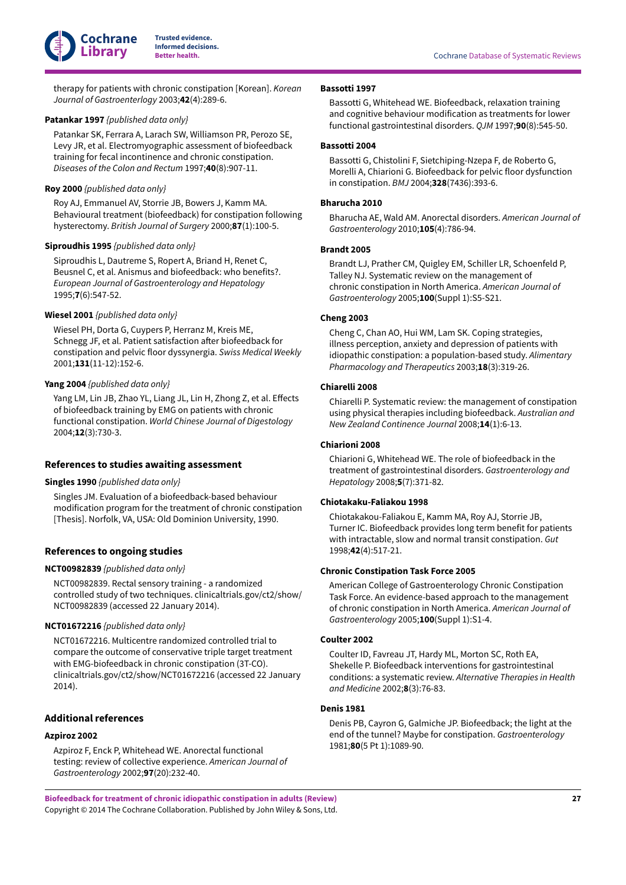

therapy for patients with chronic constipation [Korean]. *Korean Journal of Gastroenterlogy* 2003;**42**(4):289-6.

#### <span id="page-28-12"></span>**Patankar 1997** *{published data only}*

Patankar SK, Ferrara A, Larach SW, Williamson PR, Perozo SE, Levy JR, et al. Electromyographic assessment of biofeedback training for fecal incontinence and chronic constipation. *Diseases of the Colon and Rectum* 1997;**40**(8):907-11.

# <span id="page-28-13"></span>**Roy 2000** *{published data only}*

Roy AJ, Emmanuel AV, Storrie JB, Bowers J, Kamm MA. Behavioural treatment (biofeedback) for constipation following hysterectomy. *British Journal of Surgery* 2000;**87**(1):100-5.

#### <span id="page-28-14"></span>**Siproudhis 1995** *{published data only}*

Siproudhis L, Dautreme S, Ropert A, Briand H, Renet C, Beusnel C, et al. Anismus and biofeedback: who benefits?. *European Journal of Gastroenterology and Hepatology* 1995;**7**(6):547-52.

# <span id="page-28-15"></span>**Wiesel 2001** *{published data only}*

Wiesel PH, Dorta G, Cuypers P, Herranz M, Kreis ME, Schnegg JF, et al. Patient satisfaction after biofeedback for constipation and pelvic floor dyssynergia. *Swiss Medical Weekly* 2001;**131**(11-12):152-6.

# <span id="page-28-16"></span>**Yang 2004** *{published data only}*

Yang LM, Lin JB, Zhao YL, Liang JL, Lin H, Zhong Z, et al. Effects of biofeedback training by EMG on patients with chronic functional constipation. *World Chinese Journal of Digestology* 2004;**12**(3):730-3.

#### **References to studies awaiting assessment**

<span id="page-28-17"></span>**Singles 1990** *{published data only}*

Singles JM. Evaluation of a biofeedback-based behaviour modification program for the treatment of chronic constipation [Thesis]. Norfolk, VA, USA: Old Dominion University, 1990.

#### **References to ongoing studies**

# <span id="page-28-18"></span>**NCT00982839** *{published data only}*

NCT00982839. Rectal sensory training - a randomized controlled study of two techniques. clinicaltrials.gov/ct2/show/ NCT00982839 (accessed 22 January 2014).

#### <span id="page-28-19"></span>**NCT01672216** *{published data only}*

NCT01672216. Multicentre randomized controlled trial to compare the outcome of conservative triple target treatment with EMG-biofeedback in chronic constipation (3T-CO). clinicaltrials.gov/ct2/show/NCT01672216 (accessed 22 January 2014).

# **Additional references**

#### <span id="page-28-9"></span>**Azpiroz 2002**

Azpiroz F, Enck P, Whitehead WE. Anorectal functional testing: review of collective experience. *American Journal of Gastroenterology* 2002;**97**(20):232-40.

#### <span id="page-28-10"></span>**Bassotti 1997**

Bassotti G, Whitehead WE. Biofeedback, relaxation training and cognitive behaviour modification as treatments for lower functional gastrointestinal disorders. *QJM* 1997;**90**(8):545-50.

#### <span id="page-28-2"></span>**Bassotti 2004**

Bassotti G, Chistolini F, Sietchiping-Nzepa F, de Roberto G, Morelli A, Chiarioni G. Biofeedback for pelvic floor dysfunction in constipation. *BMJ* 2004;**328**(7436):393-6.

#### <span id="page-28-8"></span>**Bharucha 2010**

Bharucha AE, Wald AM. Anorectal disorders. *American Journal of Gastroenterology* 2010;**105**(4):786-94.

#### <span id="page-28-7"></span>**Brandt 2005**

Brandt LJ, Prather CM, Quigley EM, Schiller LR, Schoenfeld P, Talley NJ. Systematic review on the management of chronic constipation in North America. *American Journal of Gastroenterology* 2005;**100**(Suppl 1):S5-S21.

### <span id="page-28-0"></span>**Cheng 2003**

Cheng C, Chan AO, Hui WM, Lam SK. Coping strategies, illness perception, anxiety and depression of patients with idiopathic constipation: a population-based study. *Alimentary Pharmacology and Therapeutics* 2003;**18**(3):319-26.

# <span id="page-28-11"></span>**Chiarelli 2008**

Chiarelli P. Systematic review: the management of constipation using physical therapies including biofeedback. *Australian and New Zealand Continence Journal* 2008;**14**(1):6-13.

#### <span id="page-28-6"></span>**Chiarioni 2008**

Chiarioni G, Whitehead WE. The role of biofeedback in the treatment of gastrointestinal disorders. *Gastroenterology and Hepatology* 2008;**5**(7):371-82.

#### <span id="page-28-4"></span>**Chiotakaku-Faliakou 1998**

Chiotakakou-Faliakou E, Kamm MA, Roy AJ, Storrie JB, Turner IC. Biofeedback provides long term benefit for patients with intractable, slow and normal transit constipation. *Gut* 1998;**42**(4):517-21.

#### <span id="page-28-3"></span>**Chronic Constipation Task Force 2005**

American College of Gastroenterology Chronic Constipation Task Force. An evidence-based approach to the management of chronic constipation in North America. *American Journal of Gastroenterology* 2005;**100**(Suppl 1):S1-4.

# <span id="page-28-5"></span>**Coulter 2002**

Coulter ID, Favreau JT, Hardy ML, Morton SC, Roth EA, Shekelle P. Biofeedback interventions for gastrointestinal conditions: a systematic review. *Alternative Therapies in Health and Medicine* 2002;**8**(3):76-83.

### <span id="page-28-1"></span>**Denis 1981**

Denis PB, Cayron G, Galmiche JP. Biofeedback; the light at the end of the tunnel? Maybe for constipation. *Gastroenterology* 1981;**80**(5 Pt 1):1089-90.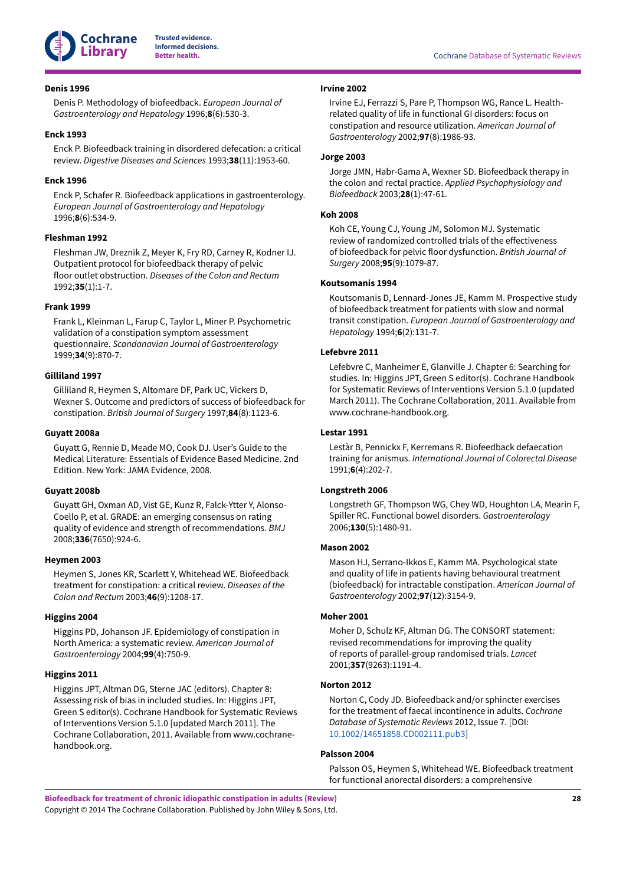

#### <span id="page-29-3"></span>**Denis 1996**

Denis P. Methodology of biofeedback. *European Journal of Gastroenterology and Hepatology* 1996;**8**(6):530-3.

#### <span id="page-29-18"></span>**Enck 1993**

Enck P. Biofeedback training in disordered defecation: a critical review. *Digestive Diseases and Sciences* 1993;**38**(11):1953-60.

#### <span id="page-29-19"></span>**Enck 1996**

Enck P, Schafer R. Biofeedback applications in gastroenterology. *European Journal of Gastroenterology and Hepatology* 1996;**8**(6):534-9.

#### <span id="page-29-4"></span>**Fleshman 1992**

Fleshman JW, Dreznik Z, Meyer K, Fry RD, Carney R, Kodner IJ. Outpatient protocol for biofeedback therapy of pelvic floor outlet obstruction. *Diseases of the Colon and Rectum* 1992;**35**(1):1-7.

#### <span id="page-29-12"></span>**Frank 1999**

Frank L, Kleinman L, Farup C, Taylor L, Miner P. Psychometric validation of a constipation symptom assessment questionnaire. *Scandanavian Journal of Gastroenterology* 1999;**34**(9):870-7.

# <span id="page-29-5"></span>**Gilliland 1997**

Gilliland R, Heymen S, Altomare DF, Park UC, Vickers D, Wexner S. Outcome and predictors of success of biofeedback for constipation. *British Journal of Surgery* 1997;**84**(8):1123-6.

#### <span id="page-29-7"></span>**Guyatt 2008a**

Guyatt G, Rennie D, Meade MO, Cook DJ. User's Guide to the Medical Literature: Essentials of Evidence Based Medicine. 2nd Edition. New York: JAMA Evidence, 2008.

#### <span id="page-29-11"></span>**Guyatt 2008b**

Guyatt GH, Oxman AD, Vist GE, Kunz R, Falck-Ytter Y, Alonso-Coello P, et al. GRADE: an emerging consensus on rating quality of evidence and strength of recommendations. *BMJ* 2008;**336**(7650):924-6.

#### <span id="page-29-6"></span>**Heymen 2003**

Heymen S, Jones KR, Scarlett Y, Whitehead WE. Biofeedback treatment for constipation: a critical review. *Diseases of the Colon and Rectum* 2003;**46**(9):1208-17.

#### <span id="page-29-0"></span>**Higgins 2004**

Higgins PD, Johanson JF. Epidemiology of constipation in North America: a systematic review. *American Journal of Gastroenterology* 2004;**99**(4):750-9.

#### <span id="page-29-10"></span>**Higgins 2011**

Higgins JPT, Altman DG, Sterne JAC (editors). Chapter 8: Assessing risk of bias in included studies. In: Higgins JPT, Green S editor(s). Cochrane Handbook for Systematic Reviews of Interventions Version 5.1.0 [updated March 2011]. The Cochrane Collaboration, 2011. Available from www.cochranehandbook.org.

#### <span id="page-29-1"></span>**Irvine 2002**

Irvine EJ, Ferrazzi S, Pare P, Thompson WG, Rance L. Healthrelated quality of life in functional GI disorders: focus on constipation and resource utilization. *American Journal of Gastroenterology* 2002;**97**(8):1986-93.

#### <span id="page-29-20"></span>**Jorge 2003**

Jorge JMN, Habr-Gama A, Wexner SD. Biofeedback therapy in the colon and rectal practice. *Applied Psychophysiology and Biofeedback* 2003;**28**(1):47-61.

#### <span id="page-29-14"></span>**Koh 2008**

Koh CE, Young CJ, Young JM, Solomon MJ. Systematic review of randomized controlled trials of the effectiveness of biofeedback for pelvic floor dysfunction. *British Journal of Surgery* 2008;**95**(9):1079-87.

#### <span id="page-29-16"></span>**Koutsomanis 1994**

Koutsomanis D, Lennard-Jones JE, Kamm M. Prospective study of biofeedback treatment for patients with slow and normal transit constipation. *European Journal of Gastroenterology and Hepatology* 1994;**6**(2):131-7.

#### <span id="page-29-9"></span>**Lefebvre 2011**

Lefebvre C, Manheimer E, Glanville J. Chapter 6: Searching for studies. In: Higgins JPT, Green S editor(s). Cochrane Handbook for Systematic Reviews of Interventions Version 5.1.0 (updated March 2011). The Cochrane Collaboration, 2011. Available from www.cochrane-handbook.org.

#### <span id="page-29-15"></span>**Lestar 1991**

Lestàr B, Pennickx F, Kerremans R. Biofeedback defaecation training for anismus. *International Journal of Colorectal Disease* 1991;**6**(4):202-7.

### <span id="page-29-8"></span>**Longstreth 2006**

Longstreth GF, Thompson WG, Chey WD, Houghton LA, Mearin F, Spiller RC. Functional bowel disorders. *Gastroenterology* 2006;**130**(5):1480-91.

#### <span id="page-29-2"></span>**Mason 2002**

Mason HJ, Serrano-Ikkos E, Kamm MA. Psychological state and quality of life in patients having behavioural treatment (biofeedback) for intractable constipation. *American Journal of Gastroenterology* 2002;**97**(12):3154-9.

#### <span id="page-29-17"></span>**Moher 2001**

Moher D, Schulz KF, Altman DG. The CONSORT statement: revised recommendations for improving the quality of reports of parallel-group randomised trials. *Lancet* 2001;**357**(9263):1191-4.

#### <span id="page-29-13"></span>**Norton 2012**

Norton C, Cody JD. Biofeedback and/or sphincter exercises for the treatment of faecal incontinence in adults. *Cochrane Database of Systematic Reviews* 2012, Issue 7. [DOI: [10.1002/14651858.CD002111.pub3\]](https://doi.org/10.1002%2F14651858.CD002111.pub3)

#### <span id="page-29-21"></span>**Palsson 2004**

Palsson OS, Heymen S, Whitehead WE. Biofeedback treatment for functional anorectal disorders: a comprehensive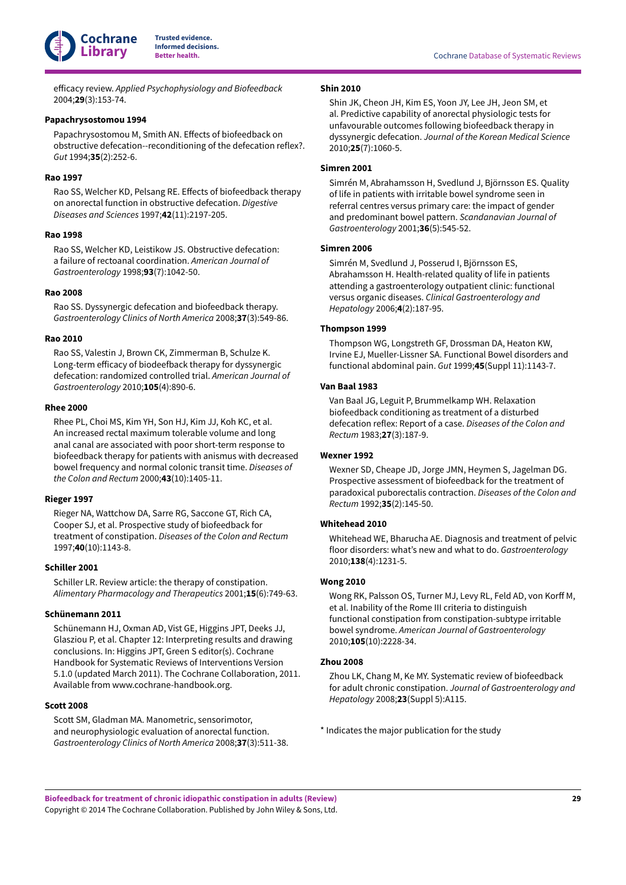

 $efficacy$  *review. Applied Psychophysiology and Biofeedback* 2004;**29**(3):153-74.

#### <span id="page-30-14"></span>**Papachrysostomou 1994**

Papachrysostomou M, Smith AN. Effects of biofeedback on obstructive defecation--reconditioning of the defecation reflex?. *Gut* 1994;**35**(2):252-6.

### <span id="page-30-1"></span>**Rao 1997**

Rao SS, Welcher KD, Pelsang RE. Effects of biofeedback therapy on anorectal function in obstructive defecation. *Digestive Diseases and Sciences* 1997;**42**(11):2197-205.

#### <span id="page-30-13"></span>**Rao 1998**

Rao SS, Welcher KD, Leistikow JS. Obstructive defecation: a failure of rectoanal coordination. *American Journal of Gastroenterology* 1998;**93**(7):1042-50.

#### <span id="page-30-8"></span>**Rao 2008**

Rao SS. Dyssynergic defecation and biofeedback therapy. *Gastroenterology Clinics of North America* 2008;**37**(3):549-86.

# <span id="page-30-3"></span>**Rao 2010**

Rao SS, Valestin J, Brown CK, Zimmerman B, Schulze K. Long-term efficacy of biodeefback therapy for dyssynergic defecation: randomized controlled trial. *American Journal of Gastroenterology* 2010;**105**(4):890-6.

### <span id="page-30-11"></span>**Rhee 2000**

Rhee PL, Choi MS, Kim YH, Son HJ, Kim JJ, Koh KC, et al. An increased rectal maximum tolerable volume and long anal canal are associated with poor short-term response to biofeedback therapy for patients with anismus with decreased bowel frequency and normal colonic transit time. *Diseases of the Colon and Rectum* 2000;**43**(10):1405-11.

#### <span id="page-30-12"></span>**Rieger 1997**

Rieger NA, Wattchow DA, Sarre RG, Saccone GT, Rich CA, Cooper SJ, et al. Prospective study of biofeedback for treatment of constipation. *Diseases of the Colon and Rectum* 1997;**40**(10):1143-8.

#### <span id="page-30-17"></span>**Schiller 2001**

Schiller LR. Review article: the therapy of constipation. *Alimentary Pharmacology and Therapeutics* 2001;**15**(6):749-63.

# <span id="page-30-2"></span>**Schünemann 2011**

Schünemann HJ, Oxman AD, Vist GE, Higgins JPT, Deeks JJ, Glasziou P, et al. Chapter 12: Interpreting results and drawing conclusions. In: Higgins JPT, Green S editor(s). Cochrane Handbook for Systematic Reviews of Interventions Version 5.1.0 (updated March 2011). The Cochrane Collaboration, 2011. Available from www.cochrane-handbook.org.

# <span id="page-30-9"></span>**Scott 2008**

Scott SM, Gladman MA. Manometric, sensorimotor, and neurophysiologic evaluation of anorectal function. *Gastroenterology Clinics of North America* 2008;**37**(3):511-38.

# <span id="page-30-10"></span>**Shin 2010**

Shin JK, Cheon JH, Kim ES, Yoon JY, Lee JH, Jeon SM, et al. Predictive capability of anorectal physiologic tests for unfavourable outcomes following biofeedback therapy in dyssynergic defecation. *Journal of the Korean Medical Science* 2010;**25**(7):1060-5.

# <span id="page-30-4"></span>**Simren 2001**

Simrén M, Abrahamsson H, Svedlund J, Björnsson ES. Quality of life in patients with irritable bowel syndrome seen in referral centres versus primary care: the impact of gender and predominant bowel pattern. *Scandanavian Journal of Gastroenterology* 2001;**36**(5):545-52.

#### <span id="page-30-5"></span>**Simren 2006**

Simrén M, Svedlund J, Posserud I, Björnsson ES, Abrahamsson H. Health-related quality of life in patients attending a gastroenterology outpatient clinic: functional versus organic diseases. *Clinical Gastroenterology and Hepatology* 2006;**4**(2):187-95.

#### <span id="page-30-6"></span>**Thompson 1999**

Thompson WG, Longstreth GF, Drossman DA, Heaton KW, Irvine EJ, Mueller-Lissner SA. Functional Bowel disorders and functional abdominal pain. *Gut* 1999;**45**(Suppl 11):1143-7.

# <span id="page-30-0"></span>**Van Baal 1983**

Van Baal JG, Leguit P, Brummelkamp WH. Relaxation biofeedback conditioning as treatment of a disturbed defecation reflex: Report of a case. *Diseases of the Colon and Rectum* 1983;**27**(3):187-9.

# <span id="page-30-15"></span>**Wexner 1992**

Wexner SD, Cheape JD, Jorge JMN, Heymen S, Jagelman DG. Prospective assessment of biofeedback for the treatment of paradoxical puborectalis contraction. *Diseases of the Colon and Rectum* 1992;**35**(2):145-50.

#### <span id="page-30-16"></span>**Whitehead 2010**

Whitehead WE, Bharucha AE. Diagnosis and treatment of pelvic floor disorders: what's new and what to do. *Gastroenterology* 2010;**138**(4):1231-5.

#### <span id="page-30-7"></span>**Wong 2010**

Wong RK, Palsson OS, Turner MJ, Levy RL, Feld AD, von Korff M, et al. Inability of the Rome III criteria to distinguish functional constipation from constipation-subtype irritable bowel syndrome. *American Journal of Gastroenterology* 2010;**105**(10):2228-34.

# <span id="page-30-18"></span>**Zhou 2008**

Zhou LK, Chang M, Ke MY. Systematic review of biofeedback for adult chronic constipation. *Journal of Gastroenterology and Hepatology* 2008;**23**(Suppl 5):A115.

\* Indicates the major publication for the study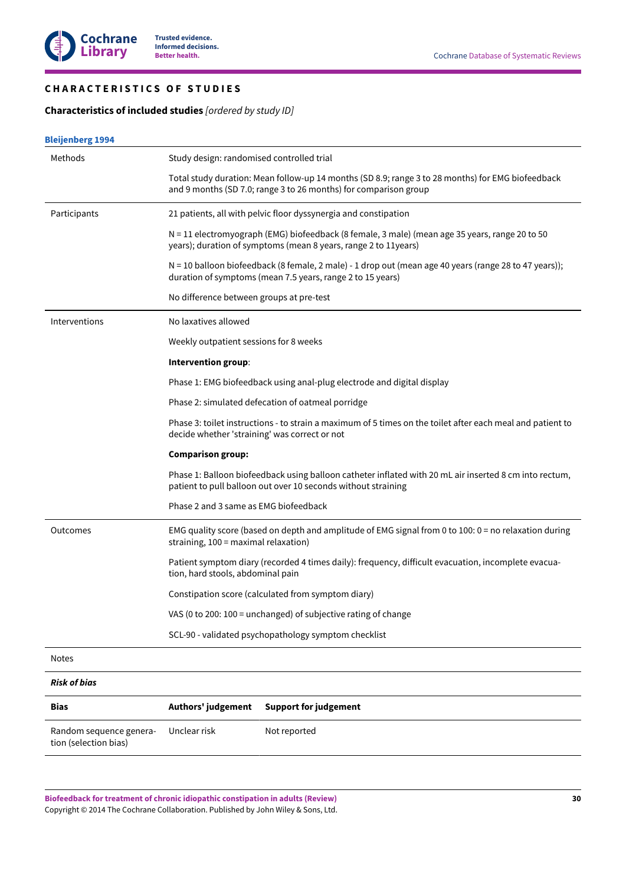# <span id="page-31-0"></span>**C H A R A C T E R I S T I C S O F S T U D I E S**

# <span id="page-31-1"></span>**Characteristics of included studies** *[ordered by study ID]*

|  | <b>Bleijenberg 1994</b> |
|--|-------------------------|

| Methods                 | Study design: randomised controlled trial     |                                                                                                                                                                         |
|-------------------------|-----------------------------------------------|-------------------------------------------------------------------------------------------------------------------------------------------------------------------------|
|                         |                                               | Total study duration: Mean follow-up 14 months (SD 8.9; range 3 to 28 months) for EMG biofeedback<br>and 9 months (SD 7.0; range 3 to 26 months) for comparison group   |
| Participants            |                                               | 21 patients, all with pelvic floor dyssynergia and constipation                                                                                                         |
|                         |                                               | N = 11 electromyograph (EMG) biofeedback (8 female, 3 male) (mean age 35 years, range 20 to 50<br>years); duration of symptoms (mean 8 years, range 2 to 11years)       |
|                         |                                               | N = 10 balloon biofeedback (8 female, 2 male) - 1 drop out (mean age 40 years (range 28 to 47 years));<br>duration of symptoms (mean 7.5 years, range 2 to 15 years)    |
|                         | No difference between groups at pre-test      |                                                                                                                                                                         |
| Interventions           | No laxatives allowed                          |                                                                                                                                                                         |
|                         | Weekly outpatient sessions for 8 weeks        |                                                                                                                                                                         |
|                         | Intervention group:                           |                                                                                                                                                                         |
|                         |                                               | Phase 1: EMG biofeedback using anal-plug electrode and digital display                                                                                                  |
|                         |                                               | Phase 2: simulated defecation of oatmeal porridge                                                                                                                       |
|                         | decide whether 'straining' was correct or not | Phase 3: toilet instructions - to strain a maximum of 5 times on the toilet after each meal and patient to                                                              |
|                         | <b>Comparison group:</b>                      |                                                                                                                                                                         |
|                         |                                               | Phase 1: Balloon biofeedback using balloon catheter inflated with 20 mL air inserted 8 cm into rectum,<br>patient to pull balloon out over 10 seconds without straining |
|                         | Phase 2 and 3 same as EMG biofeedback         |                                                                                                                                                                         |
| Outcomes                | straining, 100 = maximal relaxation)          | EMG quality score (based on depth and amplitude of EMG signal from 0 to 100: $0 =$ no relaxation during                                                                 |
|                         | tion, hard stools, abdominal pain             | Patient symptom diary (recorded 4 times daily): frequency, difficult evacuation, incomplete evacua-                                                                     |
|                         |                                               | Constipation score (calculated from symptom diary)                                                                                                                      |
|                         |                                               | VAS (0 to 200: 100 = unchanged) of subjective rating of change                                                                                                          |
|                         |                                               | SCL-90 - validated psychopathology symptom checklist                                                                                                                    |
| <b>Notes</b>            |                                               |                                                                                                                                                                         |
| <b>Risk of bias</b>     |                                               |                                                                                                                                                                         |
| Bias                    | Authors' judgement                            | <b>Support for judgement</b>                                                                                                                                            |
| Random sequence genera- | Unclear risk                                  | Not reported                                                                                                                                                            |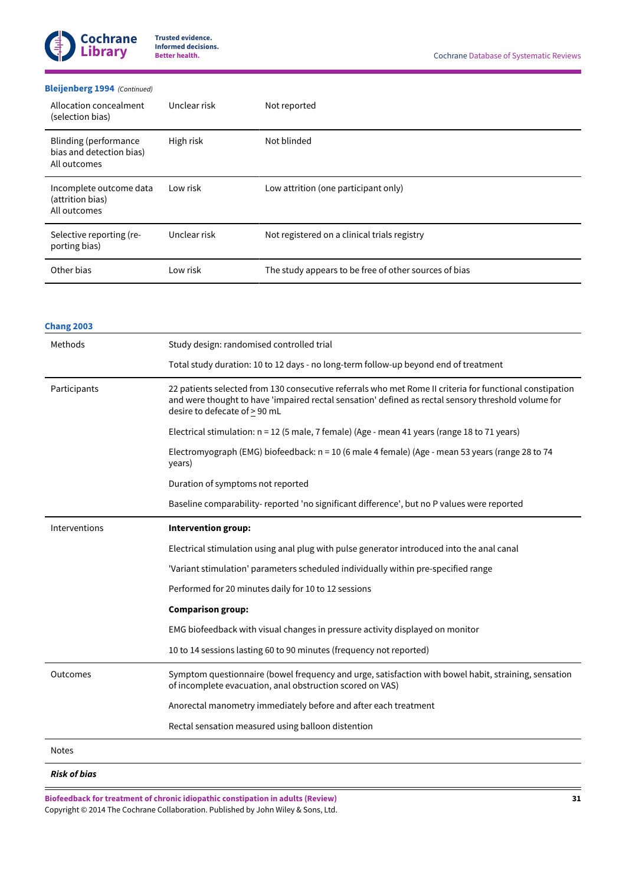

# **[Bleijenberg](#page-26-9) 1994**  *(Continued)*

| Allocation concealment<br>(selection bias)                         | Unclear risk | Not reported                                          |
|--------------------------------------------------------------------|--------------|-------------------------------------------------------|
| Blinding (performance)<br>bias and detection bias)<br>All outcomes | High risk    | Not blinded                                           |
| Incomplete outcome data<br>(attrition bias)<br>All outcomes        | Low risk     | Low attrition (one participant only)                  |
| Selective reporting (re-<br>porting bias)                          | Unclear risk | Not registered on a clinical trials registry          |
| Other bias                                                         | Low risk     | The study appears to be free of other sources of bias |

| <b>Chang 2003</b> |                                                                                                                                                                                                                                                  |  |  |
|-------------------|--------------------------------------------------------------------------------------------------------------------------------------------------------------------------------------------------------------------------------------------------|--|--|
| Methods           | Study design: randomised controlled trial                                                                                                                                                                                                        |  |  |
|                   | Total study duration: 10 to 12 days - no long-term follow-up beyond end of treatment                                                                                                                                                             |  |  |
| Participants      | 22 patients selected from 130 consecutive referrals who met Rome II criteria for functional constipation<br>and were thought to have 'impaired rectal sensation' defined as rectal sensory threshold volume for<br>desire to defecate of > 90 mL |  |  |
|                   | Electrical stimulation: n = 12 (5 male, 7 female) (Age - mean 41 years (range 18 to 71 years)                                                                                                                                                    |  |  |
|                   | Electromyograph (EMG) biofeedback: n = 10 (6 male 4 female) (Age - mean 53 years (range 28 to 74<br>years)                                                                                                                                       |  |  |
|                   | Duration of symptoms not reported                                                                                                                                                                                                                |  |  |
|                   | Baseline comparability-reported 'no significant difference', but no P values were reported                                                                                                                                                       |  |  |
| Interventions     | Intervention group:                                                                                                                                                                                                                              |  |  |
|                   | Electrical stimulation using anal plug with pulse generator introduced into the anal canal                                                                                                                                                       |  |  |
|                   | 'Variant stimulation' parameters scheduled individually within pre-specified range                                                                                                                                                               |  |  |
|                   | Performed for 20 minutes daily for 10 to 12 sessions                                                                                                                                                                                             |  |  |
|                   | <b>Comparison group:</b>                                                                                                                                                                                                                         |  |  |
|                   | EMG biofeedback with visual changes in pressure activity displayed on monitor                                                                                                                                                                    |  |  |
|                   | 10 to 14 sessions lasting 60 to 90 minutes (frequency not reported)                                                                                                                                                                              |  |  |
| Outcomes          | Symptom questionnaire (bowel frequency and urge, satisfaction with bowel habit, straining, sensation<br>of incomplete evacuation, anal obstruction scored on VAS)                                                                                |  |  |
|                   | Anorectal manometry immediately before and after each treatment                                                                                                                                                                                  |  |  |
|                   | Rectal sensation measured using balloon distention                                                                                                                                                                                               |  |  |
| <b>Notes</b>      |                                                                                                                                                                                                                                                  |  |  |
|                   |                                                                                                                                                                                                                                                  |  |  |

*Risk of bias*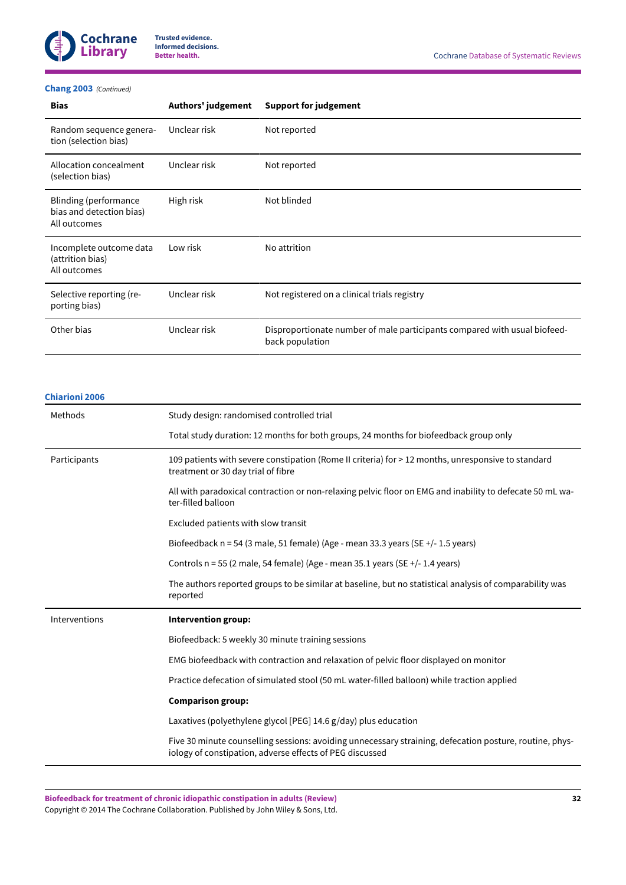

# **[Chang 2003](#page-26-11)**  *(Continued)*

| <b>Bias</b>                                                       | Authors' judgement | <b>Support for judgement</b>                                                                 |
|-------------------------------------------------------------------|--------------------|----------------------------------------------------------------------------------------------|
| Random sequence genera-<br>tion (selection bias)                  | Unclear risk       | Not reported                                                                                 |
| Allocation concealment<br>(selection bias)                        | Unclear risk       | Not reported                                                                                 |
| Blinding (performance<br>bias and detection bias)<br>All outcomes | High risk          | Not blinded                                                                                  |
| Incomplete outcome data<br>(attrition bias)<br>All outcomes       | Low risk           | No attrition                                                                                 |
| Selective reporting (re-<br>porting bias)                         | Unclear risk       | Not registered on a clinical trials registry                                                 |
| Other bias                                                        | Unclear risk       | Disproportionate number of male participants compared with usual biofeed-<br>back population |

# **[Chiarioni 2006](#page-26-3)**

| Methods       | Study design: randomised controlled trial                                                                                                                           |  |
|---------------|---------------------------------------------------------------------------------------------------------------------------------------------------------------------|--|
|               | Total study duration: 12 months for both groups, 24 months for biofeedback group only                                                                               |  |
| Participants  | 109 patients with severe constipation (Rome II criteria) for > 12 months, unresponsive to standard<br>treatment or 30 day trial of fibre                            |  |
|               | All with paradoxical contraction or non-relaxing pelvic floor on EMG and inability to defecate 50 mL wa-<br>ter-filled balloon                                      |  |
|               | Excluded patients with slow transit                                                                                                                                 |  |
|               | Biofeedback $n = 54$ (3 male, 51 female) (Age - mean 33.3 years (SE $+/- 1.5$ years)                                                                                |  |
|               | Controls $n = 55$ (2 male, 54 female) (Age - mean 35.1 years (SE $+/-$ 1.4 years)                                                                                   |  |
|               | The authors reported groups to be similar at baseline, but no statistical analysis of comparability was<br>reported                                                 |  |
| Interventions | Intervention group:                                                                                                                                                 |  |
|               | Biofeedback: 5 weekly 30 minute training sessions                                                                                                                   |  |
|               | EMG biofeedback with contraction and relaxation of pelvic floor displayed on monitor                                                                                |  |
|               | Practice defecation of simulated stool (50 mL water-filled balloon) while traction applied                                                                          |  |
|               | <b>Comparison group:</b>                                                                                                                                            |  |
|               | Laxatives (polyethylene glycol [PEG] 14.6 g/day) plus education                                                                                                     |  |
|               | Five 30 minute counselling sessions: avoiding unnecessary straining, defecation posture, routine, phys-<br>iology of constipation, adverse effects of PEG discussed |  |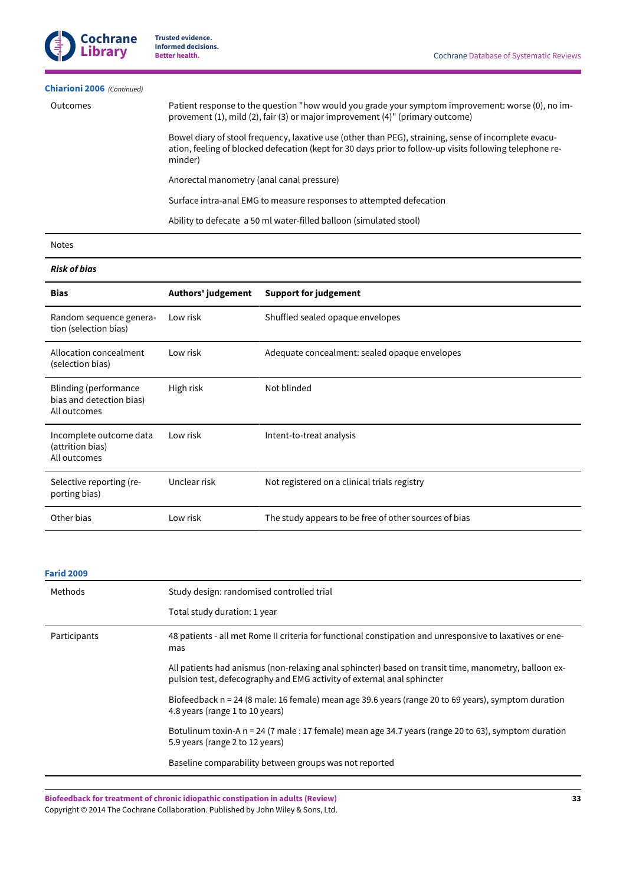# **[Chiarioni 2006](#page-26-3)**  *(Continued)*

| Outcomes | Patient response to the question "how would you grade your symptom improvement: worse (0), no im-<br>provement (1), mild (2), fair (3) or major improvement (4)" (primary outcome)                                          |  |  |
|----------|-----------------------------------------------------------------------------------------------------------------------------------------------------------------------------------------------------------------------------|--|--|
|          | Bowel diary of stool frequency, laxative use (other than PEG), straining, sense of incomplete evacu-<br>ation, feeling of blocked defecation (kept for 30 days prior to follow-up visits following telephone re-<br>minder) |  |  |
|          | Anorectal manometry (anal canal pressure)                                                                                                                                                                                   |  |  |
|          | Surface intra-anal EMG to measure responses to attempted defecation                                                                                                                                                         |  |  |

Ability to defecate a 50 ml water-filled balloon (simulated stool)

Notes

# *Risk of bias*

| <b>Bias</b>                                                       | Authors' judgement | <b>Support for judgement</b>                          |
|-------------------------------------------------------------------|--------------------|-------------------------------------------------------|
| Random sequence genera-<br>tion (selection bias)                  | Low risk           | Shuffled sealed opaque envelopes                      |
| Allocation concealment<br>(selection bias)                        | Low risk           | Adequate concealment: sealed opaque envelopes         |
| Blinding (performance<br>bias and detection bias)<br>All outcomes | High risk          | Not blinded                                           |
| Incomplete outcome data<br>(attrition bias)<br>All outcomes       | Low risk           | Intent-to-treat analysis                              |
| Selective reporting (re-<br>porting bias)                         | Unclear risk       | Not registered on a clinical trials registry          |
| Other bias                                                        | Low risk           | The study appears to be free of other sources of bias |

# **[Farid](#page-26-7) 2009**

| Methods      | Study design: randomised controlled trial                                                                                                                                      |  |
|--------------|--------------------------------------------------------------------------------------------------------------------------------------------------------------------------------|--|
|              | Total study duration: 1 year                                                                                                                                                   |  |
| Participants | 48 patients - all met Rome II criteria for functional constipation and unresponsive to laxatives or ene-<br>mas                                                                |  |
|              | All patients had anismus (non-relaxing anal sphincter) based on transit time, manometry, balloon ex-<br>pulsion test, defecography and EMG activity of external anal sphincter |  |
|              | Biofeedback n = 24 (8 male: 16 female) mean age 39.6 years (range 20 to 69 years), symptom duration<br>4.8 years (range 1 to 10 years)                                         |  |
|              | Botulinum toxin-A n = 24 (7 male : 17 female) mean age 34.7 years (range 20 to 63), symptom duration<br>5.9 years (range 2 to 12 years)                                        |  |
|              | Baseline comparability between groups was not reported                                                                                                                         |  |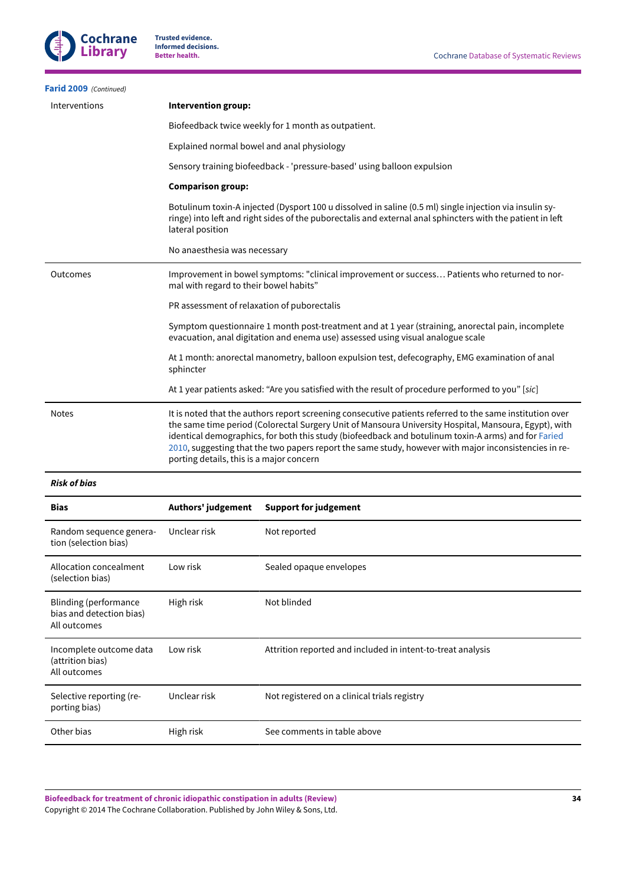| Intervention group:                                                                                                                                                                                                                                                                                                                                                                                                                                                           |  |  |
|-------------------------------------------------------------------------------------------------------------------------------------------------------------------------------------------------------------------------------------------------------------------------------------------------------------------------------------------------------------------------------------------------------------------------------------------------------------------------------|--|--|
| Biofeedback twice weekly for 1 month as outpatient.                                                                                                                                                                                                                                                                                                                                                                                                                           |  |  |
| Explained normal bowel and anal physiology                                                                                                                                                                                                                                                                                                                                                                                                                                    |  |  |
| Sensory training biofeedback - 'pressure-based' using balloon expulsion                                                                                                                                                                                                                                                                                                                                                                                                       |  |  |
| <b>Comparison group:</b>                                                                                                                                                                                                                                                                                                                                                                                                                                                      |  |  |
| Botulinum toxin-A injected (Dysport 100 u dissolved in saline (0.5 ml) single injection via insulin sy-<br>ringe) into left and right sides of the puborectalis and external anal sphincters with the patient in left<br>lateral position                                                                                                                                                                                                                                     |  |  |
| No anaesthesia was necessary                                                                                                                                                                                                                                                                                                                                                                                                                                                  |  |  |
| Improvement in bowel symptoms: "clinical improvement or success Patients who returned to nor-<br>mal with regard to their bowel habits"                                                                                                                                                                                                                                                                                                                                       |  |  |
| PR assessment of relaxation of puborectalis                                                                                                                                                                                                                                                                                                                                                                                                                                   |  |  |
| Symptom questionnaire 1 month post-treatment and at 1 year (straining, anorectal pain, incomplete<br>evacuation, anal digitation and enema use) assessed using visual analogue scale                                                                                                                                                                                                                                                                                          |  |  |
| At 1 month: anorectal manometry, balloon expulsion test, defecography, EMG examination of anal<br>sphincter                                                                                                                                                                                                                                                                                                                                                                   |  |  |
| At 1 year patients asked: "Are you satisfied with the result of procedure performed to you" [sic]                                                                                                                                                                                                                                                                                                                                                                             |  |  |
| It is noted that the authors report screening consecutive patients referred to the same institution over<br>the same time period (Colorectal Surgery Unit of Mansoura University Hospital, Mansoura, Egypt), with<br>identical demographics, for both this study (biofeedback and botulinum toxin-A arms) and for Faried<br>2010, suggesting that the two papers report the same study, however with major inconsistencies in re-<br>porting details, this is a major concern |  |  |
|                                                                                                                                                                                                                                                                                                                                                                                                                                                                               |  |  |

# *Risk of bias*

| <b>Bias</b>                                                       | Authors' judgement | <b>Support for judgement</b>                                |
|-------------------------------------------------------------------|--------------------|-------------------------------------------------------------|
| Random sequence genera-<br>tion (selection bias)                  | Unclear risk       | Not reported                                                |
| Allocation concealment<br>(selection bias)                        | Low risk           | Sealed opaque envelopes                                     |
| Blinding (performance<br>bias and detection bias)<br>All outcomes | High risk          | Not blinded                                                 |
| Incomplete outcome data<br>(attrition bias)<br>All outcomes       | Low risk           | Attrition reported and included in intent-to-treat analysis |
| Selective reporting (re-<br>porting bias)                         | Unclear risk       | Not registered on a clinical trials registry                |
| Other bias                                                        | High risk          | See comments in table above                                 |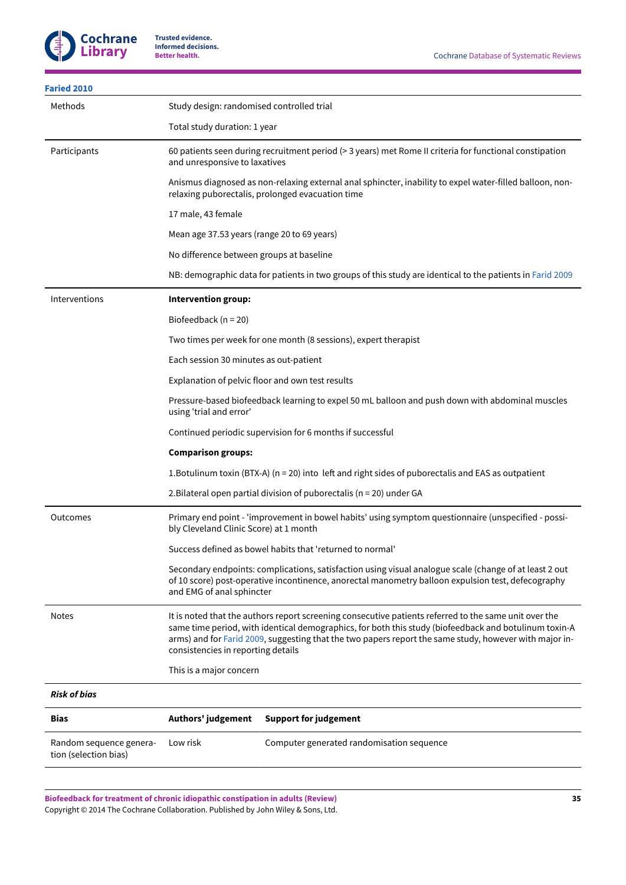| <b>Faried 2010</b>                               |                                                                                                                                                                                                                                                                                                                                                                |  |
|--------------------------------------------------|----------------------------------------------------------------------------------------------------------------------------------------------------------------------------------------------------------------------------------------------------------------------------------------------------------------------------------------------------------------|--|
| Methods                                          | Study design: randomised controlled trial                                                                                                                                                                                                                                                                                                                      |  |
|                                                  | Total study duration: 1 year                                                                                                                                                                                                                                                                                                                                   |  |
| Participants                                     | 60 patients seen during recruitment period (> 3 years) met Rome II criteria for functional constipation<br>and unresponsive to laxatives                                                                                                                                                                                                                       |  |
|                                                  | Anismus diagnosed as non-relaxing external anal sphincter, inability to expel water-filled balloon, non-<br>relaxing puborectalis, prolonged evacuation time                                                                                                                                                                                                   |  |
|                                                  | 17 male, 43 female                                                                                                                                                                                                                                                                                                                                             |  |
|                                                  | Mean age 37.53 years (range 20 to 69 years)                                                                                                                                                                                                                                                                                                                    |  |
|                                                  | No difference between groups at baseline                                                                                                                                                                                                                                                                                                                       |  |
|                                                  | NB: demographic data for patients in two groups of this study are identical to the patients in Farid 2009                                                                                                                                                                                                                                                      |  |
| Interventions                                    | Intervention group:                                                                                                                                                                                                                                                                                                                                            |  |
|                                                  | Biofeedback ( $n = 20$ )                                                                                                                                                                                                                                                                                                                                       |  |
|                                                  | Two times per week for one month (8 sessions), expert therapist                                                                                                                                                                                                                                                                                                |  |
|                                                  | Each session 30 minutes as out-patient                                                                                                                                                                                                                                                                                                                         |  |
|                                                  | Explanation of pelvic floor and own test results                                                                                                                                                                                                                                                                                                               |  |
|                                                  | Pressure-based biofeedback learning to expel 50 mL balloon and push down with abdominal muscles<br>using 'trial and error'                                                                                                                                                                                                                                     |  |
|                                                  | Continued periodic supervision for 6 months if successful                                                                                                                                                                                                                                                                                                      |  |
|                                                  | <b>Comparison groups:</b>                                                                                                                                                                                                                                                                                                                                      |  |
|                                                  | 1. Botulinum toxin (BTX-A) ( $n = 20$ ) into left and right sides of puborectalis and EAS as outpatient                                                                                                                                                                                                                                                        |  |
|                                                  | 2. Bilateral open partial division of puborectalis (n = 20) under GA                                                                                                                                                                                                                                                                                           |  |
| Outcomes                                         | Primary end point - 'improvement in bowel habits' using symptom questionnaire (unspecified - possi-<br>bly Cleveland Clinic Score) at 1 month                                                                                                                                                                                                                  |  |
|                                                  | Success defined as bowel habits that 'returned to normal'                                                                                                                                                                                                                                                                                                      |  |
|                                                  | Secondary endpoints: complications, satisfaction using visual analogue scale (change of at least 2 out<br>of 10 score) post-operative incontinence, anorectal manometry balloon expulsion test, defecography<br>and EMG of anal sphincter                                                                                                                      |  |
| <b>Notes</b>                                     | It is noted that the authors report screening consecutive patients referred to the same unit over the<br>same time period, with identical demographics, for both this study (biofeedback and botulinum toxin-A<br>arms) and for Farid 2009, suggesting that the two papers report the same study, however with major in-<br>consistencies in reporting details |  |
|                                                  | This is a major concern                                                                                                                                                                                                                                                                                                                                        |  |
| <b>Risk of bias</b>                              |                                                                                                                                                                                                                                                                                                                                                                |  |
| Bias                                             | Authors' judgement<br><b>Support for judgement</b>                                                                                                                                                                                                                                                                                                             |  |
| Random sequence genera-<br>tion (selection bias) | Computer generated randomisation sequence<br>Low risk                                                                                                                                                                                                                                                                                                          |  |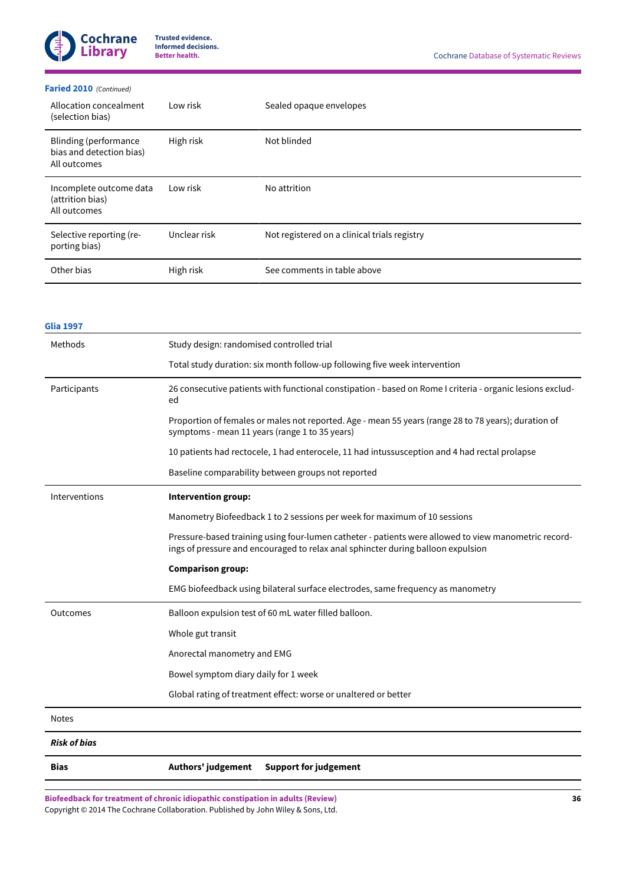

## **[Faried](#page-26-14) 2010**  *(Continued)*

| Allocation concealment<br>(selection bias)                               | Low risk     | Sealed opaque envelopes                      |
|--------------------------------------------------------------------------|--------------|----------------------------------------------|
| <b>Blinding (performance</b><br>bias and detection bias)<br>All outcomes | High risk    | Not blinded                                  |
| Incomplete outcome data<br>(attrition bias)<br>All outcomes              | Low risk     | No attrition                                 |
| Selective reporting (re-<br>porting bias)                                | Unclear risk | Not registered on a clinical trials registry |
| Other bias                                                               | High risk    | See comments in table above                  |

# **[Glia 1997](#page-26-2)**

| Methods             | Study design: randomised controlled trial                                                                                                                                                |
|---------------------|------------------------------------------------------------------------------------------------------------------------------------------------------------------------------------------|
|                     | Total study duration: six month follow-up following five week intervention                                                                                                               |
| Participants        | 26 consecutive patients with functional constipation - based on Rome I criteria - organic lesions exclud-<br>ed                                                                          |
|                     | Proportion of females or males not reported. Age - mean 55 years (range 28 to 78 years); duration of<br>symptoms - mean 11 years (range 1 to 35 years)                                   |
|                     | 10 patients had rectocele, 1 had enterocele, 11 had intussusception and 4 had rectal prolapse                                                                                            |
|                     | Baseline comparability between groups not reported                                                                                                                                       |
| Interventions       | Intervention group:                                                                                                                                                                      |
|                     | Manometry Biofeedback 1 to 2 sessions per week for maximum of 10 sessions                                                                                                                |
|                     | Pressure-based training using four-lumen catheter - patients were allowed to view manometric record-<br>ings of pressure and encouraged to relax anal sphincter during balloon expulsion |
|                     | <b>Comparison group:</b>                                                                                                                                                                 |
|                     | EMG biofeedback using bilateral surface electrodes, same frequency as manometry                                                                                                          |
| Outcomes            | Balloon expulsion test of 60 mL water filled balloon.                                                                                                                                    |
|                     | Whole gut transit                                                                                                                                                                        |
|                     | Anorectal manometry and EMG                                                                                                                                                              |
|                     | Bowel symptom diary daily for 1 week                                                                                                                                                     |
|                     | Global rating of treatment effect: worse or unaltered or better                                                                                                                          |
| <b>Notes</b>        |                                                                                                                                                                                          |
| <b>Risk of bias</b> |                                                                                                                                                                                          |
| Bias                | Authors' judgement<br><b>Support for judgement</b>                                                                                                                                       |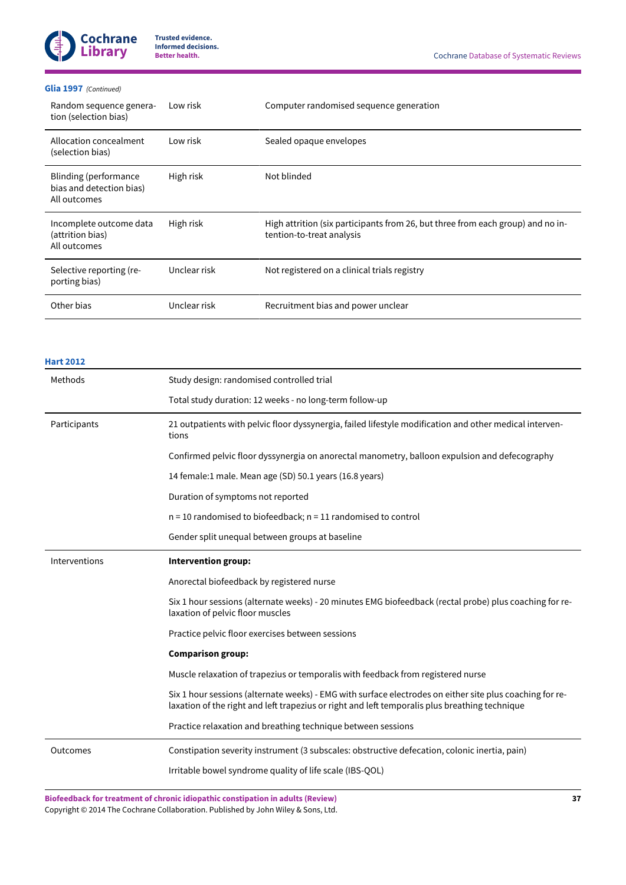

## **[Glia 1997](#page-26-2)**  *(Continued)*

| Random sequence genera-<br>tion (selection bias)                  | Low risk     | Computer randomised sequence generation                                                                      |
|-------------------------------------------------------------------|--------------|--------------------------------------------------------------------------------------------------------------|
| Allocation concealment<br>(selection bias)                        | Low risk     | Sealed opaque envelopes                                                                                      |
| Blinding (performance<br>bias and detection bias)<br>All outcomes | High risk    | Not blinded                                                                                                  |
| Incomplete outcome data<br>(attrition bias)<br>All outcomes       | High risk    | High attrition (six participants from 26, but three from each group) and no in-<br>tention-to-treat analysis |
| Selective reporting (re-<br>porting bias)                         | Unclear risk | Not registered on a clinical trials registry                                                                 |
| Other bias                                                        | Unclear risk | Recruitment bias and power unclear                                                                           |

| <b>Hart 2012</b> |                                                                                                                                                                                                            |  |  |
|------------------|------------------------------------------------------------------------------------------------------------------------------------------------------------------------------------------------------------|--|--|
| Methods          | Study design: randomised controlled trial                                                                                                                                                                  |  |  |
|                  | Total study duration: 12 weeks - no long-term follow-up                                                                                                                                                    |  |  |
| Participants     | 21 outpatients with pelvic floor dyssynergia, failed lifestyle modification and other medical interven-<br>tions                                                                                           |  |  |
|                  | Confirmed pelvic floor dyssynergia on anorectal manometry, balloon expulsion and defecography                                                                                                              |  |  |
|                  | 14 female:1 male. Mean age (SD) 50.1 years (16.8 years)                                                                                                                                                    |  |  |
|                  | Duration of symptoms not reported                                                                                                                                                                          |  |  |
|                  | $n = 10$ randomised to biofeedback; $n = 11$ randomised to control                                                                                                                                         |  |  |
|                  | Gender split unequal between groups at baseline                                                                                                                                                            |  |  |
| Interventions    | Intervention group:                                                                                                                                                                                        |  |  |
|                  | Anorectal biofeedback by registered nurse                                                                                                                                                                  |  |  |
|                  | Six 1 hour sessions (alternate weeks) - 20 minutes EMG biofeedback (rectal probe) plus coaching for re-<br>laxation of pelvic floor muscles                                                                |  |  |
|                  | Practice pelvic floor exercises between sessions                                                                                                                                                           |  |  |
|                  | <b>Comparison group:</b>                                                                                                                                                                                   |  |  |
|                  | Muscle relaxation of trapezius or temporalis with feedback from registered nurse                                                                                                                           |  |  |
|                  | Six 1 hour sessions (alternate weeks) - EMG with surface electrodes on either site plus coaching for re-<br>laxation of the right and left trapezius or right and left temporalis plus breathing technique |  |  |
|                  | Practice relaxation and breathing technique between sessions                                                                                                                                               |  |  |
| Outcomes         | Constipation severity instrument (3 subscales: obstructive defecation, colonic inertia, pain)                                                                                                              |  |  |
|                  | Irritable bowel syndrome quality of life scale (IBS-QOL)                                                                                                                                                   |  |  |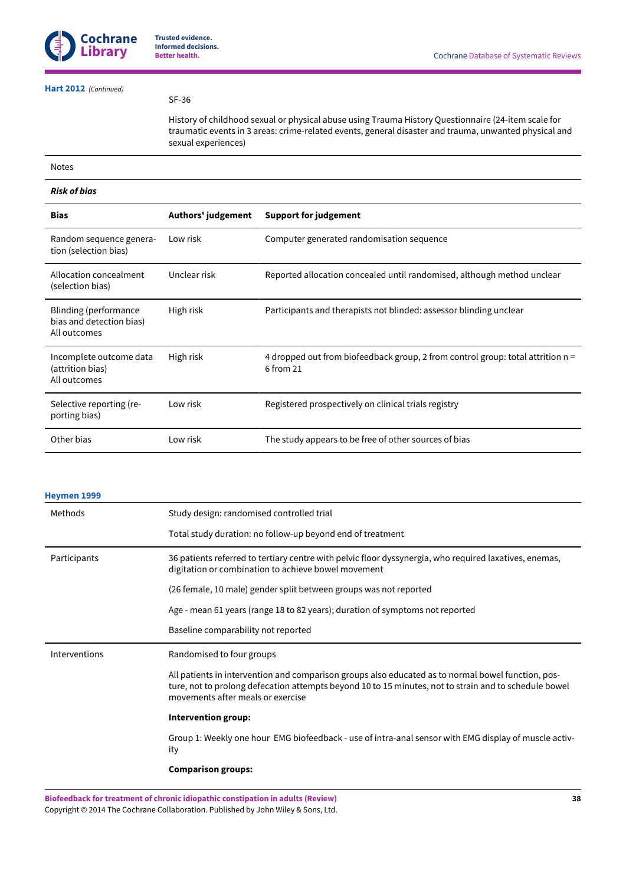# **[Hart 2012](#page-26-8)**  *(Continued)*

SF-36

History of childhood sexual or physical abuse using Trauma History Questionnaire (24-item scale for traumatic events in 3 areas: crime-related events, general disaster and trauma, unwanted physical and sexual experiences)

#### Notes

# *Risk of bias* **Bias Authors' judgement Support for judgement** Random sequence generation (selection bias) Low risk Computer generated randomisation sequence Allocation concealment (selection bias) Unclear risk Reported allocation concealed until randomised, although method unclear Blinding (performance bias and detection bias) All outcomes High risk Participants and therapists not blinded: assessor blinding unclear Incomplete outcome data (attrition bias) All outcomes High risk 4 dropped out from biofeedback group, 2 from control group: total attrition n = 6 from 21 Selective reporting (reporting bias) Low risk **Registered prospectively on clinical trials registry** Other bias Low risk The study appears to be free of other sources of bias

#### **[Heymen](#page-26-10) 1999**

| Methods       | Study design: randomised controlled trial                                                                                                                                                                                                        |  |  |
|---------------|--------------------------------------------------------------------------------------------------------------------------------------------------------------------------------------------------------------------------------------------------|--|--|
|               | Total study duration: no follow-up beyond end of treatment                                                                                                                                                                                       |  |  |
| Participants  | 36 patients referred to tertiary centre with pelvic floor dyssynergia, who required laxatives, enemas,<br>digitation or combination to achieve bowel movement                                                                                    |  |  |
|               | (26 female, 10 male) gender split between groups was not reported                                                                                                                                                                                |  |  |
|               | Age - mean 61 years (range 18 to 82 years); duration of symptoms not reported                                                                                                                                                                    |  |  |
|               | Baseline comparability not reported                                                                                                                                                                                                              |  |  |
| Interventions | Randomised to four groups                                                                                                                                                                                                                        |  |  |
|               | All patients in intervention and comparison groups also educated as to normal bowel function, pos-<br>ture, not to prolong defecation attempts beyond 10 to 15 minutes, not to strain and to schedule bowel<br>movements after meals or exercise |  |  |
|               | Intervention group:                                                                                                                                                                                                                              |  |  |
|               | Group 1: Weekly one hour EMG biofeedback - use of intra-anal sensor with EMG display of muscle activ-<br>ity                                                                                                                                     |  |  |
|               | <b>Comparison groups:</b>                                                                                                                                                                                                                        |  |  |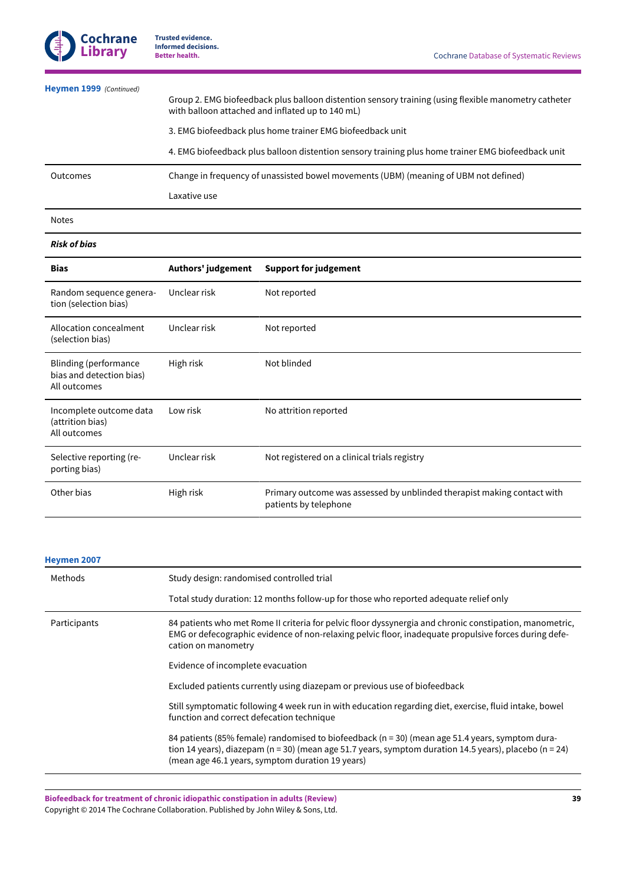| <b>Heymen 1999</b> (Continued) | Group 2. EMG biofeedback plus balloon distention sensory training (using flexible manometry catheter<br>with balloon attached and inflated up to 140 mL) |
|--------------------------------|----------------------------------------------------------------------------------------------------------------------------------------------------------|
|                                | 3. EMG biofeedback plus home trainer EMG biofeedback unit                                                                                                |
|                                | 4. EMG biofeedback plus balloon distention sensory training plus home trainer EMG biofeedback unit                                                       |
| <b>Outcomes</b>                | Change in frequency of unassisted bowel movements (UBM) (meaning of UBM not defined)                                                                     |
|                                | Laxative use                                                                                                                                             |

# Notes

## *Risk of bias*

| <b>Bias</b>                                                       | Authors' judgement | <b>Support for judgement</b>                                                                     |
|-------------------------------------------------------------------|--------------------|--------------------------------------------------------------------------------------------------|
| Random sequence genera-<br>tion (selection bias)                  | Unclear risk       | Not reported                                                                                     |
| Allocation concealment<br>(selection bias)                        | Unclear risk       | Not reported                                                                                     |
| Blinding (performance<br>bias and detection bias)<br>All outcomes | High risk          | Not blinded                                                                                      |
| Incomplete outcome data<br>(attrition bias)<br>All outcomes       | Low risk           | No attrition reported                                                                            |
| Selective reporting (re-<br>porting bias)                         | Unclear risk       | Not registered on a clinical trials registry                                                     |
| Other bias                                                        | High risk          | Primary outcome was assessed by unblinded therapist making contact with<br>patients by telephone |

#### **[Heymen](#page-26-4) 2007**

| Methods      | Study design: randomised controlled trial                                                                                                                                                                                                                     |  |  |
|--------------|---------------------------------------------------------------------------------------------------------------------------------------------------------------------------------------------------------------------------------------------------------------|--|--|
|              | Total study duration: 12 months follow-up for those who reported adequate relief only                                                                                                                                                                         |  |  |
| Participants | 84 patients who met Rome II criteria for pelvic floor dyssynergia and chronic constipation, manometric,<br>EMG or defecographic evidence of non-relaxing pelvic floor, inadequate propulsive forces during defe-<br>cation on manometry                       |  |  |
|              | Evidence of incomplete evacuation                                                                                                                                                                                                                             |  |  |
|              | Excluded patients currently using diazepam or previous use of biofeedback                                                                                                                                                                                     |  |  |
|              | Still symptomatic following 4 week run in with education regarding diet, exercise, fluid intake, bowel<br>function and correct defecation technique                                                                                                           |  |  |
|              | 84 patients (85% female) randomised to biofeedback (n = 30) (mean age 51.4 years, symptom dura-<br>tion 14 years), diazepam (n = 30) (mean age 51.7 years, symptom duration 14.5 years), placebo (n = 24)<br>(mean age 46.1 years, symptom duration 19 years) |  |  |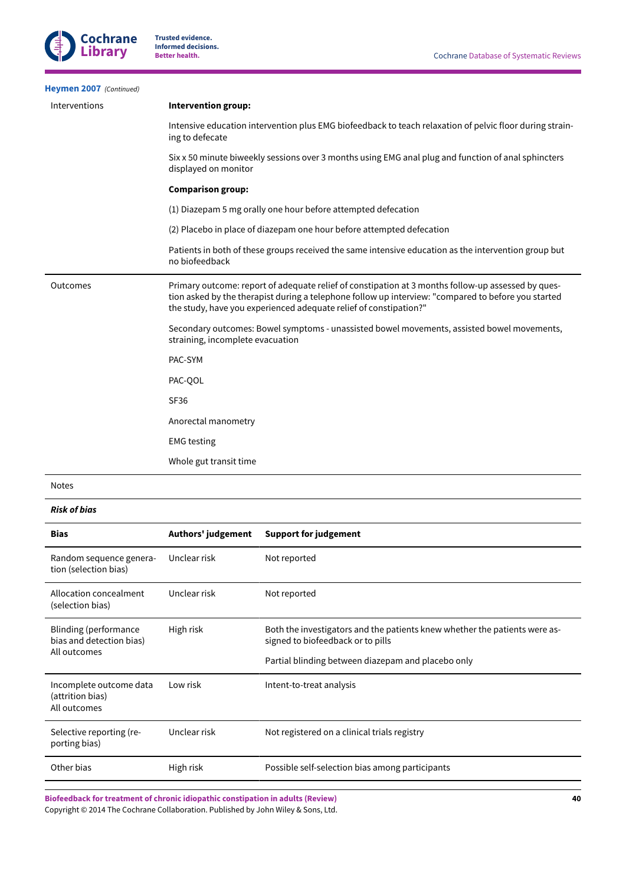| Heymen 2007 (Continued) |                                                                                                                                                                                                                                                                                |  |  |
|-------------------------|--------------------------------------------------------------------------------------------------------------------------------------------------------------------------------------------------------------------------------------------------------------------------------|--|--|
| Interventions           | <b>Intervention group:</b>                                                                                                                                                                                                                                                     |  |  |
|                         | Intensive education intervention plus EMG biofeedback to teach relaxation of pelvic floor during strain-<br>ing to defecate                                                                                                                                                    |  |  |
|                         | Six x 50 minute biweekly sessions over 3 months using EMG anal plug and function of anal sphincters<br>displayed on monitor                                                                                                                                                    |  |  |
|                         | <b>Comparison group:</b>                                                                                                                                                                                                                                                       |  |  |
|                         | (1) Diazepam 5 mg orally one hour before attempted defecation                                                                                                                                                                                                                  |  |  |
|                         | (2) Placebo in place of diazepam one hour before attempted defecation                                                                                                                                                                                                          |  |  |
|                         | Patients in both of these groups received the same intensive education as the intervention group but<br>no biofeedback                                                                                                                                                         |  |  |
| Outcomes                | Primary outcome: report of adequate relief of constipation at 3 months follow-up assessed by ques-<br>tion asked by the therapist during a telephone follow up interview: "compared to before you started<br>the study, have you experienced adequate relief of constipation?" |  |  |
|                         | Secondary outcomes: Bowel symptoms - unassisted bowel movements, assisted bowel movements,<br>straining, incomplete evacuation                                                                                                                                                 |  |  |
|                         | PAC-SYM                                                                                                                                                                                                                                                                        |  |  |
|                         | PAC-QOL                                                                                                                                                                                                                                                                        |  |  |
|                         | <b>SF36</b>                                                                                                                                                                                                                                                                    |  |  |
|                         | Anorectal manometry                                                                                                                                                                                                                                                            |  |  |
|                         | <b>EMG</b> testing                                                                                                                                                                                                                                                             |  |  |
|                         | Whole gut transit time                                                                                                                                                                                                                                                         |  |  |

Notes

*Risk of bias*

| <b>Bias</b>                                                       | Authors' judgement | <b>Support for judgement</b>                                                                                                                                          |
|-------------------------------------------------------------------|--------------------|-----------------------------------------------------------------------------------------------------------------------------------------------------------------------|
| Random sequence genera-<br>tion (selection bias)                  | Unclear risk       | Not reported                                                                                                                                                          |
| Allocation concealment<br>(selection bias)                        | Unclear risk       | Not reported                                                                                                                                                          |
| Blinding (performance<br>bias and detection bias)<br>All outcomes | High risk          | Both the investigators and the patients knew whether the patients were as-<br>signed to biofeedback or to pills<br>Partial blinding between diazepam and placebo only |
| Incomplete outcome data<br>(attrition bias)<br>All outcomes       | Low risk           | Intent-to-treat analysis                                                                                                                                              |
| Selective reporting (re-<br>porting bias)                         | Unclear risk       | Not registered on a clinical trials registry                                                                                                                          |
| Other bias                                                        | High risk          | Possible self-selection bias among participants                                                                                                                       |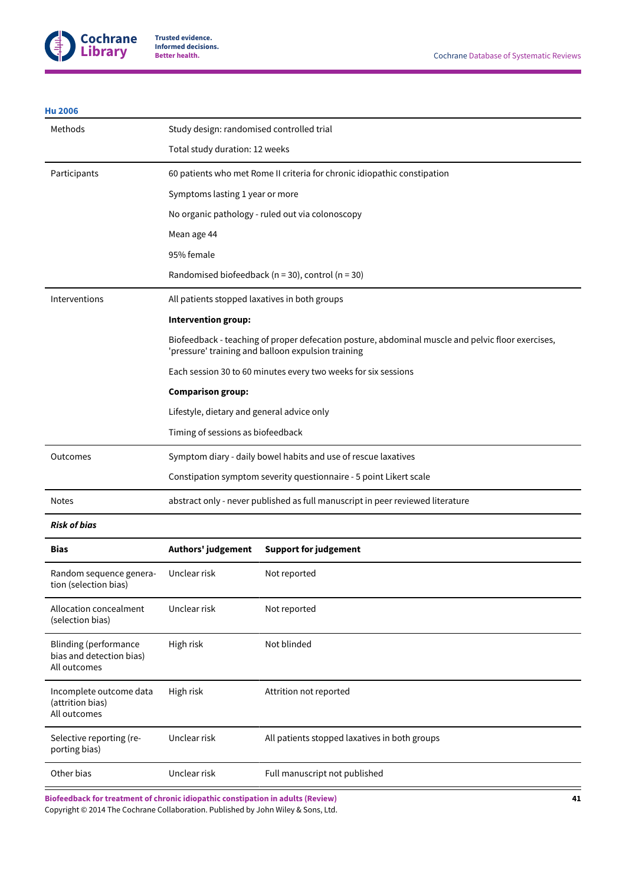

# **[Hu 2006](#page-26-5)**

| Methods                                                                  | Study design: randomised controlled trial                                      |                                                                                                                                                         |  |
|--------------------------------------------------------------------------|--------------------------------------------------------------------------------|---------------------------------------------------------------------------------------------------------------------------------------------------------|--|
|                                                                          | Total study duration: 12 weeks                                                 |                                                                                                                                                         |  |
| Participants                                                             | 60 patients who met Rome II criteria for chronic idiopathic constipation       |                                                                                                                                                         |  |
|                                                                          | Symptoms lasting 1 year or more                                                |                                                                                                                                                         |  |
|                                                                          | No organic pathology - ruled out via colonoscopy                               |                                                                                                                                                         |  |
|                                                                          | Mean age 44                                                                    |                                                                                                                                                         |  |
|                                                                          | 95% female                                                                     |                                                                                                                                                         |  |
|                                                                          |                                                                                | Randomised biofeedback ( $n = 30$ ), control ( $n = 30$ )                                                                                               |  |
| Interventions                                                            | All patients stopped laxatives in both groups                                  |                                                                                                                                                         |  |
|                                                                          | Intervention group:                                                            |                                                                                                                                                         |  |
|                                                                          |                                                                                | Biofeedback - teaching of proper defecation posture, abdominal muscle and pelvic floor exercises,<br>'pressure' training and balloon expulsion training |  |
|                                                                          |                                                                                | Each session 30 to 60 minutes every two weeks for six sessions                                                                                          |  |
|                                                                          | <b>Comparison group:</b>                                                       |                                                                                                                                                         |  |
|                                                                          | Lifestyle, dietary and general advice only                                     |                                                                                                                                                         |  |
|                                                                          | Timing of sessions as biofeedback                                              |                                                                                                                                                         |  |
| Outcomes                                                                 | Symptom diary - daily bowel habits and use of rescue laxatives                 |                                                                                                                                                         |  |
|                                                                          | Constipation symptom severity questionnaire - 5 point Likert scale             |                                                                                                                                                         |  |
| <b>Notes</b>                                                             | abstract only - never published as full manuscript in peer reviewed literature |                                                                                                                                                         |  |
| <b>Risk of bias</b>                                                      |                                                                                |                                                                                                                                                         |  |
| <b>Bias</b>                                                              | Authors' judgement                                                             | <b>Support for judgement</b>                                                                                                                            |  |
| Random sequence genera-<br>tion (selection bias)                         | Unclear risk                                                                   | Not reported                                                                                                                                            |  |
| Allocation concealment<br>(selection bias)                               | Unclear risk                                                                   | Not reported                                                                                                                                            |  |
| <b>Blinding (performance</b><br>bias and detection bias)<br>All outcomes | High risk                                                                      | Not blinded                                                                                                                                             |  |
| Incomplete outcome data<br>(attrition bias)<br>All outcomes              | High risk                                                                      | Attrition not reported                                                                                                                                  |  |
| Selective reporting (re-<br>porting bias)                                | Unclear risk                                                                   | All patients stopped laxatives in both groups                                                                                                           |  |
| Other bias                                                               | Unclear risk                                                                   | Full manuscript not published                                                                                                                           |  |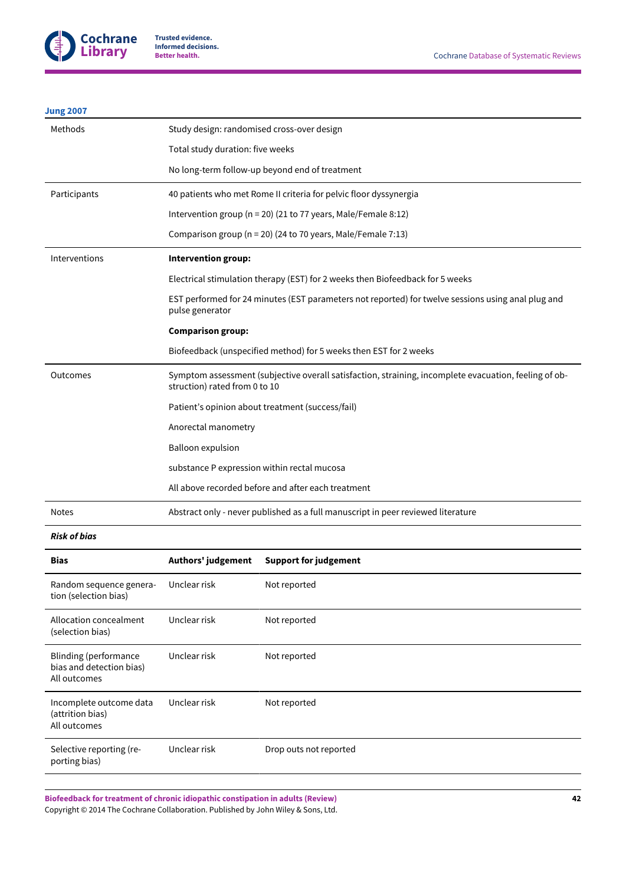

# **[Jung 2007](#page-26-6)**

| Methods       | Study design: randomised cross-over design                                                                                             |  |  |
|---------------|----------------------------------------------------------------------------------------------------------------------------------------|--|--|
|               | Total study duration: five weeks                                                                                                       |  |  |
|               | No long-term follow-up beyond end of treatment                                                                                         |  |  |
| Participants  | 40 patients who met Rome II criteria for pelvic floor dyssynergia                                                                      |  |  |
|               | Intervention group ( $n = 20$ ) (21 to 77 years, Male/Female 8:12)                                                                     |  |  |
|               | Comparison group (n = 20) (24 to 70 years, Male/Female 7:13)                                                                           |  |  |
| Interventions | Intervention group:                                                                                                                    |  |  |
|               | Electrical stimulation therapy (EST) for 2 weeks then Biofeedback for 5 weeks                                                          |  |  |
|               | EST performed for 24 minutes (EST parameters not reported) for twelve sessions using anal plug and<br>pulse generator                  |  |  |
|               | <b>Comparison group:</b>                                                                                                               |  |  |
|               | Biofeedback (unspecified method) for 5 weeks then EST for 2 weeks                                                                      |  |  |
| Outcomes      | Symptom assessment (subjective overall satisfaction, straining, incomplete evacuation, feeling of ob-<br>struction) rated from 0 to 10 |  |  |
|               | Patient's opinion about treatment (success/fail)                                                                                       |  |  |
|               | Anorectal manometry                                                                                                                    |  |  |
|               | <b>Balloon expulsion</b>                                                                                                               |  |  |
|               | substance P expression within rectal mucosa                                                                                            |  |  |
|               | All above recorded before and after each treatment                                                                                     |  |  |
| <b>Notes</b>  | Abstract only - never published as a full manuscript in peer reviewed literature                                                       |  |  |

# *Risk of bias*

| <b>Bias</b>                                                       | Authors' judgement | <b>Support for judgement</b> |
|-------------------------------------------------------------------|--------------------|------------------------------|
| Random sequence genera-<br>tion (selection bias)                  | Unclear risk       | Not reported                 |
| Allocation concealment<br>(selection bias)                        | Unclear risk       | Not reported                 |
| Blinding (performance<br>bias and detection bias)<br>All outcomes | Unclear risk       | Not reported                 |
| Incomplete outcome data<br>(attrition bias)<br>All outcomes       | Unclear risk       | Not reported                 |
| Selective reporting (re-<br>porting bias)                         | Unclear risk       | Drop outs not reported       |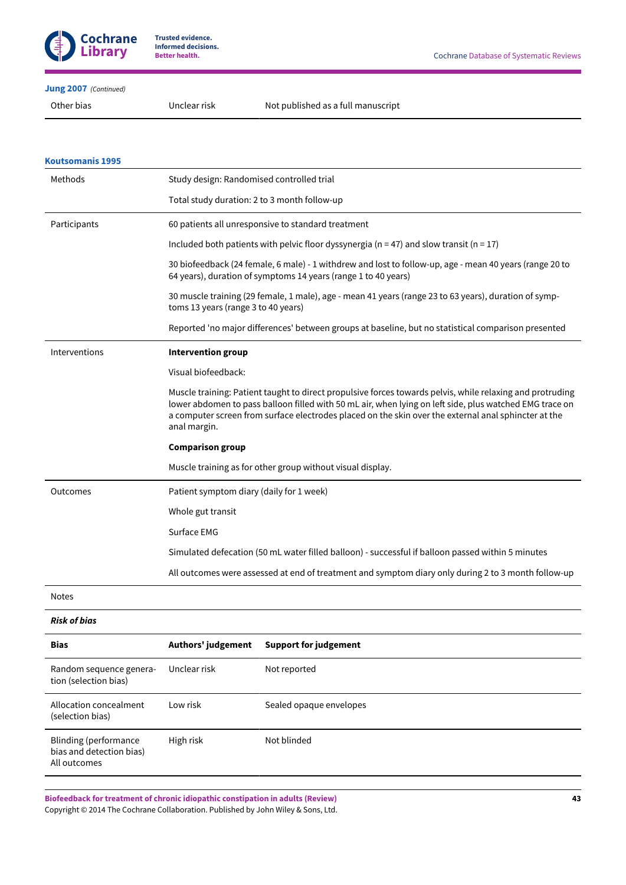

# **[Jung 2007](#page-26-6)**  *(Continued)*

Other bias Unclear risk Not published as a full manuscript

| <b>Koutsomanis 1995</b>                                                  |                                                                                                                                                                                                                                                                                                                                              |                                                                                                                                                                           |  |
|--------------------------------------------------------------------------|----------------------------------------------------------------------------------------------------------------------------------------------------------------------------------------------------------------------------------------------------------------------------------------------------------------------------------------------|---------------------------------------------------------------------------------------------------------------------------------------------------------------------------|--|
| Methods                                                                  | Study design: Randomised controlled trial                                                                                                                                                                                                                                                                                                    |                                                                                                                                                                           |  |
|                                                                          | Total study duration: 2 to 3 month follow-up                                                                                                                                                                                                                                                                                                 |                                                                                                                                                                           |  |
| Participants                                                             |                                                                                                                                                                                                                                                                                                                                              | 60 patients all unresponsive to standard treatment                                                                                                                        |  |
|                                                                          |                                                                                                                                                                                                                                                                                                                                              | Included both patients with pelvic floor dyssynergia ( $n = 47$ ) and slow transit ( $n = 17$ )                                                                           |  |
|                                                                          |                                                                                                                                                                                                                                                                                                                                              | 30 biofeedback (24 female, 6 male) - 1 withdrew and lost to follow-up, age - mean 40 years (range 20 to<br>64 years), duration of symptoms 14 years (range 1 to 40 years) |  |
|                                                                          | toms 13 years (range 3 to 40 years)                                                                                                                                                                                                                                                                                                          | 30 muscle training (29 female, 1 male), age - mean 41 years (range 23 to 63 years), duration of symp-                                                                     |  |
|                                                                          | Reported 'no major differences' between groups at baseline, but no statistical comparison presented                                                                                                                                                                                                                                          |                                                                                                                                                                           |  |
| Interventions                                                            | <b>Intervention group</b>                                                                                                                                                                                                                                                                                                                    |                                                                                                                                                                           |  |
|                                                                          | Visual biofeedback:                                                                                                                                                                                                                                                                                                                          |                                                                                                                                                                           |  |
|                                                                          | Muscle training: Patient taught to direct propulsive forces towards pelvis, while relaxing and protruding<br>lower abdomen to pass balloon filled with 50 mL air, when lying on left side, plus watched EMG trace on<br>a computer screen from surface electrodes placed on the skin over the external anal sphincter at the<br>anal margin. |                                                                                                                                                                           |  |
|                                                                          | <b>Comparison group</b>                                                                                                                                                                                                                                                                                                                      |                                                                                                                                                                           |  |
|                                                                          | Muscle training as for other group without visual display.                                                                                                                                                                                                                                                                                   |                                                                                                                                                                           |  |
| Outcomes                                                                 | Patient symptom diary (daily for 1 week)                                                                                                                                                                                                                                                                                                     |                                                                                                                                                                           |  |
|                                                                          | Whole gut transit                                                                                                                                                                                                                                                                                                                            |                                                                                                                                                                           |  |
|                                                                          | Surface EMG                                                                                                                                                                                                                                                                                                                                  |                                                                                                                                                                           |  |
|                                                                          |                                                                                                                                                                                                                                                                                                                                              | Simulated defecation (50 mL water filled balloon) - successful if balloon passed within 5 minutes                                                                         |  |
|                                                                          |                                                                                                                                                                                                                                                                                                                                              | All outcomes were assessed at end of treatment and symptom diary only during 2 to 3 month follow-up                                                                       |  |
| <b>Notes</b>                                                             |                                                                                                                                                                                                                                                                                                                                              |                                                                                                                                                                           |  |
| <b>Risk of bias</b>                                                      |                                                                                                                                                                                                                                                                                                                                              |                                                                                                                                                                           |  |
| <b>Bias</b>                                                              | Authors' judgement                                                                                                                                                                                                                                                                                                                           | <b>Support for judgement</b>                                                                                                                                              |  |
| Random sequence genera-<br>tion (selection bias)                         | Unclear risk                                                                                                                                                                                                                                                                                                                                 | Not reported                                                                                                                                                              |  |
| Allocation concealment<br>(selection bias)                               | Low risk                                                                                                                                                                                                                                                                                                                                     | Sealed opaque envelopes                                                                                                                                                   |  |
| <b>Blinding (performance</b><br>bias and detection bias)<br>All outcomes | High risk                                                                                                                                                                                                                                                                                                                                    | Not blinded                                                                                                                                                               |  |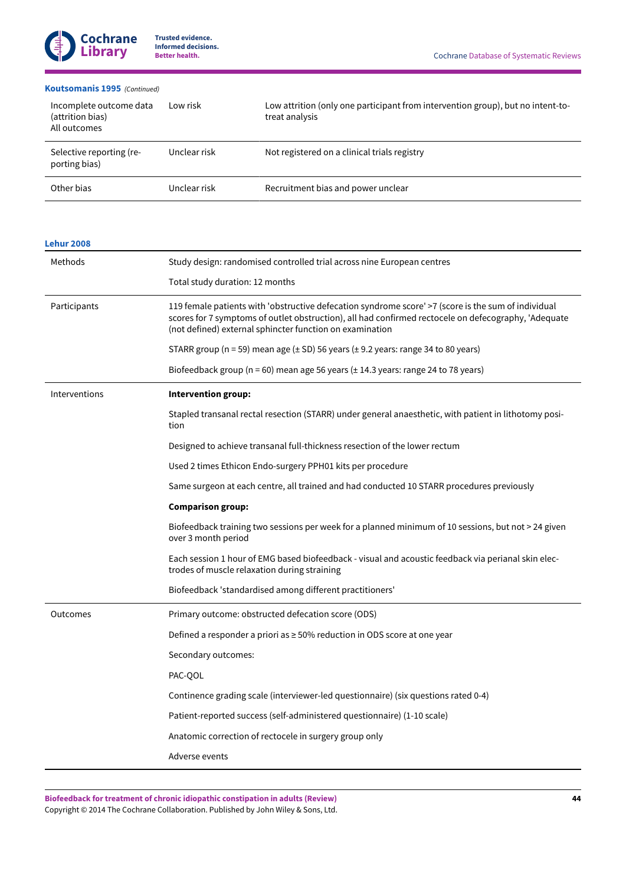# **[Koutsomanis](#page-26-1) 1995**  *(Continued)*

| Incomplete outcome data<br>(attrition bias)<br>All outcomes | Low risk     | Low attrition (only one participant from intervention group), but no intent-to-<br>treat analysis |
|-------------------------------------------------------------|--------------|---------------------------------------------------------------------------------------------------|
| Selective reporting (re-<br>porting bias)                   | Unclear risk | Not registered on a clinical trials registry                                                      |
| Other bias                                                  | Unclear risk | Recruitment bias and power unclear                                                                |

| <b>Lehur 2008</b> |                                                                                                                                                                                                                                                                         |  |  |
|-------------------|-------------------------------------------------------------------------------------------------------------------------------------------------------------------------------------------------------------------------------------------------------------------------|--|--|
| Methods           | Study design: randomised controlled trial across nine European centres                                                                                                                                                                                                  |  |  |
|                   | Total study duration: 12 months                                                                                                                                                                                                                                         |  |  |
| Participants      | 119 female patients with 'obstructive defecation syndrome score' >7 (score is the sum of individual<br>scores for 7 symptoms of outlet obstruction), all had confirmed rectocele on defecography, 'Adequate<br>(not defined) external sphincter function on examination |  |  |
|                   | STARR group ( $n = 59$ ) mean age ( $\pm$ SD) 56 years ( $\pm$ 9.2 years: range 34 to 80 years)                                                                                                                                                                         |  |  |
|                   | Biofeedback group (n = 60) mean age 56 years (± 14.3 years: range 24 to 78 years)                                                                                                                                                                                       |  |  |
| Interventions     | Intervention group:                                                                                                                                                                                                                                                     |  |  |
|                   | Stapled transanal rectal resection (STARR) under general anaesthetic, with patient in lithotomy posi-<br>tion                                                                                                                                                           |  |  |
|                   | Designed to achieve transanal full-thickness resection of the lower rectum                                                                                                                                                                                              |  |  |
|                   | Used 2 times Ethicon Endo-surgery PPH01 kits per procedure                                                                                                                                                                                                              |  |  |
|                   | Same surgeon at each centre, all trained and had conducted 10 STARR procedures previously                                                                                                                                                                               |  |  |
|                   | <b>Comparison group:</b>                                                                                                                                                                                                                                                |  |  |
|                   | Biofeedback training two sessions per week for a planned minimum of 10 sessions, but not > 24 given<br>over 3 month period                                                                                                                                              |  |  |
|                   | Each session 1 hour of EMG based biofeedback - visual and acoustic feedback via perianal skin elec-<br>trodes of muscle relaxation during straining                                                                                                                     |  |  |
|                   | Biofeedback 'standardised among different practitioners'                                                                                                                                                                                                                |  |  |
| Outcomes          | Primary outcome: obstructed defecation score (ODS)                                                                                                                                                                                                                      |  |  |
|                   | Defined a responder a priori as ≥ 50% reduction in ODS score at one year                                                                                                                                                                                                |  |  |
|                   | Secondary outcomes:                                                                                                                                                                                                                                                     |  |  |
|                   | PAC-QOL                                                                                                                                                                                                                                                                 |  |  |
|                   | Continence grading scale (interviewer-led questionnaire) (six questions rated 0-4)                                                                                                                                                                                      |  |  |
|                   | Patient-reported success (self-administered questionnaire) (1-10 scale)                                                                                                                                                                                                 |  |  |
|                   | Anatomic correction of rectocele in surgery group only                                                                                                                                                                                                                  |  |  |
|                   | Adverse events                                                                                                                                                                                                                                                          |  |  |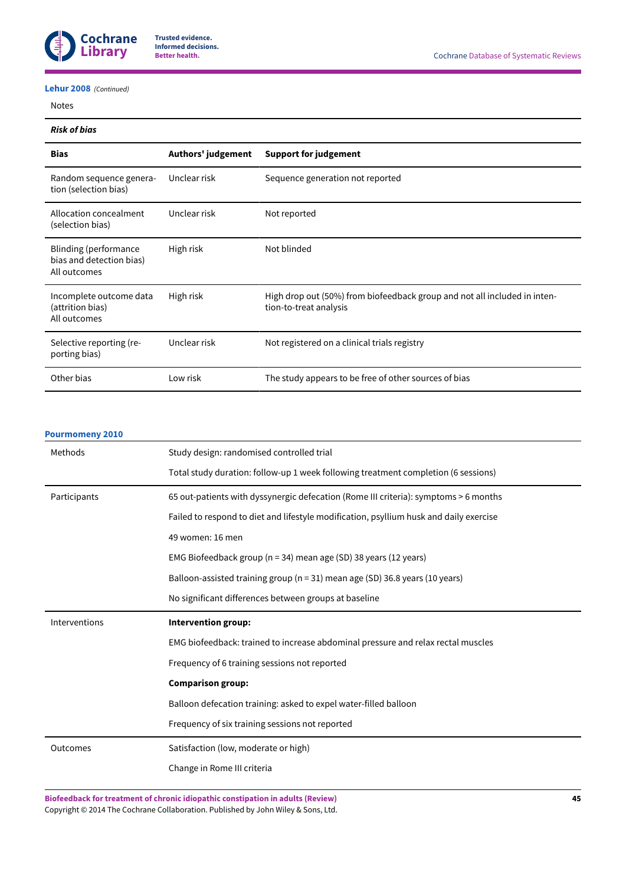

## **[Lehur](#page-26-13) 2008**  *(Continued)*

Notes

## *Risk of bias*

| <b>Bias</b>                                                        | Authors' judgement | <b>Support for judgement</b>                                                                        |
|--------------------------------------------------------------------|--------------------|-----------------------------------------------------------------------------------------------------|
| Random sequence genera-<br>tion (selection bias)                   | Unclear risk       | Sequence generation not reported                                                                    |
| Allocation concealment<br>(selection bias)                         | Unclear risk       | Not reported                                                                                        |
| Blinding (performance)<br>bias and detection bias)<br>All outcomes | High risk          | Not blinded                                                                                         |
| Incomplete outcome data<br>(attrition bias)<br>All outcomes        | High risk          | High drop out (50%) from biofeedback group and not all included in inten-<br>tion-to-treat analysis |
| Selective reporting (re-<br>porting bias)                          | Unclear risk       | Not registered on a clinical trials registry                                                        |
| Other bias                                                         | Low risk           | The study appears to be free of other sources of bias                                               |

# **[Pourmomeny](#page-26-12) 2010**

| Methods       | Study design: randomised controlled trial                                              |  |  |
|---------------|----------------------------------------------------------------------------------------|--|--|
|               |                                                                                        |  |  |
|               | Total study duration: follow-up 1 week following treatment completion (6 sessions)     |  |  |
| Participants  | 65 out-patients with dyssynergic defecation (Rome III criteria): symptoms > 6 months   |  |  |
|               | Failed to respond to diet and lifestyle modification, psyllium husk and daily exercise |  |  |
|               | 49 women: 16 men                                                                       |  |  |
|               | EMG Biofeedback group (n = 34) mean age (SD) 38 years (12 years)                       |  |  |
|               | Balloon-assisted training group ( $n = 31$ ) mean age (SD) 36.8 years (10 years)       |  |  |
|               | No significant differences between groups at baseline                                  |  |  |
|               |                                                                                        |  |  |
| Interventions | Intervention group:                                                                    |  |  |
|               | EMG biofeedback: trained to increase abdominal pressure and relax rectal muscles       |  |  |
|               | Frequency of 6 training sessions not reported                                          |  |  |
|               | <b>Comparison group:</b>                                                               |  |  |
|               | Balloon defecation training: asked to expel water-filled balloon                       |  |  |
|               | Frequency of six training sessions not reported                                        |  |  |
| Outcomes      | Satisfaction (low, moderate or high)                                                   |  |  |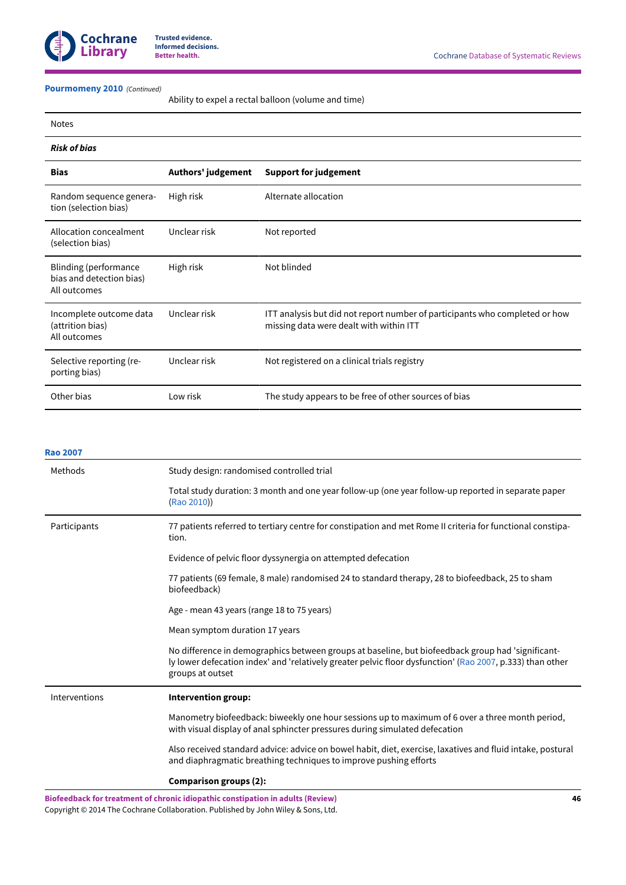

## **[Pourmomeny](#page-26-12) 2010**  *(Continued)*

Ability to expel a rectal balloon (volume and time)

| <b>Notes</b>                                                             |                    |                                                                                                                        |
|--------------------------------------------------------------------------|--------------------|------------------------------------------------------------------------------------------------------------------------|
| <b>Risk of bias</b>                                                      |                    |                                                                                                                        |
| <b>Bias</b>                                                              | Authors' judgement | <b>Support for judgement</b>                                                                                           |
| Random sequence genera-<br>tion (selection bias)                         | High risk          | Alternate allocation                                                                                                   |
| Allocation concealment<br>(selection bias)                               | Unclear risk       | Not reported                                                                                                           |
| <b>Blinding (performance</b><br>bias and detection bias)<br>All outcomes | High risk          | Not blinded                                                                                                            |
| Incomplete outcome data<br>(attrition bias)<br>All outcomes              | Unclear risk       | ITT analysis but did not report number of participants who completed or how<br>missing data were dealt with within ITT |
| Selective reporting (re-<br>porting bias)                                | Unclear risk       | Not registered on a clinical trials registry                                                                           |
| Other bias                                                               | Low risk           | The study appears to be free of other sources of bias                                                                  |

| <b>Rao 2007</b> |                                                                                                                                                                                                                                    |
|-----------------|------------------------------------------------------------------------------------------------------------------------------------------------------------------------------------------------------------------------------------|
| Methods         | Study design: randomised controlled trial                                                                                                                                                                                          |
|                 | Total study duration: 3 month and one year follow-up (one year follow-up reported in separate paper<br>(Rao 2010))                                                                                                                 |
| Participants    | 77 patients referred to tertiary centre for constipation and met Rome II criteria for functional constipa-<br>tion.                                                                                                                |
|                 | Evidence of pelvic floor dyssynergia on attempted defecation                                                                                                                                                                       |
|                 | 77 patients (69 female, 8 male) randomised 24 to standard therapy, 28 to biofeedback, 25 to sham<br>biofeedback)                                                                                                                   |
|                 | Age - mean 43 years (range 18 to 75 years)                                                                                                                                                                                         |
|                 | Mean symptom duration 17 years                                                                                                                                                                                                     |
|                 | No difference in demographics between groups at baseline, but biofeedback group had 'significant-<br>ly lower defecation index' and 'relatively greater pelvic floor dysfunction' (Rao 2007, p.333) than other<br>groups at outset |
| Interventions   | Intervention group:                                                                                                                                                                                                                |
|                 | Manometry biofeedback: biweekly one hour sessions up to maximum of 6 over a three month period,<br>with visual display of anal sphincter pressures during simulated defecation                                                     |
|                 | Also received standard advice: advice on bowel habit, diet, exercise, laxatives and fluid intake, postural<br>and diaphragmatic breathing techniques to improve pushing efforts                                                    |
|                 | <b>Comparison groups (2):</b>                                                                                                                                                                                                      |
|                 | Biofeedback for treatment of chronic idiopathic constipation in adults (Review)<br>46                                                                                                                                              |

Copyright © 2014 The Cochrane Collaboration. Published by John Wiley & Sons, Ltd.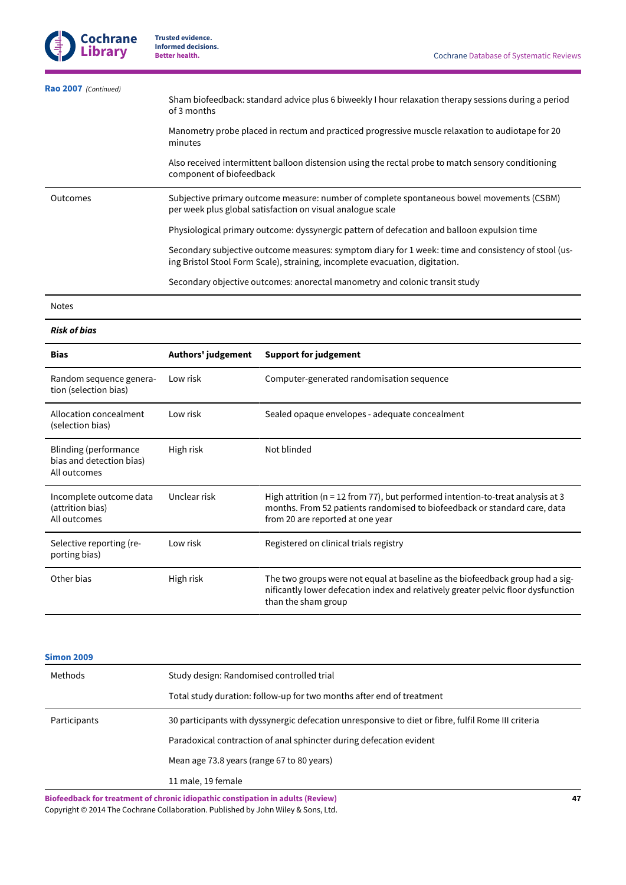| Rao 2007 (Continued) |                                                                                                                                                                                     |  |  |
|----------------------|-------------------------------------------------------------------------------------------------------------------------------------------------------------------------------------|--|--|
|                      | Sham biofeedback: standard advice plus 6 biweekly I hour relaxation therapy sessions during a period<br>of 3 months                                                                 |  |  |
|                      | Manometry probe placed in rectum and practiced progressive muscle relaxation to audiotape for 20<br>minutes                                                                         |  |  |
|                      | Also received intermittent balloon distension using the rectal probe to match sensory conditioning<br>component of biofeedback                                                      |  |  |
| Outcomes             | Subjective primary outcome measure: number of complete spontaneous bowel movements (CSBM)<br>per week plus global satisfaction on visual analogue scale                             |  |  |
|                      | Physiological primary outcome: dyssynergic pattern of defecation and balloon expulsion time                                                                                         |  |  |
|                      | Secondary subjective outcome measures: symptom diary for 1 week: time and consistency of stool (us-<br>ing Bristol Stool Form Scale), straining, incomplete evacuation, digitation. |  |  |
|                      | Secondary objective outcomes: anorectal manometry and colonic transit study                                                                                                         |  |  |
| <b>Notes</b>         |                                                                                                                                                                                     |  |  |
| <b>Risk of bias</b>  |                                                                                                                                                                                     |  |  |
|                      |                                                                                                                                                                                     |  |  |

| <b>Bias</b>                                                              | Authors' judgement | <b>Support for judgement</b>                                                                                                                                                                        |
|--------------------------------------------------------------------------|--------------------|-----------------------------------------------------------------------------------------------------------------------------------------------------------------------------------------------------|
| Random sequence genera-<br>tion (selection bias)                         | Low risk           | Computer-generated randomisation sequence                                                                                                                                                           |
| Allocation concealment<br>(selection bias)                               | Low risk           | Sealed opaque envelopes - adequate concealment                                                                                                                                                      |
| <b>Blinding (performance</b><br>bias and detection bias)<br>All outcomes | High risk          | Not blinded                                                                                                                                                                                         |
| Incomplete outcome data<br>(attrition bias)<br>All outcomes              | Unclear risk       | High attrition ( $n = 12$ from 77), but performed intention-to-treat analysis at 3<br>months. From 52 patients randomised to biofeedback or standard care, data<br>from 20 are reported at one year |
| Selective reporting (re-<br>porting bias)                                | Low risk           | Registered on clinical trials registry                                                                                                                                                              |
| Other bias                                                               | High risk          | The two groups were not equal at baseline as the biofeedback group had a sig-<br>nificantly lower defecation index and relatively greater pelvic floor dysfunction<br>than the sham group           |

**[Simon 2009](#page-27-4)**

| JIIIVII 4VVJ |                                                                                                     |  |  |
|--------------|-----------------------------------------------------------------------------------------------------|--|--|
| Methods      | Study design: Randomised controlled trial                                                           |  |  |
|              | Total study duration: follow-up for two months after end of treatment                               |  |  |
| Participants | 30 participants with dyssynergic defecation unresponsive to diet or fibre, fulfil Rome III criteria |  |  |
|              | Paradoxical contraction of anal sphincter during defecation evident                                 |  |  |
|              | Mean age 73.8 years (range 67 to 80 years)                                                          |  |  |
|              | 11 male, 19 female                                                                                  |  |  |
|              |                                                                                                     |  |  |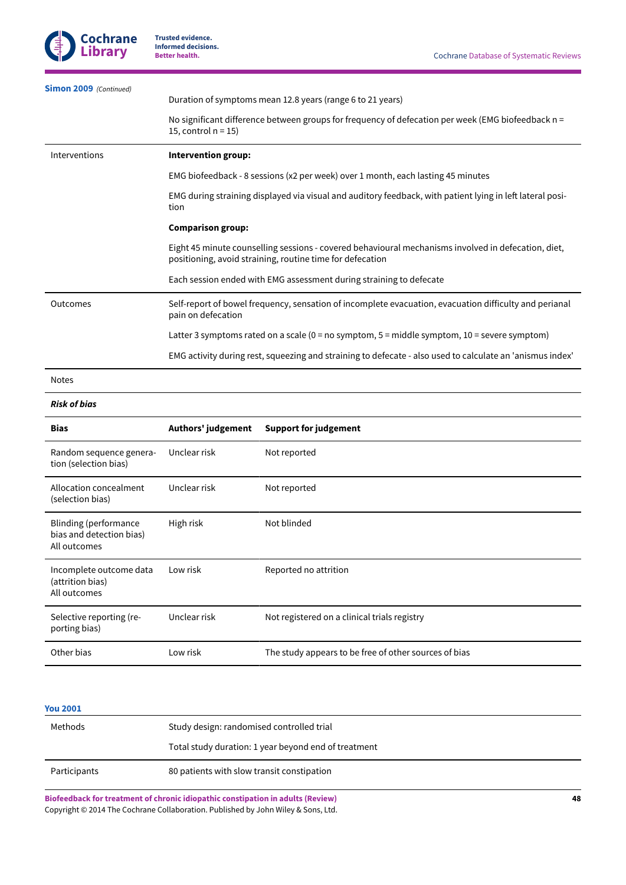(attrition bias) All outcomes

porting bias)

Selective reporting (re-

| <b>Simon 2009</b> (Continued)                                            | Duration of symptoms mean 12.8 years (range 6 to 21 years)                                                                                                                                                                          |                                                                                                    |  |
|--------------------------------------------------------------------------|-------------------------------------------------------------------------------------------------------------------------------------------------------------------------------------------------------------------------------------|----------------------------------------------------------------------------------------------------|--|
|                                                                          | 15, control $n = 15$ )                                                                                                                                                                                                              | No significant difference between groups for frequency of defecation per week (EMG biofeedback n = |  |
| Interventions                                                            | Intervention group:                                                                                                                                                                                                                 |                                                                                                    |  |
|                                                                          |                                                                                                                                                                                                                                     | EMG biofeedback - 8 sessions (x2 per week) over 1 month, each lasting 45 minutes                   |  |
|                                                                          | EMG during straining displayed via visual and auditory feedback, with patient lying in left lateral posi-<br>tion                                                                                                                   |                                                                                                    |  |
|                                                                          | <b>Comparison group:</b>                                                                                                                                                                                                            |                                                                                                    |  |
|                                                                          | Eight 45 minute counselling sessions - covered behavioural mechanisms involved in defecation, diet,<br>positioning, avoid straining, routine time for defecation                                                                    |                                                                                                    |  |
|                                                                          | Each session ended with EMG assessment during straining to defecate                                                                                                                                                                 |                                                                                                    |  |
| Outcomes                                                                 | Self-report of bowel frequency, sensation of incomplete evacuation, evacuation difficulty and perianal<br>pain on defecation<br>Latter 3 symptoms rated on a scale ( $0 = no$ symptom, $5 =$ middle symptom, $10 =$ severe symptom) |                                                                                                    |  |
|                                                                          |                                                                                                                                                                                                                                     |                                                                                                    |  |
|                                                                          | EMG activity during rest, squeezing and straining to defecate - also used to calculate an 'anismus index'                                                                                                                           |                                                                                                    |  |
| <b>Notes</b>                                                             |                                                                                                                                                                                                                                     |                                                                                                    |  |
| <b>Risk of bias</b>                                                      |                                                                                                                                                                                                                                     |                                                                                                    |  |
| <b>Bias</b>                                                              | Authors' judgement                                                                                                                                                                                                                  | <b>Support for judgement</b>                                                                       |  |
| Random sequence genera-<br>tion (selection bias)                         | Unclear risk                                                                                                                                                                                                                        | Not reported                                                                                       |  |
| Allocation concealment<br>(selection bias)                               | Unclear risk                                                                                                                                                                                                                        | Not reported                                                                                       |  |
| <b>Blinding (performance</b><br>bias and detection bias)<br>All outcomes | High risk                                                                                                                                                                                                                           | Not blinded                                                                                        |  |
| Incomplete outcome data                                                  | Low risk                                                                                                                                                                                                                            | Reported no attrition                                                                              |  |

| <b>You 2001</b> |                                                      |
|-----------------|------------------------------------------------------|
| Methods         | Study design: randomised controlled trial            |
|                 | Total study duration: 1 year beyond end of treatment |
| Participants    | 80 patients with slow transit constipation           |

Unclear risk Not registered on a clinical trials registry

Other bias **Low risk** Low risk The study appears to be free of other sources of bias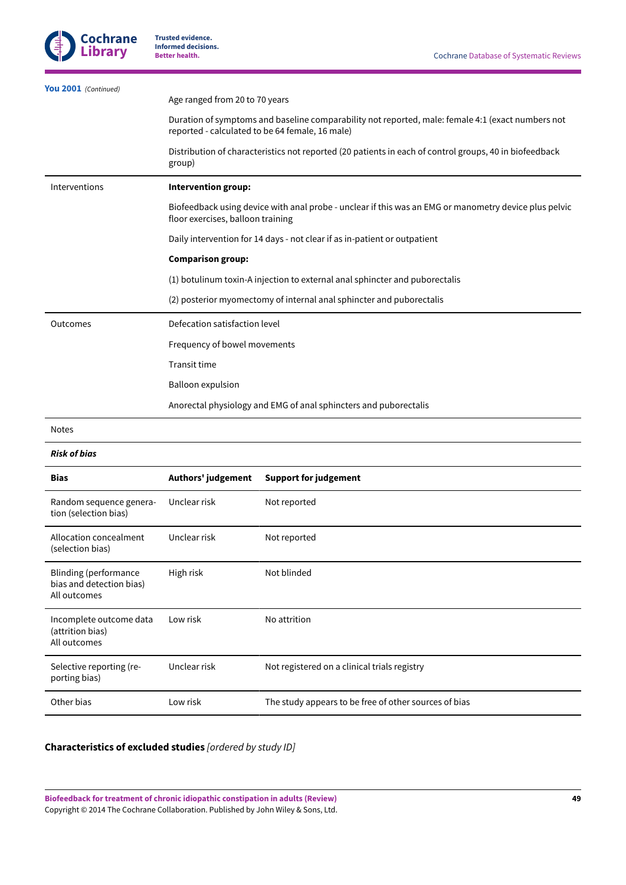| You 2001 (Continued)                                                     | Age ranged from 20 to 70 years    |                                                                                                                                                      |  |  |
|--------------------------------------------------------------------------|-----------------------------------|------------------------------------------------------------------------------------------------------------------------------------------------------|--|--|
|                                                                          |                                   |                                                                                                                                                      |  |  |
|                                                                          |                                   | Duration of symptoms and baseline comparability not reported, male: female 4:1 (exact numbers not<br>reported - calculated to be 64 female, 16 male) |  |  |
|                                                                          | group)                            | Distribution of characteristics not reported (20 patients in each of control groups, 40 in biofeedback                                               |  |  |
| Interventions                                                            | Intervention group:               |                                                                                                                                                      |  |  |
|                                                                          | floor exercises, balloon training | Biofeedback using device with anal probe - unclear if this was an EMG or manometry device plus pelvic                                                |  |  |
|                                                                          |                                   | Daily intervention for 14 days - not clear if as in-patient or outpatient                                                                            |  |  |
|                                                                          | <b>Comparison group:</b>          |                                                                                                                                                      |  |  |
|                                                                          |                                   | (1) botulinum toxin-A injection to external anal sphincter and puborectalis                                                                          |  |  |
|                                                                          |                                   | (2) posterior myomectomy of internal anal sphincter and puborectalis                                                                                 |  |  |
| Outcomes                                                                 | Defecation satisfaction level     |                                                                                                                                                      |  |  |
|                                                                          | Frequency of bowel movements      |                                                                                                                                                      |  |  |
|                                                                          | <b>Transit time</b>               |                                                                                                                                                      |  |  |
|                                                                          | <b>Balloon expulsion</b>          |                                                                                                                                                      |  |  |
|                                                                          |                                   | Anorectal physiology and EMG of anal sphincters and puborectalis                                                                                     |  |  |
| <b>Notes</b>                                                             |                                   |                                                                                                                                                      |  |  |
| <b>Risk of bias</b>                                                      |                                   |                                                                                                                                                      |  |  |
| <b>Bias</b>                                                              | Authors' judgement                | <b>Support for judgement</b>                                                                                                                         |  |  |
| Random sequence genera-<br>tion (selection bias)                         | Unclear risk                      | Not reported                                                                                                                                         |  |  |
| Allocation concealment<br>(selection bias)                               | Unclear risk                      | Not reported                                                                                                                                         |  |  |
| <b>Blinding (performance</b><br>bias and detection bias)<br>All outcomes | High risk                         | Not blinded                                                                                                                                          |  |  |
| Incomplete outcome data<br>(attrition bias)<br>All outcomes              | Low risk                          | No attrition                                                                                                                                         |  |  |
| Selective reporting (re-<br>porting bias)                                | Unclear risk                      | Not registered on a clinical trials registry                                                                                                         |  |  |

Other bias **Low risk** Low risk The study appears to be free of other sources of bias

# <span id="page-50-0"></span>**Characteristics of excluded studies** *[ordered by study ID]*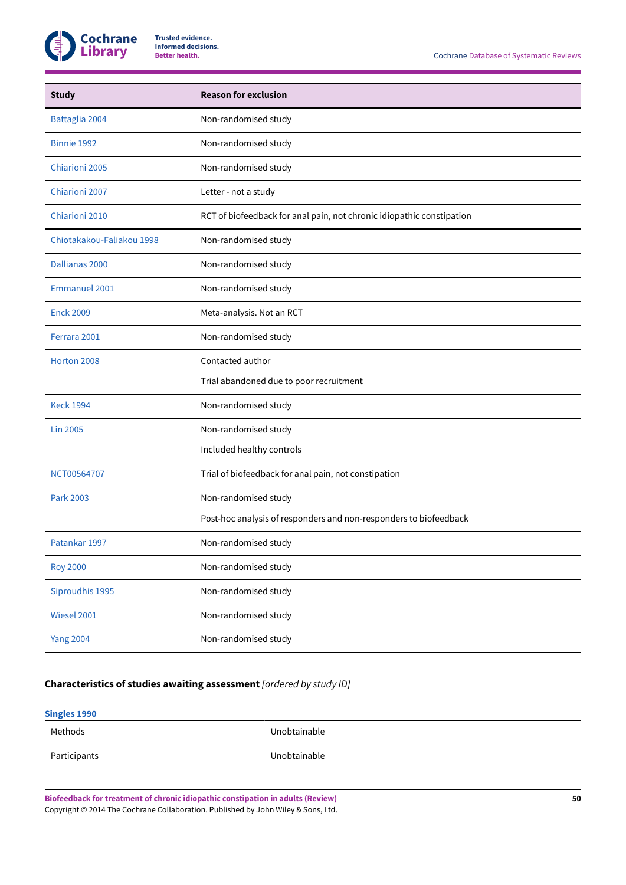

| <b>Study</b>              | <b>Reason for exclusion</b>                                           |
|---------------------------|-----------------------------------------------------------------------|
| Battaglia 2004            | Non-randomised study                                                  |
| Binnie 1992               | Non-randomised study                                                  |
| Chiarioni 2005            | Non-randomised study                                                  |
| Chiarioni 2007            | Letter - not a study                                                  |
| Chiarioni 2010            | RCT of biofeedback for anal pain, not chronic idiopathic constipation |
| Chiotakakou-Faliakou 1998 | Non-randomised study                                                  |
| Dallianas 2000            | Non-randomised study                                                  |
| <b>Emmanuel 2001</b>      | Non-randomised study                                                  |
| <b>Enck 2009</b>          | Meta-analysis. Not an RCT                                             |
| Ferrara 2001              | Non-randomised study                                                  |
| Horton 2008               | Contacted author                                                      |
|                           | Trial abandoned due to poor recruitment                               |
| <b>Keck 1994</b>          | Non-randomised study                                                  |
| <b>Lin 2005</b>           | Non-randomised study                                                  |
|                           | Included healthy controls                                             |
| NCT00564707               | Trial of biofeedback for anal pain, not constipation                  |
| Park 2003                 | Non-randomised study                                                  |
|                           | Post-hoc analysis of responders and non-responders to biofeedback     |
| Patankar 1997             | Non-randomised study                                                  |
| <b>Roy 2000</b>           | Non-randomised study                                                  |
| Siproudhis 1995           | Non-randomised study                                                  |
| Wiesel 2001               | Non-randomised study                                                  |
| <b>Yang 2004</b>          | Non-randomised study                                                  |

# **Characteristics of studies awaiting assessment** *[ordered by study ID]*

# **[Singles 1990](#page-28-17)**

| Methods      | Unobtainable |
|--------------|--------------|
| Participants | Unobtainable |
|              |              |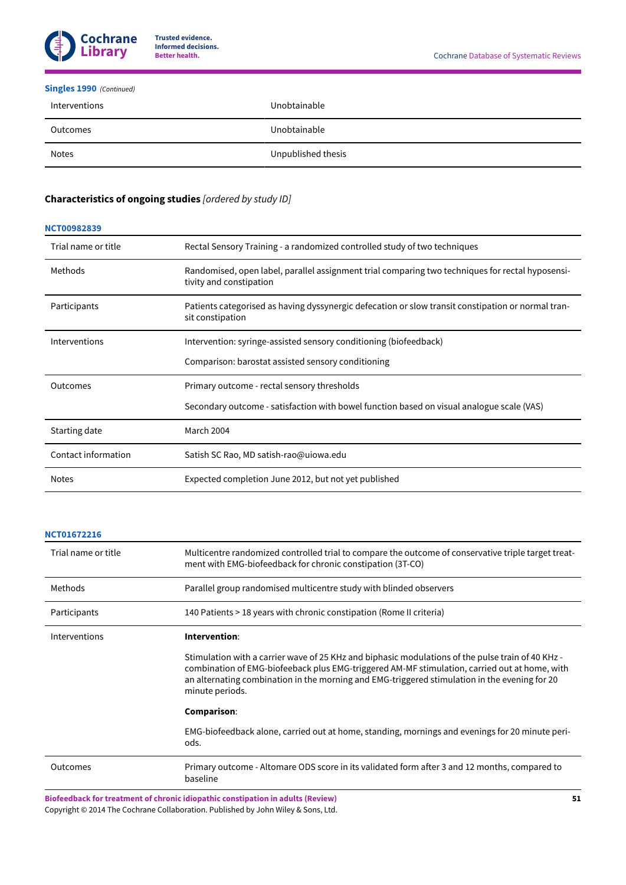

# **[Singles 1990](#page-28-17)** *(Continued)*

| Interventions | Unobtainable       |
|---------------|--------------------|
| Outcomes      | Unobtainable       |
| Notes         | Unpublished thesis |

# <span id="page-52-0"></span>**Characteristics of ongoing studies** *[ordered by study ID]*

# **[NCT00982839](#page-28-18)**

| Trial name or title | Rectal Sensory Training - a randomized controlled study of two techniques                                                   |
|---------------------|-----------------------------------------------------------------------------------------------------------------------------|
| Methods             | Randomised, open label, parallel assignment trial comparing two techniques for rectal hyposensi-<br>tivity and constipation |
| Participants        | Patients categorised as having dyssynergic defecation or slow transit constipation or normal tran-<br>sit constipation      |
| Interventions       | Intervention: syringe-assisted sensory conditioning (biofeedback)                                                           |
|                     | Comparison: barostat assisted sensory conditioning                                                                          |
| Outcomes            | Primary outcome - rectal sensory thresholds                                                                                 |
|                     | Secondary outcome - satisfaction with bowel function based on visual analogue scale (VAS)                                   |
| Starting date       | March 2004                                                                                                                  |
| Contact information | Satish SC Rao, MD satish-rao@uiowa.edu                                                                                      |
| <b>Notes</b>        | Expected completion June 2012, but not yet published                                                                        |

# **[NCT01672216](#page-28-19)**

| Trial name or title | Multicentre randomized controlled trial to compare the outcome of conservative triple target treat-<br>ment with EMG-biofeedback for chronic constipation (3T-CO)                                                                                                                                                      |  |  |  |  |  |  |
|---------------------|------------------------------------------------------------------------------------------------------------------------------------------------------------------------------------------------------------------------------------------------------------------------------------------------------------------------|--|--|--|--|--|--|
| Methods             | Parallel group randomised multicentre study with blinded observers                                                                                                                                                                                                                                                     |  |  |  |  |  |  |
| Participants        | 140 Patients > 18 years with chronic constipation (Rome II criteria)                                                                                                                                                                                                                                                   |  |  |  |  |  |  |
| Interventions       | Intervention:                                                                                                                                                                                                                                                                                                          |  |  |  |  |  |  |
|                     | Stimulation with a carrier wave of 25 KHz and biphasic modulations of the pulse train of 40 KHz -<br>combination of EMG-biofeeback plus EMG-triggered AM-MF stimulation, carried out at home, with<br>an alternating combination in the morning and EMG-triggered stimulation in the evening for 20<br>minute periods. |  |  |  |  |  |  |
|                     | Comparison:                                                                                                                                                                                                                                                                                                            |  |  |  |  |  |  |
|                     | EMG-biofeedback alone, carried out at home, standing, mornings and evenings for 20 minute peri-<br>ods.                                                                                                                                                                                                                |  |  |  |  |  |  |
| <b>Outcomes</b>     | Primary outcome - Altomare ODS score in its validated form after 3 and 12 months, compared to<br>baseline                                                                                                                                                                                                              |  |  |  |  |  |  |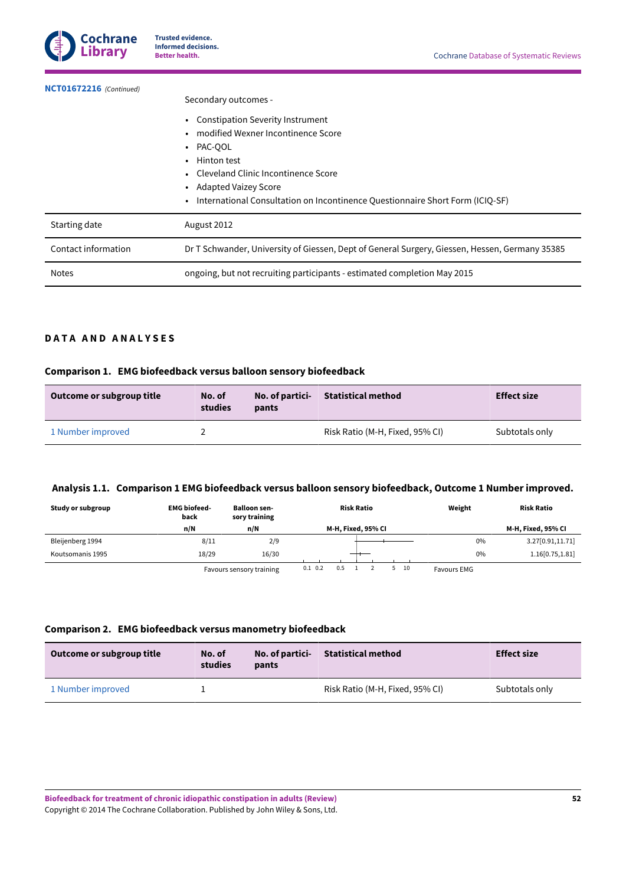

**[NCT01672216](#page-28-19)**  *(Continued)*

### Secondary outcomes -

|                     | • Constipation Severity Instrument                                                             |
|---------------------|------------------------------------------------------------------------------------------------|
|                     | modified Wexner Incontinence Score                                                             |
|                     | • PAC-QOL                                                                                      |
|                     | • Hinton test                                                                                  |
|                     | • Cleveland Clinic Incontinence Score                                                          |
|                     | Adapted Vaizey Score                                                                           |
|                     | • International Consultation on Incontinence Questionnaire Short Form (ICIQ-SF)                |
| Starting date       | August 2012                                                                                    |
| Contact information | Dr T Schwander, University of Giessen, Dept of General Surgery, Giessen, Hessen, Germany 35385 |
| <b>Notes</b>        | ongoing, but not recruiting participants - estimated completion May 2015                       |

# <span id="page-53-0"></span>**D A T A A N D A N A L Y S E S**

# **Comparison 1. EMG biofeedback versus balloon sensory biofeedback**

| Outcome or subgroup title | No. of<br>studies | No. of partici-<br>pants | <b>Statistical method</b>       | <b>Effect size</b> |
|---------------------------|-------------------|--------------------------|---------------------------------|--------------------|
| 1 Number improved         |                   |                          | Risk Ratio (M-H, Fixed, 95% CI) | Subtotals only     |

# <span id="page-53-1"></span>**Analysis 1.1. Comparison 1 EMG biofeedback versus balloon sensory biofeedback, Outcome 1 Number improved.**

| Study or subgroup | <b>EMG</b> biofeed-<br>back | <b>Balloon sen-</b><br>sory training      | <b>Risk Ratio</b>  | Weight              | <b>Risk Ratio</b>  |
|-------------------|-----------------------------|-------------------------------------------|--------------------|---------------------|--------------------|
|                   | n/N                         | n/N                                       | M-H, Fixed, 95% CI |                     | M-H, Fixed, 95% CI |
| Bleijenberg 1994  | 8/11                        | 2/9                                       |                    | 0%                  | 3.27[0.91,11.71]   |
| Koutsomanis 1995  | 18/29                       | 16/30                                     |                    | 0%                  | 1.16[0.75, 1.81]   |
|                   |                             | For a construction of the construction of | 01 02<br>05<br>10  | <b>CALLASS CARD</b> |                    |

Favours sensory training 0.1 0.2 0.5 1 2 5 10 Favours EMG

# **Comparison 2. EMG biofeedback versus manometry biofeedback**

| Outcome or subgroup title | No. of<br>studies | No. of partici-<br>pants | Statistical method              | <b>Effect size</b> |
|---------------------------|-------------------|--------------------------|---------------------------------|--------------------|
| 1 Number improved         |                   |                          | Risk Ratio (M-H, Fixed, 95% CI) | Subtotals only     |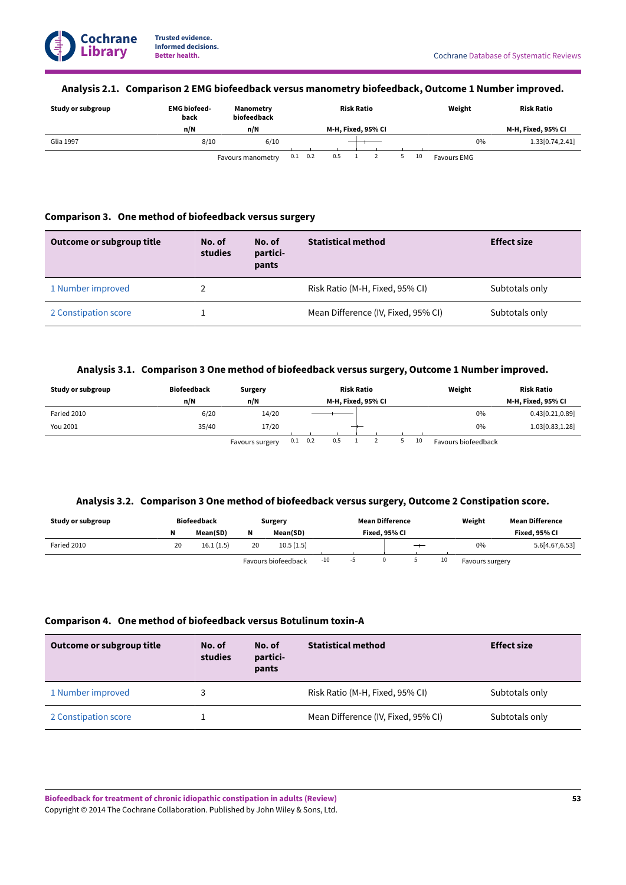# <span id="page-54-0"></span>**Analysis 2.1. Comparison 2 EMG biofeedback versus manometry biofeedback, Outcome 1 Number improved.**

| Study or subgroup | <b>EMG biofeed-</b><br>back | Manometry<br>biofeedback | <b>Risk Ratio</b> |     |  |                    |  |    | Weight             | <b>Risk Ratio</b>   |
|-------------------|-----------------------------|--------------------------|-------------------|-----|--|--------------------|--|----|--------------------|---------------------|
|                   | n/N                         | n/N                      |                   |     |  | M-H, Fixed, 95% CI |  |    |                    | M-H, Fixed, 95% CI  |
| Glia 1997         | 8/10                        | 6/10                     |                   |     |  |                    |  |    | 0%                 | 1.33 $[0.74, 2.41]$ |
|                   |                             | Favours manometry        | $0.1 \quad 0.2$   | 0.5 |  |                    |  | 10 | <b>Favours EMG</b> |                     |

# **Comparison 3. One method of biofeedback versus surgery**

| Outcome or subgroup title | No. of<br>studies | No. of<br>partici-<br>pants | <b>Statistical method</b>           | <b>Effect size</b> |
|---------------------------|-------------------|-----------------------------|-------------------------------------|--------------------|
| 1 Number improved         |                   |                             | Risk Ratio (M-H, Fixed, 95% CI)     | Subtotals only     |
| 2 Constipation score      |                   |                             | Mean Difference (IV, Fixed, 95% CI) | Subtotals only     |

# **Analysis 3.1. Comparison 3 One method of biofeedback versus surgery, Outcome 1 Number improved.**

<span id="page-54-1"></span>

| Study or subgroup | <b>Biofeedback</b> | <b>Surgery</b>  |     |     |     | <b>Risk Ratio</b>  |  |    | Weight              | <b>Risk Ratio</b>  |
|-------------------|--------------------|-----------------|-----|-----|-----|--------------------|--|----|---------------------|--------------------|
|                   | n/N                | n/N             |     |     |     | M-H, Fixed, 95% CI |  |    |                     | M-H, Fixed, 95% CI |
| Faried 2010       | 6/20               | 14/20           |     |     |     |                    |  |    | 0%                  | 0.43[0.21, 0.89]   |
| You 2001          | 35/40              | 17/20           |     |     |     |                    |  | 0% | 1.03 $[0.83, 1.28]$ |                    |
|                   |                    | Favours surgery | 0.1 | 0.2 | 0.5 |                    |  | 10 | Favours biofeedback |                    |

gery' 0.1 0.2 0.5 1 2 5 10 Favours biofeedback

# **Analysis 3.2. Comparison 3 One method of biofeedback versus surgery, Outcome 2 Constipation score.**

<span id="page-54-2"></span>

| Study or subgroup |    | <b>Biofeedback</b> |    | Surgery             |     | <b>Mean Difference</b> |   |    | Weight          | <b>Mean Difference</b> |
|-------------------|----|--------------------|----|---------------------|-----|------------------------|---|----|-----------------|------------------------|
|                   |    | Mean(SD)           | N  | Mean(SD)            |     | Fixed. 95% CI          |   |    |                 | Fixed. 95% CI          |
| Faried 2010       | 20 | 16.1(1.5)          | 20 | 10.5(1.5)           |     |                        | — |    | 0%              | 5.6 [4.67, 6.53]       |
|                   |    |                    |    | Favours biofeedback | -10 |                        |   | 10 | Favours surgery |                        |

# **Comparison 4. One method of biofeedback versus Botulinum toxin-A**

| Outcome or subgroup title | No. of<br>studies | No. of<br>partici-<br>pants | <b>Statistical method</b>           | <b>Effect size</b> |
|---------------------------|-------------------|-----------------------------|-------------------------------------|--------------------|
| 1 Number improved         |                   |                             | Risk Ratio (M-H, Fixed, 95% CI)     | Subtotals only     |
| 2 Constipation score      |                   |                             | Mean Difference (IV, Fixed, 95% CI) | Subtotals only     |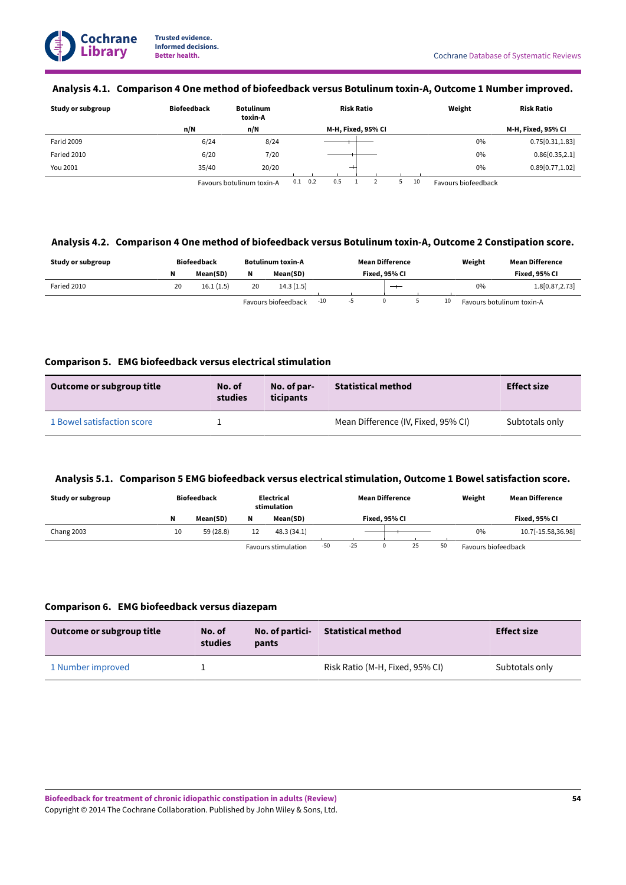# <span id="page-55-0"></span>**Analysis 4.1. Comparison 4 One method of biofeedback versus Botulinum toxin-A, Outcome 1 Number improved.**

| Study or subgroup | <b>Biofeedback</b> | <b>Botulinum</b><br>toxin-A | <b>Risk Ratio</b>  | Weight | <b>Risk Ratio</b>  |
|-------------------|--------------------|-----------------------------|--------------------|--------|--------------------|
|                   | n/N                | n/N                         | M-H, Fixed, 95% CI |        | M-H, Fixed, 95% CI |
| <b>Farid 2009</b> | 6/24               | 8/24                        |                    | 0%     | 0.75[0.31, 1.83]   |
| Faried 2010       | 6/20               | 7/20                        |                    | 0%     | 0.86[0.35, 2.1]    |
| You 2001          | 35/40              | 20/20                       | $^+$               | 0%     | 0.89[0.77, 1.02]   |
|                   |                    |                             |                    |        |                    |

Favours botulinum toxin-A 0.1 0.2 0.5 1 2 5 10 Favours biofeedback

# <span id="page-55-1"></span>**Analysis 4.2. Comparison 4 One method of biofeedback versus Botulinum toxin-A, Outcome 2 Constipation score.**

| Study or subgroup |    | <b>Biofeedback</b> | Botulinum toxin-A |                     |       | <b>Mean Difference</b> |               |  | Weight | <b>Mean Difference</b> |                           |
|-------------------|----|--------------------|-------------------|---------------------|-------|------------------------|---------------|--|--------|------------------------|---------------------------|
|                   | N  | Mean(SD)           | N                 | Mean(SD)            |       |                        | Fixed. 95% Cl |  |        |                        | Fixed. 95% CI             |
| Faried 2010       | 20 | 16.1(1.5)          | 20                | 14.3(1.5)           |       |                        | $-$           |  |        | 0%                     | 1.8 [0.87, 2.73]          |
|                   |    |                    |                   | Favours biofeedback | $-10$ |                        |               |  | 10     |                        | Favours botulinum toxin-A |

# **Comparison 5. EMG biofeedback versus electrical stimulation**

| Outcome or subgroup title  | No. of<br>studies | No. of par-<br>ticipants | <b>Statistical method</b>           | <b>Effect size</b> |
|----------------------------|-------------------|--------------------------|-------------------------------------|--------------------|
| 1 Bowel satisfaction score |                   |                          | Mean Difference (IV, Fixed, 95% CI) | Subtotals only     |

# <span id="page-55-2"></span>**Analysis 5.1. Comparison 5 EMG biofeedback versus electrical stimulation, Outcome 1 Bowel satisfaction score.**

| Study or subgroup |    | <b>Biofeedback</b> | Electrical<br>stimulation |                     |     | <b>Mean Difference</b> |               |    |    | Weight              | <b>Mean Difference</b> |
|-------------------|----|--------------------|---------------------------|---------------------|-----|------------------------|---------------|----|----|---------------------|------------------------|
|                   | N  | Mean(SD)           | N                         | Mean(SD)            |     |                        | Fixed. 95% CI |    |    |                     | Fixed. 95% CI          |
| Chang 2003        | 10 | 59 (28.8)          | 12                        | 48.3(34.1)          |     |                        |               |    |    | $0\%$               | 10.7[-15.58,36.98]     |
|                   |    |                    |                           | Favours stimulation | -50 | $-25$                  |               | 25 | 50 | Favours biofeedback |                        |

# **Comparison 6. EMG biofeedback versus diazepam**

| Outcome or subgroup title | No. of<br>studies | No. of partici-<br>pants | <b>Statistical method</b>       | <b>Effect size</b> |
|---------------------------|-------------------|--------------------------|---------------------------------|--------------------|
| 1 Number improved         |                   |                          | Risk Ratio (M-H, Fixed, 95% CI) | Subtotals only     |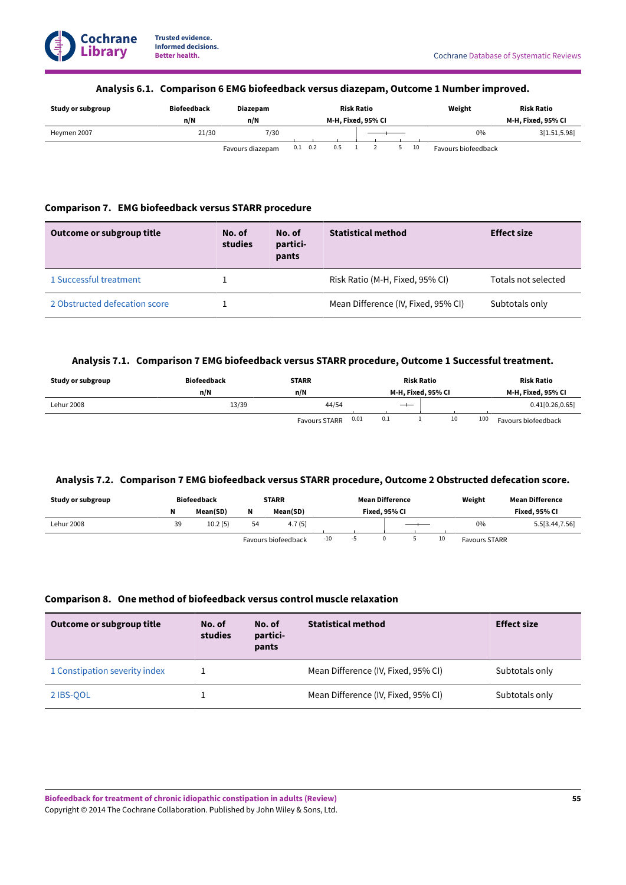# **Analysis 6.1. Comparison 6 EMG biofeedback versus diazepam, Outcome 1 Number improved.**

<span id="page-56-0"></span>

| Study or subgroup | <b>Biofeedback</b> | <b>Diazepam</b>  | <b>Risk Ratio</b>  |  |     |  |    |                    |    | Weight              | <b>Risk Ratio</b> |
|-------------------|--------------------|------------------|--------------------|--|-----|--|----|--------------------|----|---------------------|-------------------|
|                   | n/N                | n/N              | M-H, Fixed, 95% CI |  |     |  |    | M-H, Fixed, 95% CI |    |                     |                   |
| Heymen 2007       | 21/30              | 7/30             |                    |  |     |  | 0% | 3[1.51, 5.98]      |    |                     |                   |
|                   |                    | Favours diazepam | $0.1 \quad 0.2$    |  | 0.5 |  |    |                    | 10 | Favours biofeedback |                   |

# **Comparison 7. EMG biofeedback versus STARR procedure**

| Outcome or subgroup title     | No. of<br>studies | No. of<br>partici-<br>pants | <b>Statistical method</b>           | <b>Effect size</b>  |
|-------------------------------|-------------------|-----------------------------|-------------------------------------|---------------------|
| 1 Successful treatment        |                   |                             | Risk Ratio (M-H, Fixed, 95% CI)     | Totals not selected |
| 2 Obstructed defecation score |                   |                             | Mean Difference (IV, Fixed, 95% CI) | Subtotals only      |

# **Analysis 7.1. Comparison 7 EMG biofeedback versusSTARR procedure, Outcome 1Successful treatment.**

<span id="page-56-1"></span>

| Study or subgroup | <b>Biofeedback</b> | <b>STARR</b>                 | <b>Risk Ratio</b>  | <b>Risk Ratio</b>          |  |  |
|-------------------|--------------------|------------------------------|--------------------|----------------------------|--|--|
|                   | n/N                | n/N                          | M-H. Fixed. 95% CI | M-H, Fixed, 95% CI         |  |  |
| <b>Lehur 2008</b> | 13/39              | 44/54                        | $-\!$              | 0.41[0.26, 0.65]           |  |  |
|                   |                    | 0.01<br><b>Favours STARR</b> | 0.1<br>10          | 100<br>Favours biofeedback |  |  |

# <span id="page-56-2"></span>**Analysis 7.2. Comparison 7 EMG biofeedback versusSTARR procedure, Outcome 2 Obstructed defecation score.**

| Study or subgroup |    | <b>Biofeedback</b> |    | <b>STARR</b>        |       | <b>Mean Difference</b> |    | Weight               | <b>Mean Difference</b> |
|-------------------|----|--------------------|----|---------------------|-------|------------------------|----|----------------------|------------------------|
|                   |    | Mean(SD)           | N  | Mean(SD)            |       | Fixed. 95% CI          |    |                      | Fixed. 95% CI          |
| Lehur 2008        | 39 | 10.2(5)            | 54 | 4.7(5)              |       |                        |    | 0%                   | 5.5 [3.44, 7.56]       |
|                   |    |                    |    | Favours biofeedback | $-10$ |                        | 10 | <b>Favours STARR</b> |                        |

# **Comparison 8. One method of biofeedback versus control muscle relaxation**

| Outcome or subgroup title     | No. of<br>studies | No. of<br>partici-<br>pants | <b>Statistical method</b>           | <b>Effect size</b> |
|-------------------------------|-------------------|-----------------------------|-------------------------------------|--------------------|
| 1 Constipation severity index |                   |                             | Mean Difference (IV, Fixed, 95% CI) | Subtotals only     |
| 2 IBS-00L                     |                   |                             | Mean Difference (IV, Fixed, 95% CI) | Subtotals only     |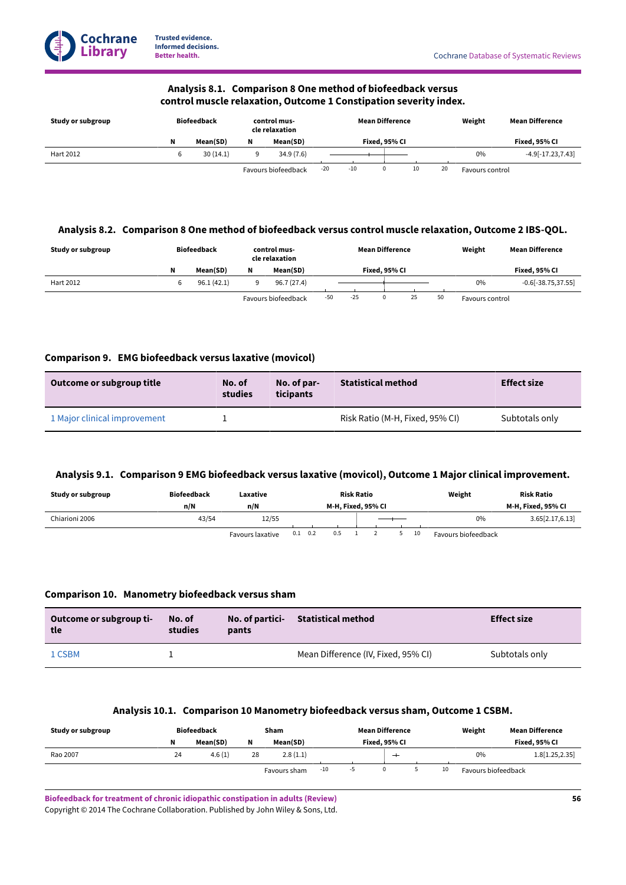# **Analysis 8.1. Comparison 8 One method of biofeedback versus control muscle relaxation, Outcome 1 Constipation severity index.**

<span id="page-57-0"></span>

| Study or subgroup | <b>Biofeedback</b> |   | control mus-<br>cle relaxation |       |       | <b>Mean Difference</b> |    |    | Weight          | <b>Mean Difference</b> |
|-------------------|--------------------|---|--------------------------------|-------|-------|------------------------|----|----|-----------------|------------------------|
|                   | Mean(SD)           | N | Mean(SD)                       |       |       | Fixed. 95% Cl          |    |    |                 | Fixed, 95% CI          |
| Hart 2012         | 30(14.1)           |   | 34.9(7.6)                      |       |       |                        |    |    | $0\%$           | $-4.9[-17.23, 7.43]$   |
|                   |                    |   | Favours biofeedback            | $-20$ | $-10$ |                        | 10 | 20 | Favours control |                        |

# <span id="page-57-1"></span>**Analysis 8.2. Comparison 8 One method of biofeedback versus control muscle relaxation, Outcome 2 IBS-QOL.**

| Study or subgroup | Biofeedback |   | control mus-<br>cle relaxation |       |     | <b>Mean Difference</b> |    | Weight          | <b>Mean Difference</b> |
|-------------------|-------------|---|--------------------------------|-------|-----|------------------------|----|-----------------|------------------------|
|                   | Mean(SD)    | N | Mean(SD)                       |       |     | Fixed. 95% CI          |    |                 | Fixed, 95% CI          |
| Hart 2012         | 96.1(42.1)  |   | 96.7 (27.4)                    |       |     |                        |    | 0%              | $-0.6[-38.75,37.55]$   |
|                   |             |   | Favours biofeedback            | $-50$ | -25 |                        | 25 | Favours control |                        |

# **Comparison 9. EMG biofeedback versus laxative (movicol)**

| Outcome or subgroup title    | No. of<br>studies | No. of par-<br>ticipants | <b>Statistical method</b>       | <b>Effect size</b> |
|------------------------------|-------------------|--------------------------|---------------------------------|--------------------|
| 1 Major clinical improvement |                   |                          | Risk Ratio (M-H, Fixed, 95% CI) | Subtotals only     |

# <span id="page-57-2"></span>**Analysis 9.1. Comparison 9 EMG biofeedback versus laxative (movicol), Outcome 1 Major clinical improvement.**

| Study or subgroup | Biofeedback | Laxative         | <b>Risk Ratio</b>  |  |     |  |  |  |    | Weight              | Risk Ratio |
|-------------------|-------------|------------------|--------------------|--|-----|--|--|--|----|---------------------|------------|
|                   | n/N         | n/N              | M-H. Fixed. 95% CI |  |     |  |  |  |    | M-H, Fixed, 95% CI  |            |
| Chiarioni 2006    | 43/54       | 12/55            |                    |  |     |  |  |  | 0% | 3.65[2.17,6.13]     |            |
|                   |             | Favours laxative | $0.1 \quad 0.2$    |  | 0.5 |  |  |  | 10 | Favours biofeedback |            |

# **Comparison 10. Manometry biofeedback versus sham**

| Outcome or subgroup ti-<br>tle | No. of<br>studies | <b>No. of partici-</b><br>pants | Statistical method                  | <b>Effect size</b> |
|--------------------------------|-------------------|---------------------------------|-------------------------------------|--------------------|
| 1 CSBM                         |                   |                                 | Mean Difference (IV, Fixed, 95% CI) | Subtotals only     |

# **Analysis 10.1. Comparison 10 Manometry biofeedback versus sham, Outcome 1 CSBM.**

<span id="page-57-3"></span>

| Study or subgroup |    | Biofeedback |    | Sham         |       |    | <b>Mean Difference</b> |    | Weight              | <b>Mean Difference</b> |
|-------------------|----|-------------|----|--------------|-------|----|------------------------|----|---------------------|------------------------|
|                   | N  | Mean(SD)    | N  | Mean(SD)     |       |    | Fixed, 95% Cl          |    |                     | Fixed. 95% CI          |
| Rao 2007          | 24 | 4.6(1)      | 28 | 2.8(1.1)     |       |    |                        |    | 0%                  | 1.8[1.25,2.35]         |
|                   |    |             |    | Favours sham | $-10$ | -0 |                        | 10 | Favours biofeedback |                        |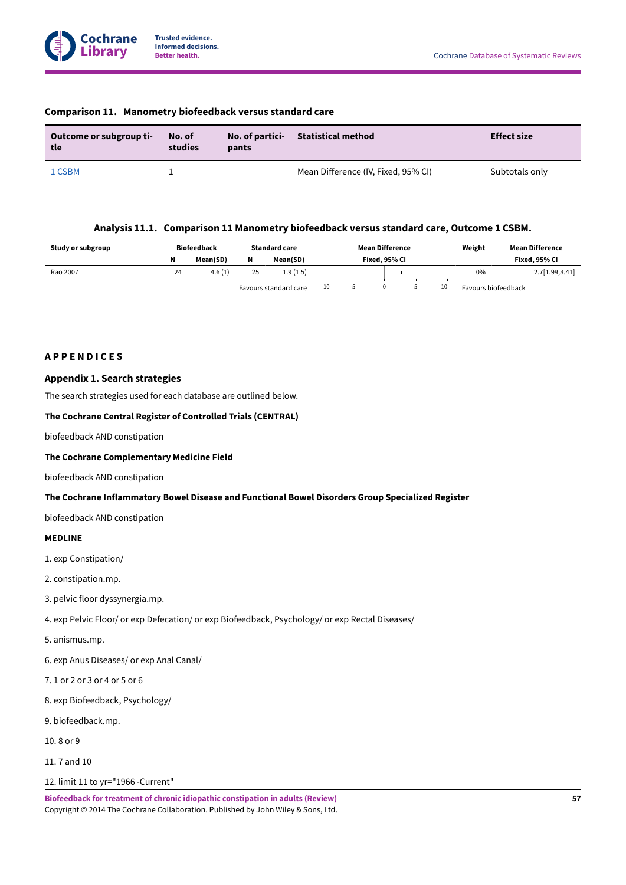| Outcome or subgroup ti-<br>tle | No. of<br>studies | No. of partici-<br>pants | Statistical method                  | <b>Effect size</b> |
|--------------------------------|-------------------|--------------------------|-------------------------------------|--------------------|
| 1 CSBM                         |                   |                          | Mean Difference (IV, Fixed, 95% CI) | Subtotals only     |

# **Comparison 11. Manometry biofeedback versus standard care**

# **Analysis 11.1. Comparison 11 Manometry biofeedback versus standard care, Outcome 1 CSBM.**

<span id="page-58-0"></span>

| Study or subgroup |    | <b>Biofeedback</b> |    | <b>Standard care</b>  |       | <b>Mean Difference</b> |    | Weight              | Mean Difference |
|-------------------|----|--------------------|----|-----------------------|-------|------------------------|----|---------------------|-----------------|
|                   | N  | Mean(SD)           | N  | Mean(SD)              |       | Fixed. 95% CI          |    |                     | Fixed. 95% CI   |
| Rao 2007          | 24 | 4.6(1)             | 25 | 1.9(1.5)              |       |                        |    | 0%                  | 2.7[1.99, 3.41] |
|                   |    |                    |    | Favours standard care | $-10$ |                        | 10 | Favours biofeedback |                 |

# <span id="page-58-1"></span>**A P P E N D I C E S**

# <span id="page-58-2"></span>**Appendix 1.Search strategies**

The search strategies used for each database are outlined below.

## **The Cochrane Central Register of Controlled Trials (CENTRAL)**

biofeedback AND constipation

### **The Cochrane Complementary Medicine Field**

biofeedback AND constipation

### **The Cochrane Inflammatory Bowel Disease and Functional Bowel Disorders Group Specialized Register**

biofeedback AND constipation

# **MEDLINE**

- 1. exp Constipation/
- 2. constipation.mp.
- 3. pelvic floor dyssynergia.mp.
- 4. exp Pelvic Floor/ or exp Defecation/ or exp Biofeedback, Psychology/ or exp Rectal Diseases/
- 5. anismus.mp.
- 6. exp Anus Diseases/ or exp Anal Canal/
- 7. 1 or 2 or 3 or 4 or 5 or 6
- 8. exp Biofeedback, Psychology/
- 9. biofeedback.mp.
- 10. 8 or 9
- 11. 7 and 10
- 12. limit 11 to yr="1966 -Current"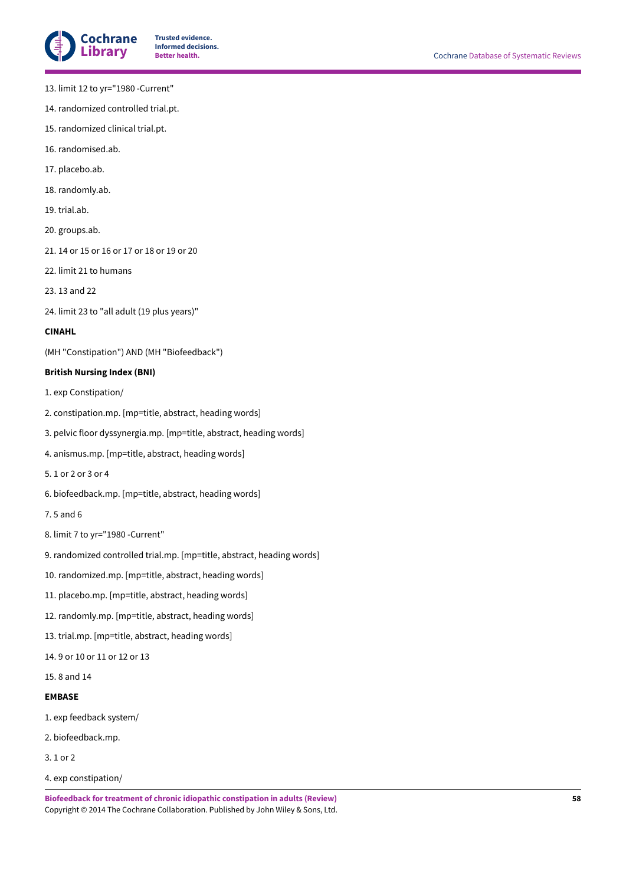

- 13. limit 12 to yr="1980 -Current"
- 14. randomized controlled trial.pt.
- 15. randomized clinical trial.pt.
- 16. randomised.ab.
- 17. placebo.ab.
- 18. randomly.ab.
- 19. trial.ab.
- 20. groups.ab.
- 21. 14 or 15 or 16 or 17 or 18 or 19 or 20
- 22. limit 21 to humans
- 23. 13 and 22
- 24. limit 23 to "all adult (19 plus years)"

# **CINAHL**

(MH "Constipation") AND (MH "Biofeedback")

# **British Nursing Index (BNI)**

- 1. exp Constipation/
- 2. constipation.mp. [mp=title, abstract, heading words]
- 3. pelvic floor dyssynergia.mp. [mp=title, abstract, heading words]
- 4. anismus.mp. [mp=title, abstract, heading words]
- 5. 1 or 2 or 3 or 4
- 6. biofeedback.mp. [mp=title, abstract, heading words]
- 7. 5 and 6
- 8. limit 7 to yr="1980 -Current"
- 9. randomized controlled trial.mp. [mp=title, abstract, heading words]
- 10. randomized.mp. [mp=title, abstract, heading words]
- 11. placebo.mp. [mp=title, abstract, heading words]
- 12. randomly.mp. [mp=title, abstract, heading words]
- 13. trial.mp. [mp=title, abstract, heading words]
- 14. 9 or 10 or 11 or 12 or 13
- 15. 8 and 14

# **EMBASE**

- 1. exp feedback system/
- 2. biofeedback.mp.
- 3. 1 or 2
- 4. exp constipation/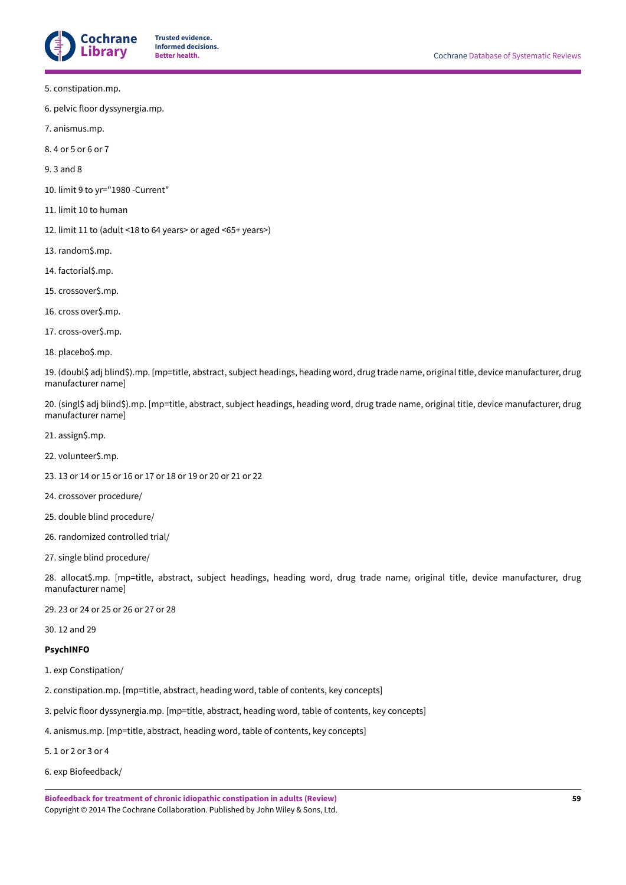

- 5. constipation.mp.
- 6. pelvic floor dyssynergia.mp.
- 7. anismus.mp.
- 8. 4 or 5 or 6 or 7
- 9. 3 and 8
- 10. limit 9 to yr="1980 -Current"
- 11. limit 10 to human
- 12. limit 11 to (adult <18 to 64 years> or aged <65+ years>)
- 13. random\$.mp.
- 14. factorial\$.mp.
- 15. crossover\$.mp.
- 16. cross over\$.mp.
- 17. cross-over\$.mp.
- 18. placebo\$.mp.

19. (doubl\$ adj blind\$).mp. [mp=title, abstract, subject headings, heading word, drug trade name, original title, device manufacturer, drug manufacturer name]

20. (singl\$ adj blind\$).mp. [mp=title, abstract, subject headings, heading word, drug trade name, original title, device manufacturer, drug manufacturer name]

- 21. assign\$.mp.
- 22. volunteer\$.mp.
- 23. 13 or 14 or 15 or 16 or 17 or 18 or 19 or 20 or 21 or 22
- 24. crossover procedure/
- 25. double blind procedure/
- 26. randomized controlled trial/
- 27. single blind procedure/

28. allocat\$.mp. [mp=title, abstract, subject headings, heading word, drug trade name, original title, device manufacturer, drug manufacturer name]

- 29. 23 or 24 or 25 or 26 or 27 or 28
- 30. 12 and 29

# **PsychINFO**

- 1. exp Constipation/
- 2. constipation.mp. [mp=title, abstract, heading word, table of contents, key concepts]
- 3. pelvic floor dyssynergia.mp. [mp=title, abstract, heading word, table of contents, key concepts]
- 4. anismus.mp. [mp=title, abstract, heading word, table of contents, key concepts]
- 5. 1 or 2 or 3 or 4
- 6. exp Biofeedback/

**Biofeedback for treatment of chronic idiopathic constipation in adults (Review)** Copyright © 2014 The Cochrane Collaboration. Published by John Wiley & Sons, Ltd.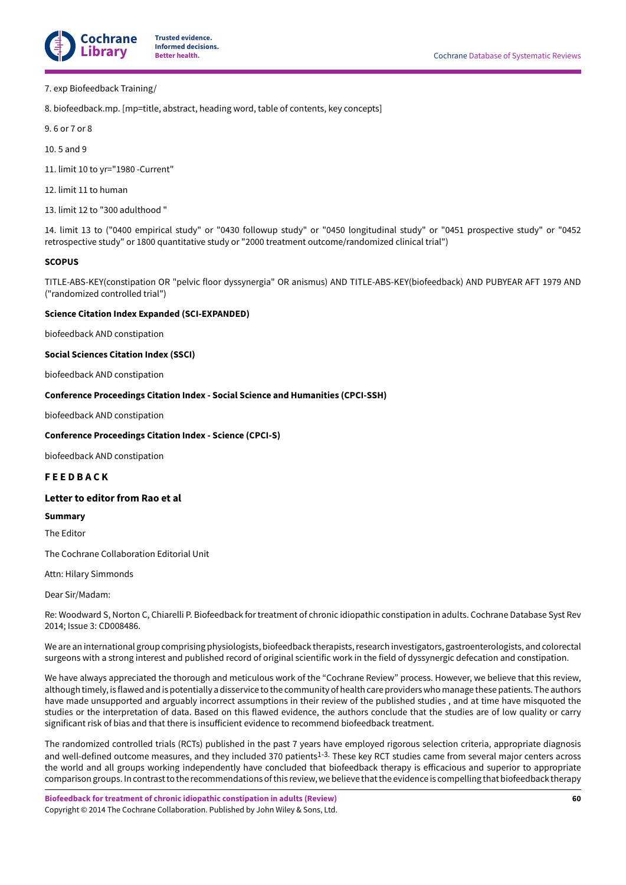

### 7. exp Biofeedback Training/

8. biofeedback.mp. [mp=title, abstract, heading word, table of contents, key concepts]

9. 6 or 7 or 8

10. 5 and 9

11. limit 10 to yr="1980 -Current"

12. limit 11 to human

13. limit 12 to "300 adulthood "

14. limit 13 to ("0400 empirical study" or "0430 followup study" or "0450 longitudinal study" or "0451 prospective study" or "0452 retrospective study" or 1800 quantitative study or "2000 treatment outcome/randomized clinical trial")

### **SCOPUS**

TITLE-ABS-KEY(constipation OR "pelvic floor dyssynergia" OR anismus) AND TITLE-ABS-KEY(biofeedback) AND PUBYEAR AFT 1979 AND ("randomized controlled trial")

# **Science Citation Index Expanded (SCI-EXPANDED)**

biofeedback AND constipation

### **Social Sciences Citation Index (SSCI)**

biofeedback AND constipation

# **Conference Proceedings Citation Index - Social Science and Humanities (CPCI-SSH)**

biofeedback AND constipation

### **Conference Proceedings Citation Index - Science (CPCI-S)**

biofeedback AND constipation

# <span id="page-61-0"></span>**F E E D B A C K**

# **Letter to editor from Rao et al**

#### **Summary**

The Editor

The Cochrane Collaboration Editorial Unit

Attn: Hilary Simmonds

Dear Sir/Madam:

Re: Woodward S, Norton C, Chiarelli P. Biofeedback for treatment of chronic idiopathic constipation in adults. Cochrane Database Syst Rev 2014; Issue 3: CD008486.

We are an international group comprising physiologists, biofeedback therapists, research investigators, gastroenterologists, and colorectal surgeons with a strong interest and published record of original scientific work in the field of dyssynergic defecation and constipation.

We have always appreciated the thorough and meticulous work of the "Cochrane Review" process. However, we believe that this review, although timely, is flawed and is potentially a disservice to the community of health care providerswho manage these patients. The authors have made unsupported and arguably incorrect assumptions in their review of the published studies , and at time have misquoted the studies or the interpretation of data. Based on this flawed evidence, the authors conclude that the studies are of low quality or carry significant risk of bias and that there is insufficient evidence to recommend biofeedback treatment.

The randomized controlled trials (RCTs) published in the past 7 years have employed rigorous selection criteria, appropriate diagnosis and well-defined outcome measures, and they included 370 patients<sup>1-3.</sup> These key RCT studies came from several major centers across the world and all groups working independently have concluded that biofeedback therapy is efficacious and superior to appropriate comparison groups. In contrast to the recommendations of this review, we believe that the evidence is compelling that biofeedback therapy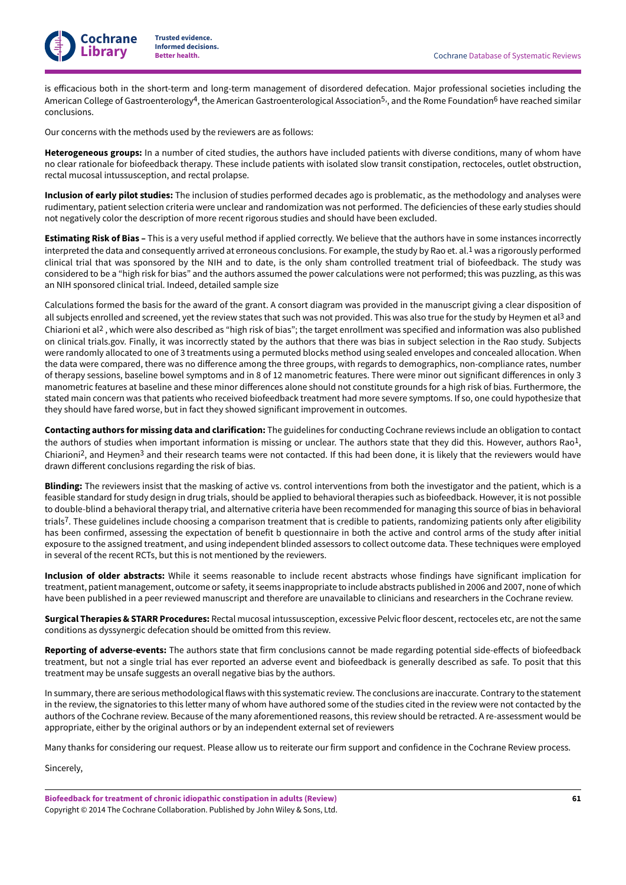

is efficacious both in the short-term and long-term management of disordered defecation. Major professional societies including the American College of Gastroenterology<sup>4</sup>, the American Gastroenterological Association<sup>5,</sup>, and the Rome Foundation<sup>6</sup> have reached similar conclusions.

Our concerns with the methods used by the reviewers are as follows:

**Heterogeneous groups:** In a number of cited studies, the authors have included patients with diverse conditions, many of whom have no clear rationale for biofeedback therapy. These include patients with isolated slow transit constipation, rectoceles, outlet obstruction, rectal mucosal intussusception, and rectal prolapse.

**Inclusion of early pilot studies:** The inclusion of studies performed decades ago is problematic, as the methodology and analyses were rudimentary, patient selection criteria were unclear and randomization was not performed. The deficiencies of these early studies should not negatively color the description of more recent rigorous studies and should have been excluded.

**Estimating Risk of Bias –** This is a very useful method if applied correctly. We believe that the authors have in some instances incorrectly interpreted the data and consequently arrived at erroneous conclusions. For example, the study by Rao et. al. 1 was a rigorously performed clinical trial that was sponsored by the NIH and to date, is the only sham controlled treatment trial of biofeedback. The study was considered to be a "high risk for bias" and the authors assumed the power calculations were not performed; this was puzzling, as this was an NIH sponsored clinical trial. Indeed, detailed sample size

Calculations formed the basis for the award of the grant. A consort diagram was provided in the manuscript giving a clear disposition of all subjects enrolled and screened, yet the review states that such was not provided. This was also true for the study by Heymen et al<sup>3</sup> and Chiarioni et al 2 , which were also described as "high risk of bias"; the target enrollment was specified and information was also published on clinical trials.gov. Finally, it was incorrectly stated by the authors that there was bias in subject selection in the Rao study. Subjects were randomly allocated to one of 3 treatments using a permuted blocks method using sealed envelopes and concealed allocation. When the data were compared, there was no difference among the three groups, with regards to demographics, non-compliance rates, number of therapy sessions, baseline bowel symptoms and in 8 of 12 manometric features. There were minor out significant differences in only 3 manometric features at baseline and these minor differences alone should not constitute grounds for a high risk of bias. Furthermore, the stated main concern was that patients who received biofeedback treatment had more severe symptoms. If so, one could hypothesize that they should have fared worse, but in fact they showed significant improvement in outcomes.

**Contacting authors for missing data and clarification:** The guidelines for conducting Cochrane reviews include an obligation to contact the authors of studies when important information is missing or unclear. The authors state that they did this. However, authors Rao<sup>1</sup>, Chiarioni2, and Heymen3 and their research teams were not contacted. If this had been done, it is likely that the reviewers would have drawn different conclusions regarding the risk of bias.

**Blinding:** The reviewers insist that the masking of active vs. control interventions from both the investigator and the patient, which is a feasible standard for study design in drug trials, should be applied to behavioral therapies such as biofeedback. However, it is not possible to double-blind a behavioral therapy trial, and alternative criteria have been recommended for managing this source of bias in behavioral trials7. These guidelines include choosing a comparison treatment that is credible to patients, randomizing patients only after eligibility has been confirmed, assessing the expectation of benefit b questionnaire in both the active and control arms of the study after initial exposure to the assigned treatment, and using independent blinded assessors to collect outcome data. These techniques were employed in several of the recent RCTs, but this is not mentioned by the reviewers.

**Inclusion of older abstracts:** While it seems reasonable to include recent abstracts whose findings have significant implication for treatment, patient management, outcome or safety, it seems inappropriate to include abstracts published in 2006 and 2007, none of which have been published in a peer reviewed manuscript and therefore are unavailable to clinicians and researchers in the Cochrane review.

**Surgical Therapies & STARR Procedures:** Rectal mucosal intussusception, excessive Pelvic floor descent, rectoceles etc, are not the same conditions as dyssynergic defecation should be omitted from this review.

Reporting of adverse-events: The authors state that firm conclusions cannot be made regarding potential side-effects of biofeedback treatment, but not a single trial has ever reported an adverse event and biofeedback is generally described as safe. To posit that this treatment may be unsafe suggests an overall negative bias by the authors.

In summary,there are serious methodological flaws with this systematic review. The conclusions are inaccurate. Contrary to the statement in the review, the signatories to this letter many of whom have authored some of the studies cited in the review were not contacted by the authors of the Cochrane review. Because of the many aforementioned reasons, this review should be retracted. A re-assessment would be appropriate, either by the original authors or by an independent external set of reviewers

Many thanks for considering our request. Please allow us to reiterate our firm support and confidence in the Cochrane Review process.

Sincerely,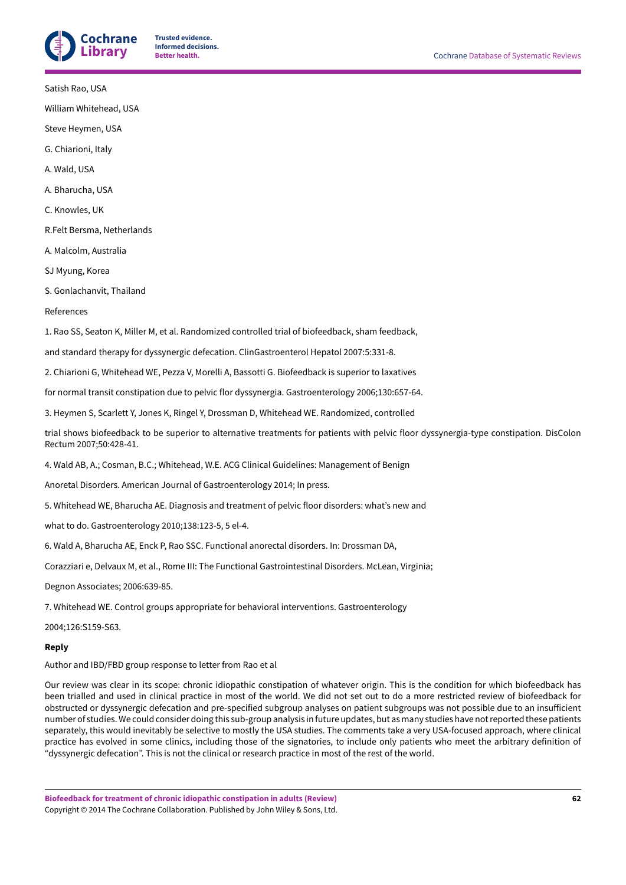

Satish Rao, USA

William Whitehead, USA

Steve Heymen, USA

G. Chiarioni, Italy

A. Wald, USA

A. Bharucha, USA

C. Knowles, UK

R.Felt Bersma, Netherlands

A. Malcolm, Australia

SJ Myung, Korea

S. Gonlachanvit, Thailand

References

1. Rao SS, Seaton K, Miller M, et al. Randomized controlled trial of biofeedback, sham feedback,

and standard therapy for dyssynergic defecation. ClinGastroenterol Hepatol 2007:5:331-8.

2. Chiarioni G, Whitehead WE, Pezza V, Morelli A, Bassotti G. Biofeedback is superior to laxatives

for normal transit constipation due to pelvic flor dyssynergia. Gastroenterology 2006;130:657-64.

3. Heymen S, Scarlett Y, Jones K, Ringel Y, Drossman D, Whitehead WE. Randomized, controlled

trial shows biofeedback to be superior to alternative treatments for patients with pelvic floor dyssynergia-type constipation. DisColon Rectum 2007;50:428-41.

4. Wald AB, A.; Cosman, B.C.; Whitehead, W.E. ACG Clinical Guidelines: Management of Benign

Anoretal Disorders. American Journal of Gastroenterology 2014; In press.

5. Whitehead WE, Bharucha AE. Diagnosis and treatment of pelvic floor disorders: what's new and

what to do. Gastroenterology 2010;138:123-5, 5 el-4.

6. Wald A, Bharucha AE, Enck P, Rao SSC. Functional anorectal disorders. In: Drossman DA,

Corazziari e, Delvaux M, et al., Rome III: The Functional Gastrointestinal Disorders. McLean, Virginia;

Degnon Associates; 2006:639-85.

7. Whitehead WE. Control groups appropriate for behavioral interventions. Gastroenterology

2004;126:S159-S63.

# **Reply**

Author and IBD/FBD group response to letter from Rao et al

Our review was clear in its scope: chronic idiopathic constipation of whatever origin. This is the condition for which biofeedback has been trialled and used in clinical practice in most of the world. We did not set out to do a more restricted review of biofeedback for obstructed or dyssynergic defecation and pre-specified subgroup analyses on patient subgroups was not possible due to an insufficient number of studies.We could consider doing this sub-group analysis in future updates, but as many studies have notreported these patients separately, this would inevitably be selective to mostly the USA studies. The comments take a very USA-focused approach, where clinical practice has evolved in some clinics, including those of the signatories, to include only patients who meet the arbitrary definition of "dyssynergic defecation". This is not the clinical or research practice in most of the rest of the world.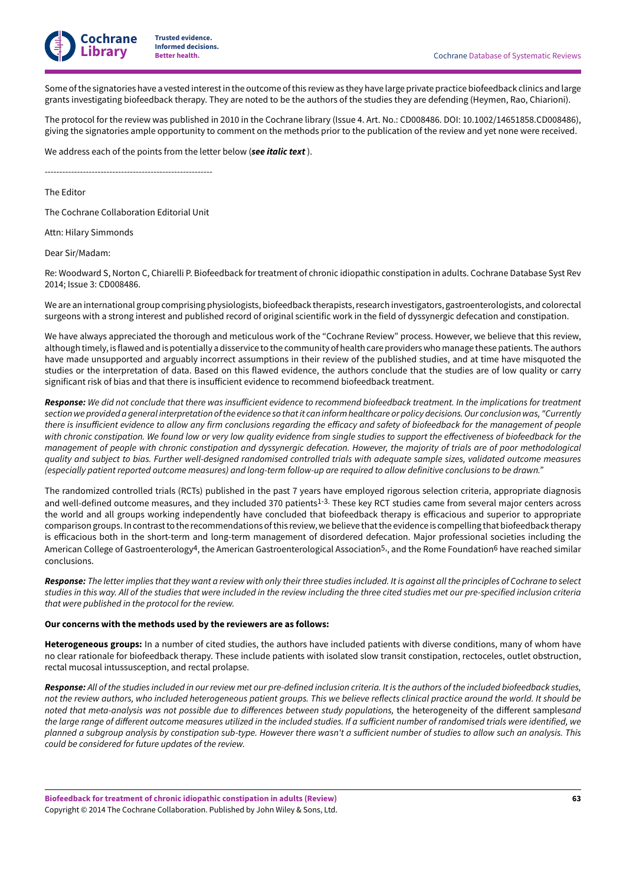

Some ofthe signatories have a vested interestin the outcome ofthis review as they have large private practice biofeedback clinics and large grants investigating biofeedback therapy. They are noted to be the authors of the studies they are defending (Heymen, Rao, Chiarioni).

The protocol for the review was published in 2010 in the Cochrane library (Issue 4. Art. No.: CD008486. DOI: 10.1002/14651858.CD008486), giving the signatories ample opportunity to comment on the methods prior to the publication of the review and yet none were received.

We address each of the points from the letter below (*see italic text* ).

---------------------------------------------------------

The Editor

The Cochrane Collaboration Editorial Unit

Attn: Hilary Simmonds

Dear Sir/Madam:

Re: Woodward S, Norton C, Chiarelli P. Biofeedback for treatment of chronic idiopathic constipation in adults. Cochrane Database Syst Rev 2014; Issue 3: CD008486.

We are an international group comprising physiologists, biofeedback therapists, research investigators, gastroenterologists, and colorectal surgeons with a strong interest and published record of original scientific work in the field of dyssynergic defecation and constipation.

We have always appreciated the thorough and meticulous work of the "Cochrane Review" process. However, we believe that this review, although timely, is flawed and is potentially a disservice to the community of health care providerswho manage these patients. The authors have made unsupported and arguably incorrect assumptions in their review of the published studies, and at time have misquoted the studies or the interpretation of data. Based on this flawed evidence, the authors conclude that the studies are of low quality or carry significant risk of bias and that there is insufficient evidence to recommend biofeedback treatment.

Response: We did not conclude that there was insufficient evidence to recommend biofeedback treatment. In the implications for treatment section we provided a general interpretation of the evidence so that it can inform healthcare or policy decisions. Our conclusion was, "Currently there is insufficient evidence to allow any firm conclusions regarding the efficacy and safety of biofeedback for the management of people with chronic constipation. We found low or very low quality evidence from single studies to support the effectiveness of biofeedback for the management of people with chronic constipation and dyssynergic defecation. However, the majority of trials are of poor methodological quality and subject to bias. Further well-designed randomised controlled trials with adequate sample sizes, validated outcome measures (especially patient reported outcome measures) and long-term follow-up are required to allow definitive conclusions to be drawn."

The randomized controlled trials (RCTs) published in the past 7 years have employed rigorous selection criteria, appropriate diagnosis and well-defined outcome measures, and they included 370 patients<sup>1-3.</sup> These key RCT studies came from several major centers across the world and all groups working independently have concluded that biofeedback therapy is efficacious and superior to appropriate comparison groups. In contrast to the recommendations of this review, we believe that the evidence is compelling that biofeedback therapy is efficacious both in the short-term and long-term management of disordered defecation. Major professional societies including the American College of Gastroenterology<sup>4</sup>, the American Gastroenterological Association<sup>5,</sup>, and the Rome Foundation<sup>6</sup> have reached similar conclusions.

Response: The letter implies that they want a review with only their three studies included. It is against all the principles of Cochrane to select studies in this way. All of the studies that were included in the review including the three cited studies met our pre-specified inclusion criteria *that were published in the protocol for the review.*

#### **Our concerns with the methods used by the reviewers are as follows:**

**Heterogeneous groups:** In a number of cited studies, the authors have included patients with diverse conditions, many of whom have no clear rationale for biofeedback therapy. These include patients with isolated slow transit constipation, rectoceles, outlet obstruction, rectal mucosal intussusception, and rectal prolapse.

Response: All of the studies included in our review met our pre-defined inclusion criteria. It is the authors of the included biofeedback studies. not the review authors, who included heterogeneous patient groups. This we believe reflects clinical practice around the world. It should be *noted* that meta-analysis was not possible due to differences between study populations, the heterogeneity of the different samplesand the large range of different outcome measures utilized in the included studies. If a sufficient number of randomised trials were identified, we planned a subgroup analysis by constipation sub-type. However there wasn't a sufficient number of studies to allow such an analysis. This *could be considered for future updates of the review.*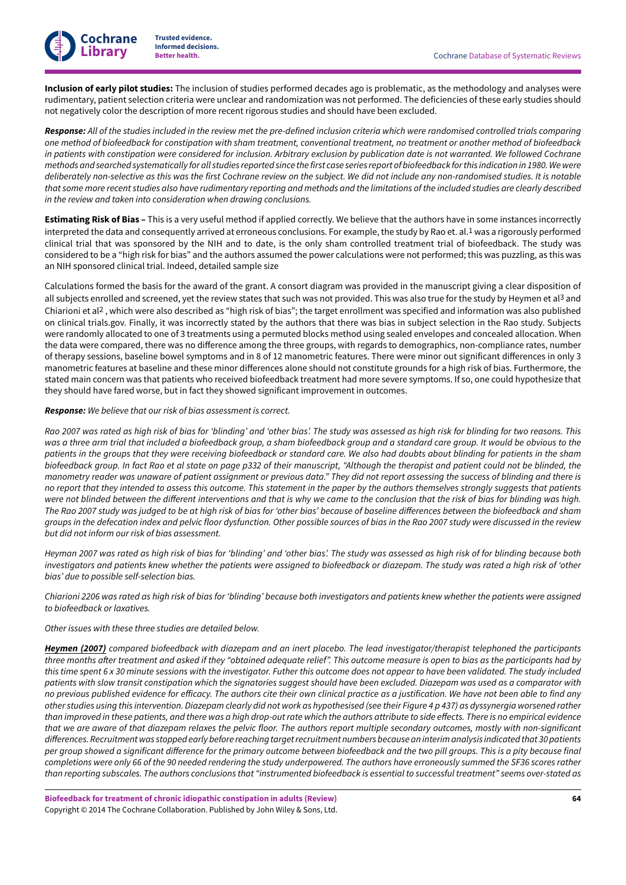

**Cochrane Library**

**Inclusion of early pilot studies:** The inclusion of studies performed decades ago is problematic, as the methodology and analyses were rudimentary, patient selection criteria were unclear and randomization was not performed. The deficiencies of these early studies should not negatively color the description of more recent rigorous studies and should have been excluded.

Response: All of the studies included in the review met the pre-defined inclusion criteria which were randomised controlled trials comparing one method of biofeedback for constipation with sham treatment, conventional treatment, no treatment or another method of biofeedback in patients with constipation were considered for inclusion. Arbitrary exclusion by publication date is not warranted. We followed Cochrane methods and searched systematically for all studies reported since the first case series report of biofeedback for this indication in 1980. We were deliberately non-selective as this was the first Cochrane review on the subject. We did not include any non-randomised studies. It is notable that some more recent studies also have rudimentary reporting and methods and the limitations of the included studies are clearly described *in the review and taken into consideration when drawing conclusions.*

**Estimating Risk of Bias –** This is a very useful method if applied correctly. We believe that the authors have in some instances incorrectly interpreted the data and consequently arrived at erroneous conclusions. For example, the study by Rao et. al. 1 was a rigorously performed clinical trial that was sponsored by the NIH and to date, is the only sham controlled treatment trial of biofeedback. The study was considered to be a "high risk for bias" and the authors assumed the power calculations were not performed; this was puzzling, as this was an NIH sponsored clinical trial. Indeed, detailed sample size

Calculations formed the basis for the award of the grant. A consort diagram was provided in the manuscript giving a clear disposition of all subjects enrolled and screened, yet the review states that such was not provided. This was also true for the study by Heymen et al<sup>3</sup> and Chiarioni et al 2 , which were also described as "high risk of bias"; the target enrollment was specified and information was also published on clinical trials.gov. Finally, it was incorrectly stated by the authors that there was bias in subject selection in the Rao study. Subjects were randomly allocated to one of 3 treatments using a permuted blocks method using sealed envelopes and concealed allocation. When the data were compared, there was no difference among the three groups, with regards to demographics, non-compliance rates, number of therapy sessions, baseline bowel symptoms and in 8 of 12 manometric features. There were minor out significant differences in only 3 manometric features at baseline and these minor differences alone should not constitute grounds for a high risk of bias. Furthermore, the stated main concern was that patients who received biofeedback treatment had more severe symptoms. If so, one could hypothesize that they should have fared worse, but in fact they showed significant improvement in outcomes.

### *Response: We believe that our risk of bias assessment is correct.*

Rao 2007 was rated as high risk of bias for 'blinding' and 'other bias'. The study was assessed as high risk for blinding for two reasons. This was a three arm trial that included a biofeedback group, a sham biofeedback group and a standard care group. It would be obvious to the patients in the groups that they were receiving biofeedback or standard care. We also had doubts about blinding for patients in the sham biofeedback group. In fact Rao et al state on page p332 of their manuscript, "Although the therapist and patient could not be blinded, the manometry reader was unaware of patient assignment or previous data." They did not report assessing the success of blinding and there is no report that they intended to assess this outcome. This statement in the paper by the authors themselves strongly suggests that patients were not blinded between the different interventions and that is why we came to the conclusion that the risk of bias for blinding was high. The Rao 2007 study was judged to be at high risk of bias for 'other bias' because of baseline differences between the biofeedback and sham groups in the defecation index and pelvic floor dysfunction. Other possible sources of bias in the Rao 2007 study were discussed in the review *but did not inform our risk of bias assessment.*

Heyman 2007 was rated as high risk of bias for 'blinding' and 'other bias'. The study was assessed as high risk of for blinding because both investigators and patients knew whether the patients were assigned to biofeedback or diazepam. The study was rated a high risk of 'other *bias' due to possible self-selection bias.*

Chiarioni 2206 was rated as high risk of bias for 'blinding' because both investigators and patients knew whether the patients were assigned *to biofeedback or laxatives.*

### *Other issues with these three studies are detailed below.*

Heymen (2007) compared biofeedback with diazepam and an inert placebo. The lead investigator/therapist telephoned the participants three months after treatment and asked if they "obtained adequate relief". This outcome measure is open to bias as the participants had by this time spent 6 x 30 minute sessions with the investigator. Futher this outcome does not appear to have been validated. The study included patients with slow transit constipation which the signatories suggest should have been excluded. Diazepam was used as a comparator with no previous published evidence for efficacy. The authors cite their own clinical practice as a justification. We have not been able to find any other studies using this intervention. Diazepam clearly did not work as hypothesised (see their Figure 4 p 437) as dyssynergia worsened rather than improved in these patients, and there was a high drop-out rate which the authors attribute to side effects. There is no empirical evidence that we are aware of that diazepam relaxes the pelvic floor. The authors report multiple secondary outcomes, mostly with non-significant *di4erences.Recruitmentwas stoppedearlybefore reaching targetrecruitment numbersbecausean interimanalysis indicatedthat 30patients* per group showed a significant difference for the primary outcome between biofeedback and the two pill groups. This is a pity because final completions were only 66 of the 90 needed rendering the study underpowered. The authors have erroneously summed the SF36 scores rather than reporting subscales. The authors conclusions that "instrumented biofeedback is essential to successful treatment" seems over-stated as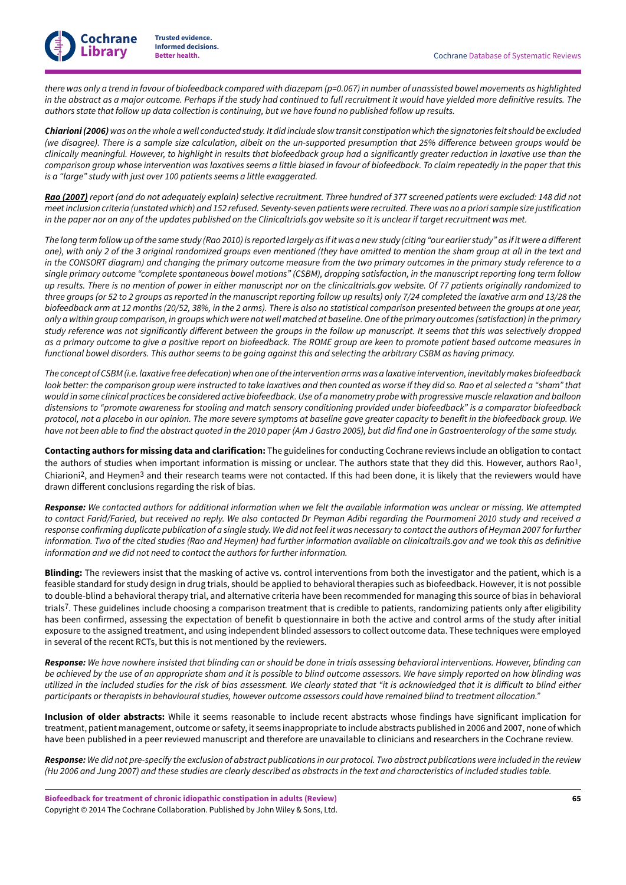**Cochrane Library**

there was only a trend in favour of biofeedback compared with diazepam (p=0.067) in number of unassisted bowel movements as highlighted in the abstract as a major outcome. Perhaps if the study had continued to full recruitment it would have yielded more definitive results. The authors state that follow up data collection is continuing, but we have found no published follow up results.

Chiarioni (2006) was on the whole a well conducted study. It did include slow transit constipation which the signatories felt should be excluded (we disagree). There is a sample size calculation, albeit on the un-supported presumption that 25% difference between groups would be clinically meaningful. However, to highlight in results that biofeedback group had a significantly greater reduction in laxative use than the comparison group whose intervention was laxatives seems a little biased in favour of biofeedback. To claim repeatedly in the paper that this *is a "large" study with just over 100 patients seems a little exaggerated.*

Rao (2007) report (and do not adequately explain) selective recruitment. Three hundred of 377 screened patients were excluded: 148 did not meet inclusion criteria (unstated which) and 152 refused. Seventy-seven patients were recruited. There was no a priori sample size justification in the paper nor on any of the updates published on the Clinicaltrials.gov website so it is unclear if target recruitment was met.

The long term follow up of the same study (Rao 2010) is reported largely as if it was a new study (citing "our earlier study" as if it were a different one), with only 2 of the 3 original randomized groups even mentioned (they have omitted to mention the sham group at all in the text and in the CONSORT diagram) and changing the primary outcome measure from the two primary outcomes in the primary study reference to a single primary outcome "complete spontaneous bowel motions" (CSBM), dropping satisfaction, in the manuscript reporting long term follow up results. There is no mention of power in either manuscript nor on the clinicaltrials.gov website. Of 77 patients originally randomized to three groups (or 52 to 2 groups as reported in the manuscript reporting follow up results) only 7/24 completed the laxative arm and 13/28 the biofeedback arm at 12 months (20/52, 38%, in the 2 arms). There is also no statistical comparison presented between the groups at one year, only a within group comparison, in groups which were not well matched at baseline. One of the primary outcomes (satisfaction) in the primary study reference was not significantly different between the groups in the follow up manuscript. It seems that this was selectively dropped as a primary outcome to give a positive report on biofeedback. The ROME group are keen to promote patient based outcome measures in functional bowel disorders. This author seems to be going against this and selecting the arbitrary CSBM as having primacy.

The concept of CSBM (i.e. laxative free defecation) when one of the intervention arms was a laxative intervention, inevitably makes biofeedback look better: the comparison group were instructed to take laxatives and then counted as worse if they did so. Rao et al selected a "sham" that would in some clinical practices be considered active biofeedback. Use of a manometry probe with progressive muscle relaxation and balloon distensions to "promote awareness for stooling and match sensory conditioning provided under biofeedback" is a comparator biofeedback protocol, not a placebo in our opinion. The more severe symptoms at baseline gave greater capacity to benefit in the biofeedback group. We have not been able to find the abstract quoted in the 2010 paper (Am J Gastro 2005), but did find one in Gastroenterology of the same study.

**Contacting authors for missing data and clarification:** The guidelines for conducting Cochrane reviews include an obligation to contact the authors of studies when important information is missing or unclear. The authors state that they did this. However, authors Rao<sup>1</sup>, Chiarioni<sup>2</sup>, and Heymen<sup>3</sup> and their research teams were not contacted. If this had been done, it is likely that the reviewers would have drawn different conclusions regarding the risk of bias.

Response: We contacted authors for additional information when we felt the available information was unclear or missing. We attempted to contact Farid/Faried, but received no reply. We also contacted Dr Peyman Adibi regarding the Pourmomeni 2010 study and received a response confirming duplicate publication of a single study. We did not feel it was necessary to contact the authors of Heyman 2007 for further information. Two of the cited studies (Rao and Heymen) had further information available on clinicaltrails.gov and we took this as definitive *information and we did not need to contact the authors for further information.*

**Blinding:** The reviewers insist that the masking of active vs. control interventions from both the investigator and the patient, which is a feasible standard for study design in drug trials, should be applied to behavioral therapies such as biofeedback. However, it is not possible to double-blind a behavioral therapy trial, and alternative criteria have been recommended for managing this source of bias in behavioral trials7. These guidelines include choosing a comparison treatment that is credible to patients, randomizing patients only after eligibility has been confirmed, assessing the expectation of benefit b questionnaire in both the active and control arms of the study after initial exposure to the assigned treatment, and using independent blinded assessors to collect outcome data. These techniques were employed in several of the recent RCTs, but this is not mentioned by the reviewers.

Response: We have nowhere insisted that blinding can or should be done in trials assessing behavioral interventions. However, blinding can be achieved by the use of an appropriate sham and it is possible to blind outcome assessors. We have simply reported on how blinding was utilized in the included studies for the risk of bias assessment. We clearly stated that "it is acknowledged that it is difficult to blind either participants or therapists in behavioural studies, however outcome assessors could have remained blind to treatment allocation."

**Inclusion of older abstracts:** While it seems reasonable to include recent abstracts whose findings have significant implication for treatment, patient management, outcome or safety, it seems inappropriate to include abstracts published in 2006 and 2007, none of which have been published in a peer reviewed manuscript and therefore are unavailable to clinicians and researchers in the Cochrane review.

Response: We did not pre-specify the exclusion of abstract publications in our protocol. Two abstract publications were included in the review (Hu 2006 and Jung 2007) and these studies are clearly described as abstracts in the text and characteristics of included studies table.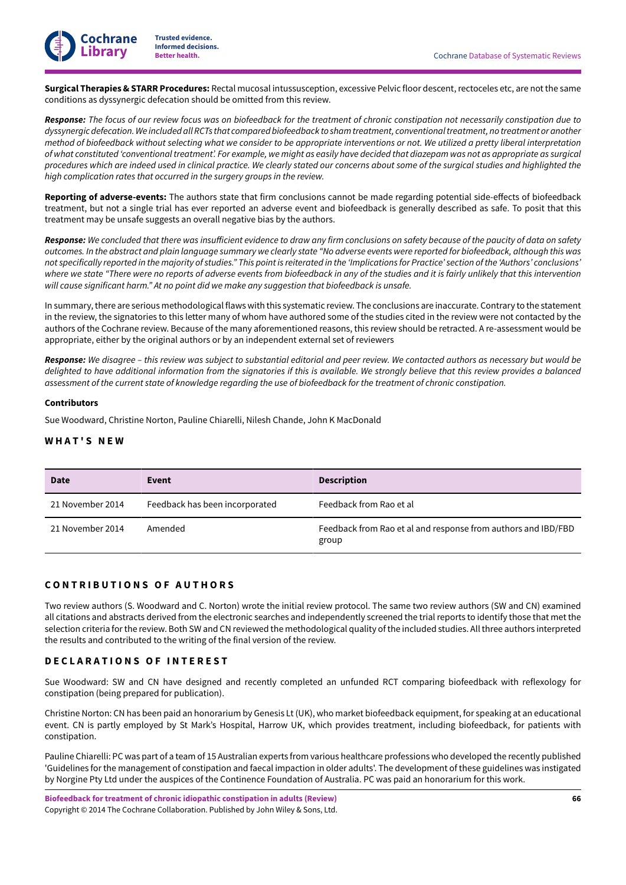

**Surgical Therapies & STARR Procedures:** Rectal mucosal intussusception, excessive Pelvic floor descent, rectoceles etc, are not the same conditions as dyssynergic defecation should be omitted from this review.

Response: The focus of our review focus was on biofeedback for the treatment of chronic constipation not necessarily constipation due to dyssynergic defecation. We included all RCTs that compared biofeedback to sham treatment, conventional treatment, no treatment or another method of biofeedback without selecting what we consider to be appropriate interventions or not. We utilized a pretty liberal interpretation of what constituted 'conventional treatment'. For example, we might as easily have decided that diazepam was not as appropriate as surgical procedures which are indeed used in clinical practice. We clearly stated our concerns about some of the surgical studies and highlighted the *high complication rates that occurred in the surgery groups in the review.*

Reporting of adverse-events: The authors state that firm conclusions cannot be made regarding potential side-effects of biofeedback treatment, but not a single trial has ever reported an adverse event and biofeedback is generally described as safe. To posit that this treatment may be unsafe suggests an overall negative bias by the authors.

Response: We concluded that there was insufficient evidence to draw any firm conclusions on safety because of the paucity of data on safety outcomes. In the abstract and plain language summary we clearly state "No adverse events were reported for biofeedback, although this was not specifically reported in the majority of studies." This point is reiterated in the 'Implications for Practice' section of the 'Authors' conclusions' where we state "There were no reports of adverse events from biofeedback in any of the studies and it is fairly unlikely that this intervention *will cause significant harm." At no point did we make any suggestion that biofeedback is unsafe.*

In summary,there are serious methodological flaws with this systematic review. The conclusions are inaccurate. Contrary to the statement in the review, the signatories to this letter many of whom have authored some of the studies cited in the review were not contacted by the authors of the Cochrane review. Because of the many aforementioned reasons, this review should be retracted. A re-assessment would be appropriate, either by the original authors or by an independent external set of reviewers

Response: We disagree - this review was subject to substantial editorial and peer review. We contacted authors as necessary but would be delighted to have additional information from the signatories if this is available. We strongly believe that this review provides a balanced assessment of the current state of knowledge regarding the use of biofeedback for the treatment of chronic constipation.

### **Contributors**

Sue Woodward, Christine Norton, Pauline Chiarelli, Nilesh Chande, John K MacDonald

### <span id="page-67-0"></span>**W H A T ' S N E W**

| <b>Date</b>      | Event                          | <b>Description</b>                                                     |
|------------------|--------------------------------|------------------------------------------------------------------------|
| 21 November 2014 | Feedback has been incorporated | Feedback from Rao et al                                                |
| 21 November 2014 | Amended                        | Feedback from Rao et al and response from authors and IBD/FBD<br>group |

# <span id="page-67-1"></span>**C O N T R I B U T I O N S O F A U T H O R S**

Two review authors (S. Woodward and C. Norton) wrote the initial review protocol. The same two review authors (SW and CN) examined all citations and abstracts derived from the electronic searches and independently screened the trial reports to identify those that met the selection criteria forthe review. Both SW and CN reviewed the methodological quality ofthe included studies. Allthree authors interpreted the results and contributed to the writing of the final version of the review.

# <span id="page-67-2"></span>**D E C L A R A T I O N S O F I N T E R E S T**

Sue Woodward: SW and CN have designed and recently completed an unfunded RCT comparing biofeedback with reflexology for constipation (being prepared for publication).

Christine Norton: CN has been paid an honorarium by Genesis Lt(UK), who market biofeedback equipment, for speaking at an educational event. CN is partly employed by St Mark's Hospital, Harrow UK, which provides treatment, including biofeedback, for patients with constipation.

Pauline Chiarelli: PC was part of a team of 15 Australian experts from various healthcare professions who developed the recently published 'Guidelines for the management of constipation and faecal impaction in older adults'. The development of these guidelines was instigated by Norgine Pty Ltd under the auspices of the Continence Foundation of Australia. PC was paid an honorarium for this work.